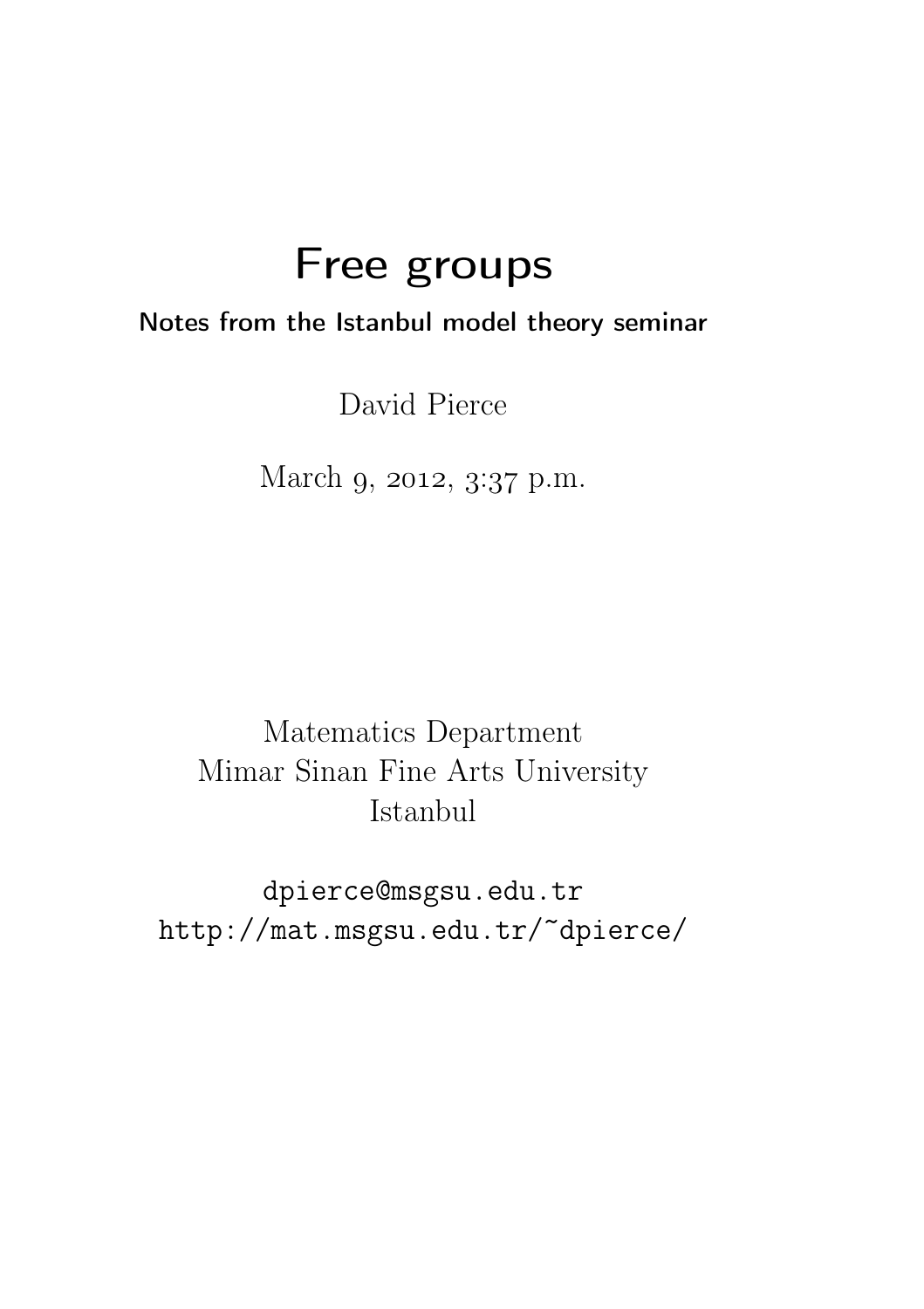# Free groups

#### Notes from the Istanbul model theory seminar

David Pierce

March 9, 2012, 3:37 p.m.

Matematics Department Mimar Sinan Fine Arts University Istanbul

dpierce@msgsu.edu.tr http://mat.msgsu.edu.tr/~dpierce/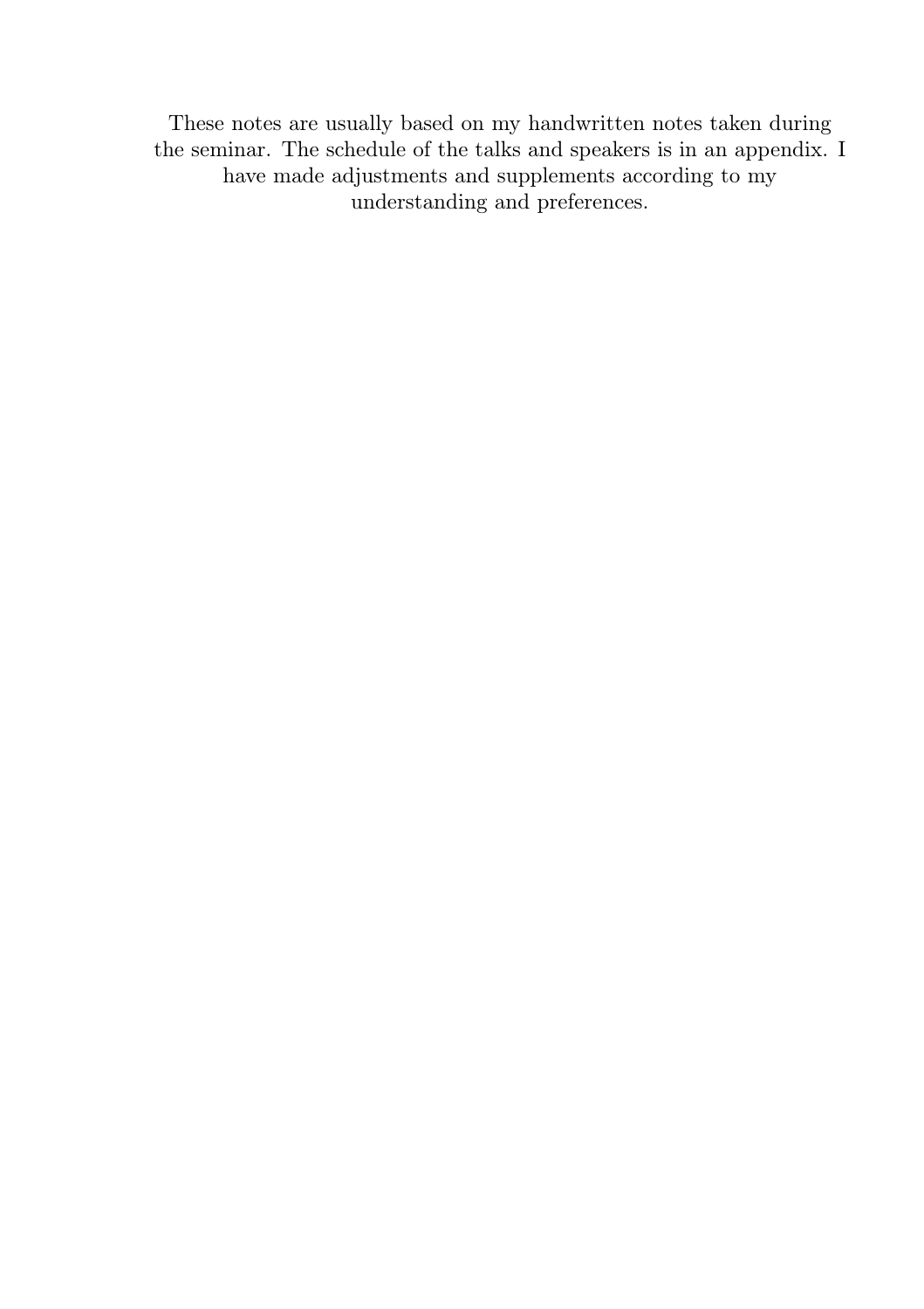These notes are usually based on my handwritten notes taken during the seminar. The schedule of the talks and speakers is in an appendix. I have made adjustments and supplements according to my understanding and preferences.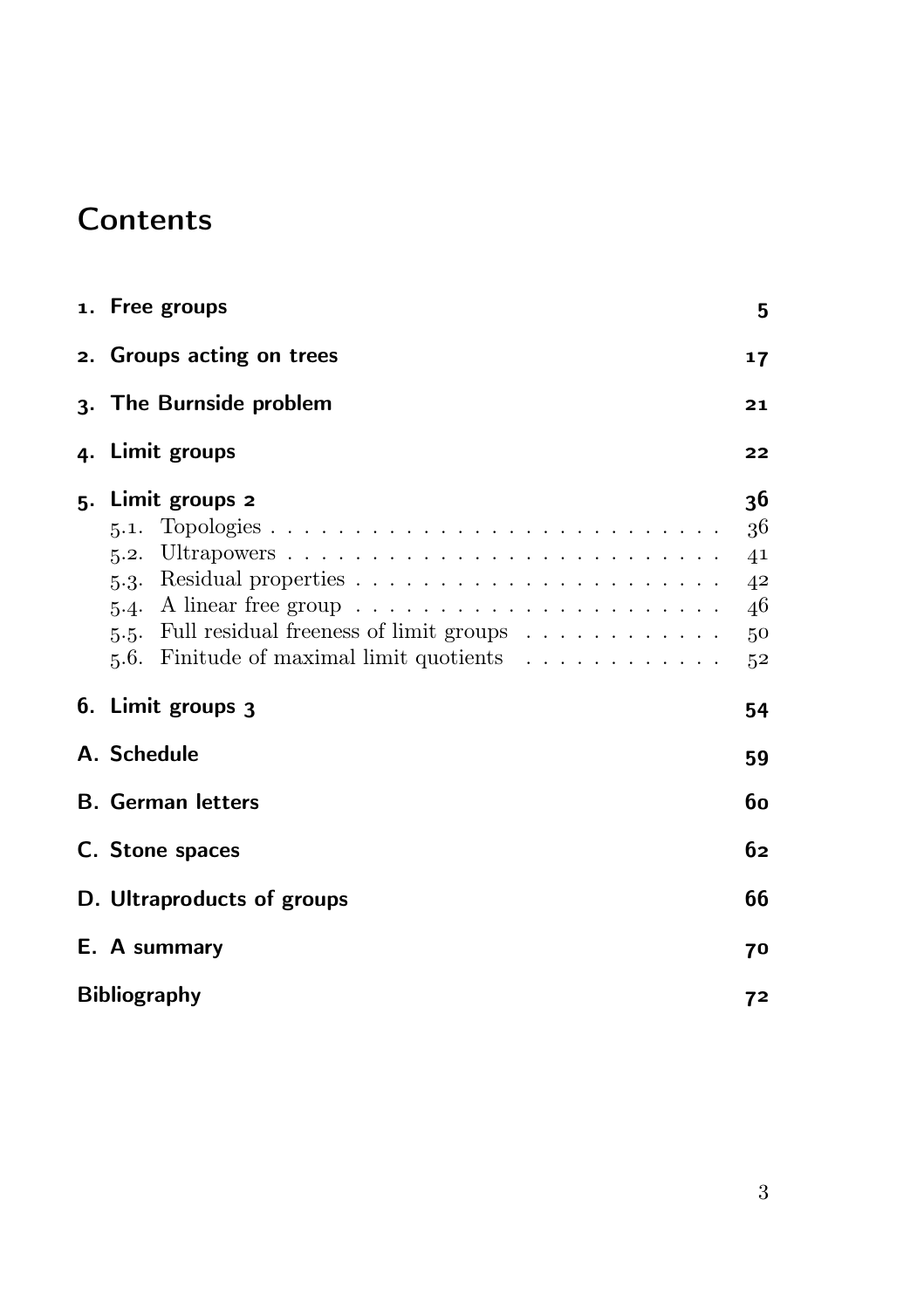### **Contents**

| 1. Free groups                                                                                                                                                                                                                                                                                                 |                                                    |  |  |  |  |
|----------------------------------------------------------------------------------------------------------------------------------------------------------------------------------------------------------------------------------------------------------------------------------------------------------------|----------------------------------------------------|--|--|--|--|
| 2. Groups acting on trees                                                                                                                                                                                                                                                                                      |                                                    |  |  |  |  |
| 3. The Burnside problem                                                                                                                                                                                                                                                                                        |                                                    |  |  |  |  |
| 4. Limit groups                                                                                                                                                                                                                                                                                                | 22                                                 |  |  |  |  |
| 5. Limit groups 2<br>5.1.<br>5.3. Residual properties $\dots \dots \dots \dots \dots \dots \dots \dots$<br>5.4. A linear free group $\ldots \ldots \ldots \ldots \ldots \ldots \ldots$<br>5.5. Full residual freeness of limit groups $\dots \dots \dots \dots$<br>Finitude of maximal limit quotients<br>5.6. | 36<br>36<br>41<br>42<br>46<br>50<br>5 <sup>2</sup> |  |  |  |  |
| 6. Limit groups 3                                                                                                                                                                                                                                                                                              | 54                                                 |  |  |  |  |
| A. Schedule                                                                                                                                                                                                                                                                                                    |                                                    |  |  |  |  |
| <b>B.</b> German letters                                                                                                                                                                                                                                                                                       | 60                                                 |  |  |  |  |
| C. Stone spaces                                                                                                                                                                                                                                                                                                | 62                                                 |  |  |  |  |
| D. Ultraproducts of groups                                                                                                                                                                                                                                                                                     | 66                                                 |  |  |  |  |
| E. A summary                                                                                                                                                                                                                                                                                                   | 70                                                 |  |  |  |  |
| <b>Bibliography</b>                                                                                                                                                                                                                                                                                            |                                                    |  |  |  |  |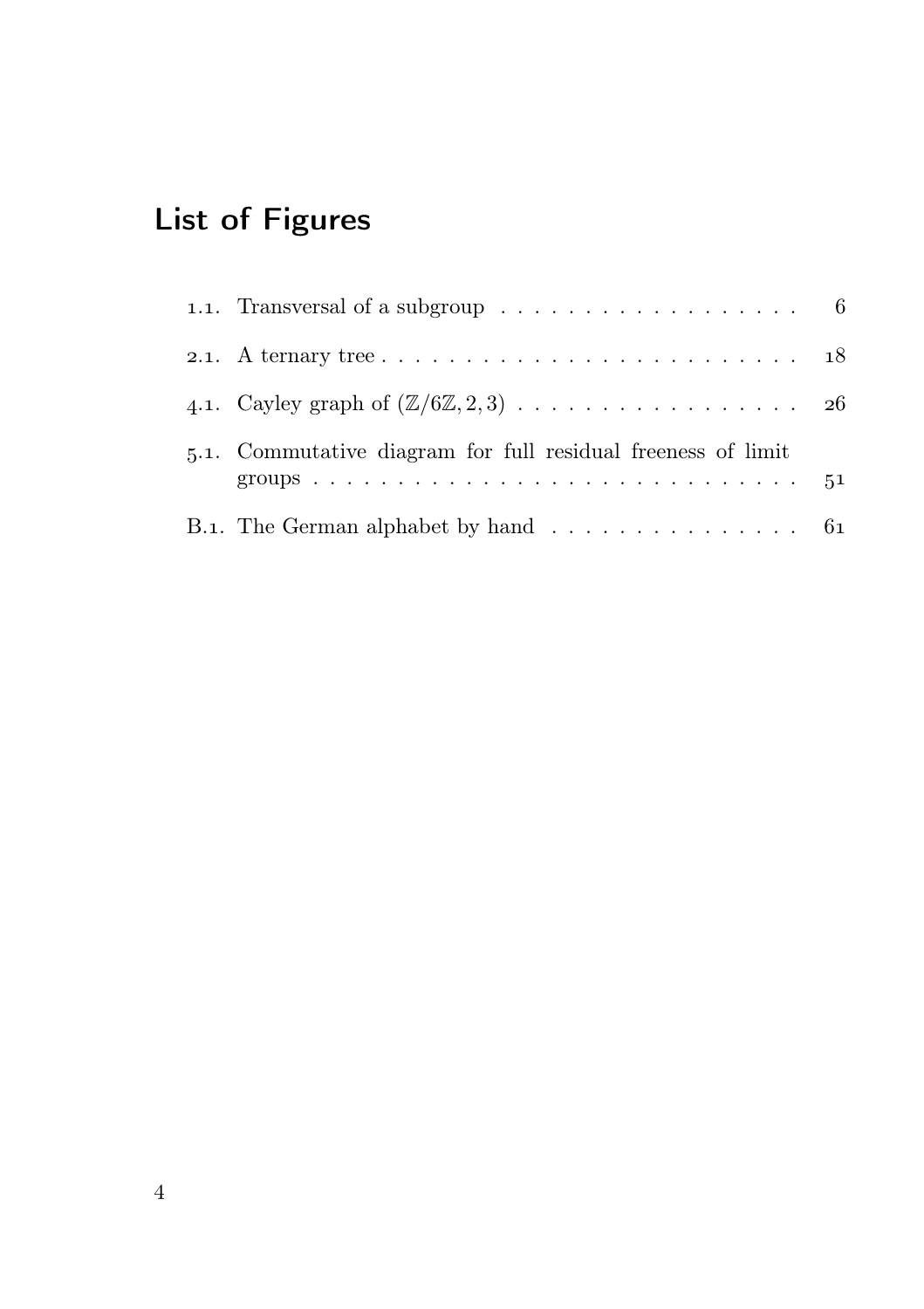## List of Figures

| 1.1. Transversal of a subgroup $\ldots \ldots \ldots \ldots \ldots \ldots$ 6                   |  |
|------------------------------------------------------------------------------------------------|--|
| 2.1. A ternary tree $\ldots \ldots \ldots \ldots \ldots \ldots \ldots \ldots \ldots \ldots 18$ |  |
|                                                                                                |  |
| 5.1. Commutative diagram for full residual freeness of limit                                   |  |
| B.1. The German alphabet by hand $\ldots \ldots \ldots \ldots \ldots$ 61                       |  |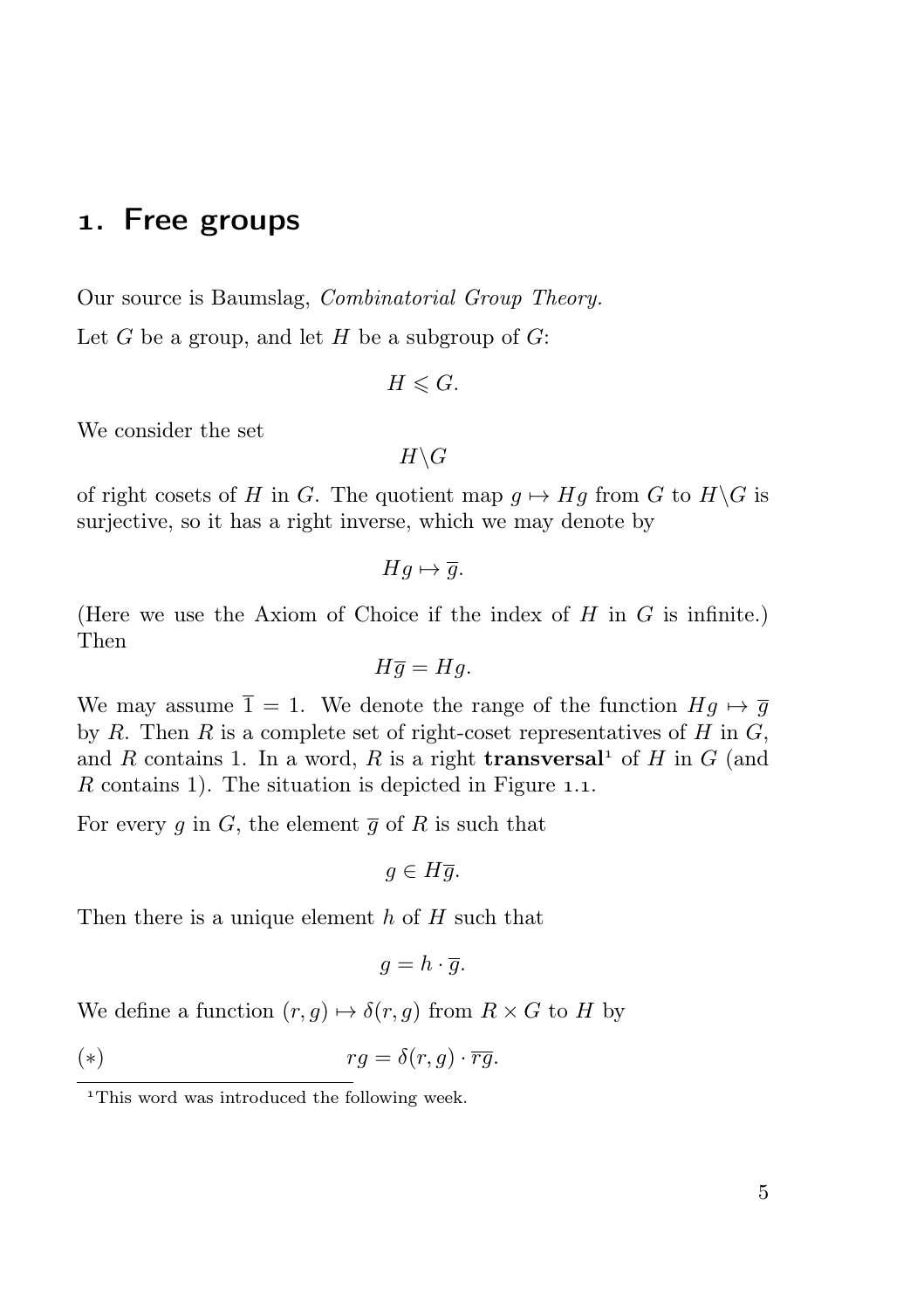#### . Free groups

Our source is Baumslag, Combinatorial Group Theory.

Let  $G$  be a group, and let  $H$  be a subgroup of  $G$ :

$$
H\leqslant G.
$$

We consider the set

$$
H\backslash G
$$

of right cosets of H in G. The quotient map  $g \mapsto Hg$  from G to  $H\backslash G$  is surjective, so it has a right inverse, which we may denote by

$$
Hg \mapsto \overline{g}.
$$

(Here we use the Axiom of Choice if the index of  $H$  in  $G$  is infinite.) Then

$$
H\overline{g} = Hg.
$$

We may assume  $\overline{1} = 1$ . We denote the range of the function  $Hg \mapsto \overline{g}$ by R. Then R is a complete set of right-coset representatives of H in  $G$ , and R contains 1. In a word, R is a right **transversal** of H in G (and R contains 1). The situation is depicted in Figure 1.1.

For every g in G, the element  $\overline{g}$  of R is such that

$$
g\in H\overline{g}.
$$

Then there is a unique element  $h$  of  $H$  such that

$$
g=h\cdot \overline{g}.
$$

We define a function  $(r, g) \mapsto \delta(r, g)$  from  $R \times G$  to H by

$$
rg = \delta(r, g) \cdot \overline{rg}.
$$

<sup>&</sup>lt;sup>1</sup>This word was introduced the following week.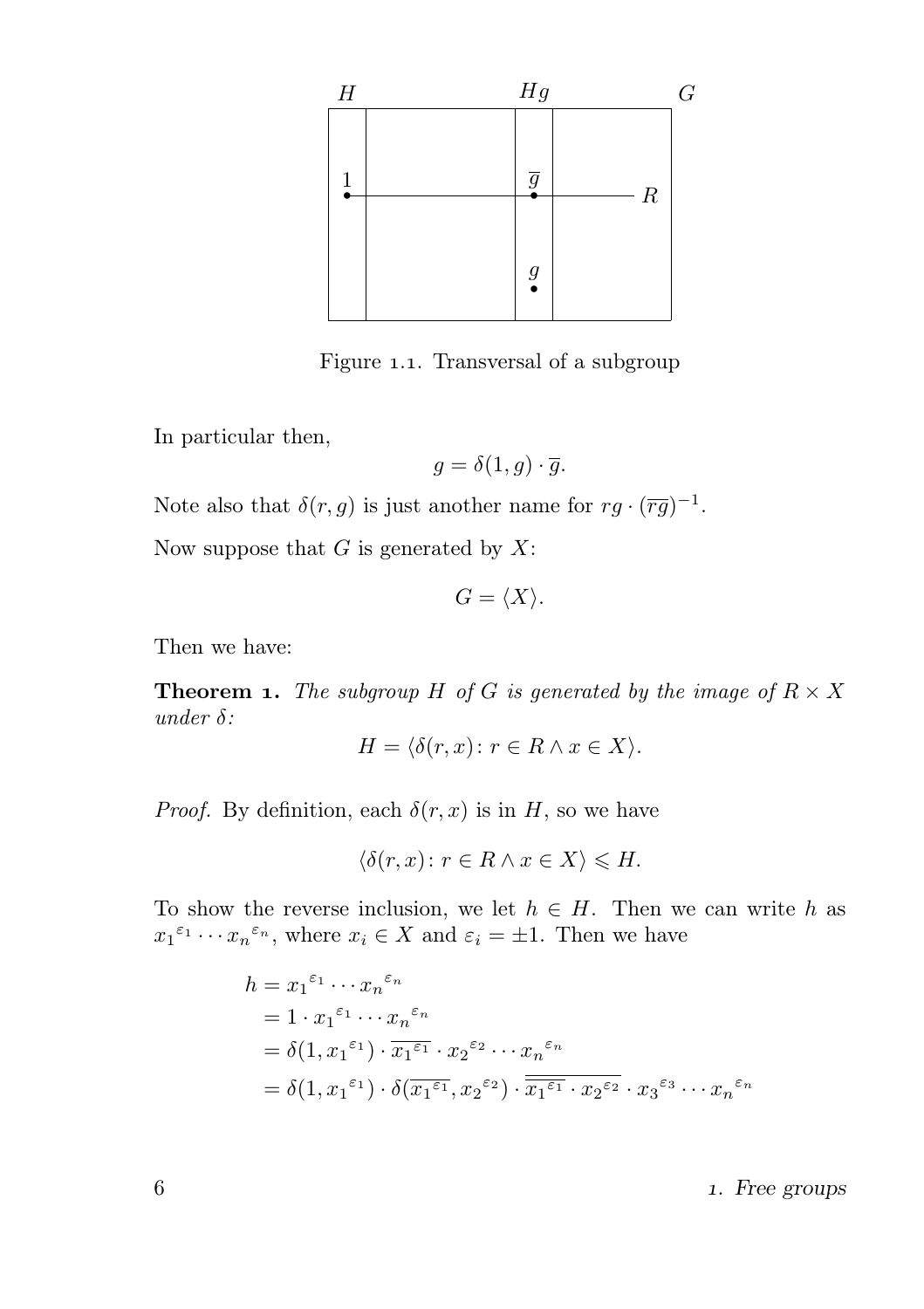

Figure 1.1. Transversal of a subgroup

In particular then,

$$
g = \delta(1, g) \cdot \overline{g}.
$$

Note also that  $\delta(r,g)$  is just another name for  $rg \cdot (\overline{rg})^{-1}$ .

Now suppose that  $G$  is generated by  $X$ :

$$
G=\langle X\rangle.
$$

Then we have:

**Theorem 1.** The subgroup H of G is generated by the image of  $R \times X$ under  $\delta$ :

$$
H = \langle \delta(r, x) \colon r \in R \land x \in X \rangle.
$$

*Proof.* By definition, each  $\delta(r, x)$  is in H, so we have

$$
\langle \delta(r, x) \colon r \in R \land x \in X \rangle \leq H.
$$

To show the reverse inclusion, we let  $h \in H$ . Then we can write h as  $x_1^{\varepsilon_1} \cdots x_n^{\varepsilon_n}$ , where  $x_i \in X$  and  $\varepsilon_i = \pm 1$ . Then we have

$$
h = x_1^{\varepsilon_1} \cdots x_n^{\varepsilon_n}
$$
  
=  $1 \cdot x_1^{\varepsilon_1} \cdots x_n^{\varepsilon_n}$   
=  $\delta(1, x_1^{\varepsilon_1}) \cdot \overline{x_1^{\varepsilon_1}} \cdot x_2^{\varepsilon_2} \cdots x_n^{\varepsilon_n}$   
=  $\delta(1, x_1^{\varepsilon_1}) \cdot \delta(\overline{x_1^{\varepsilon_1}}, x_2^{\varepsilon_2}) \cdot \overline{\overline{x_1^{\varepsilon_1}} \cdot x_2^{\varepsilon_2}} \cdot x_3^{\varepsilon_3} \cdots x_n^{\varepsilon_n}$ 

. Free groups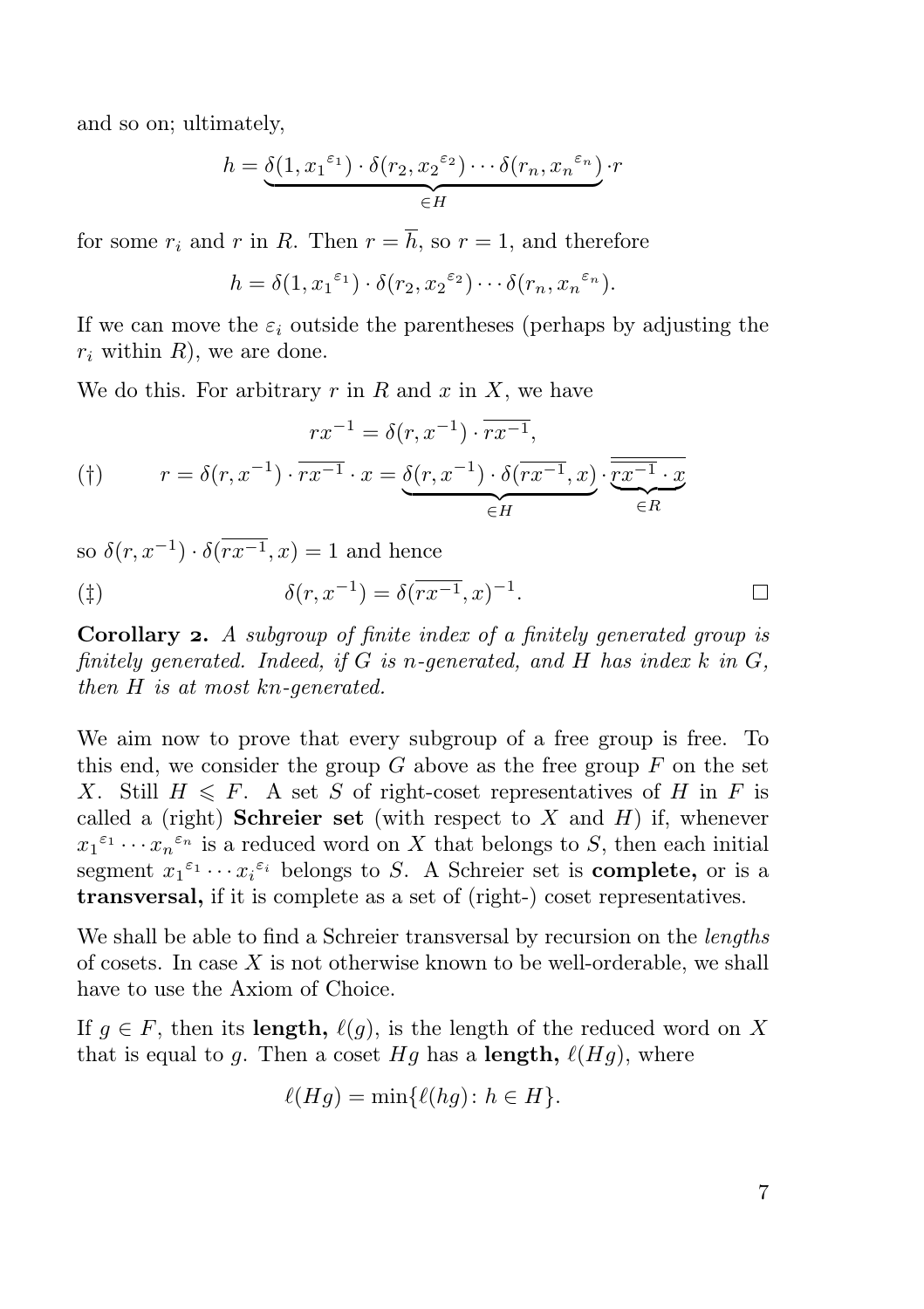and so on; ultimately,

$$
h = \underbrace{\delta(1, {x_1}^{\varepsilon_1}) \cdot \delta(r_2, {x_2}^{\varepsilon_2}) \cdots \delta(r_n, {x_n}^{\varepsilon_n})}_{\in H} \cdot r
$$

for some  $r_i$  and r in R. Then  $r = \overline{h}$ , so  $r = 1$ , and therefore

$$
h = \delta(1, x_1^{\varepsilon_1}) \cdot \delta(r_2, x_2^{\varepsilon_2}) \cdots \delta(r_n, x_n^{\varepsilon_n}).
$$

If we can move the  $\varepsilon_i$  outside the parentheses (perhaps by adjusting the  $r_i$  within R, we are done.

We do this. For arbitrary  $r$  in  $R$  and  $x$  in  $X$ , we have

$$
(†) \qquad r = \delta(r, x^{-1}) \cdot \overline{rx^{-1}} \cdot x = \underbrace{\delta(r, x^{-1}) \cdot \overline{r x^{-1}}}_{\in H},
$$
\n
$$
(†) \qquad r = \delta(r, x^{-1}) \cdot \overline{r x^{-1}} \cdot x = \underbrace{\delta(r, x^{-1}) \cdot \delta(\overline{r x^{-1}}, x)}_{\in H} \cdot \overline{\overline{r x^{-1}} \cdot x}
$$

so  $\delta(r, x^{-1}) \cdot \delta(\overline{rx^{-1}}, x) = 1$  and hence

$$
(\ddagger) \qquad \delta(r, x^{-1}) = \delta(\overline{rx^{-1}}, x)^{-1}.
$$

Corollary 2. A subgroup of finite index of a finitely generated group is finitely generated. Indeed, if  $G$  is n-generated, and  $H$  has index  $k$  in  $G$ . then H is at most kn-generated.

We aim now to prove that every subgroup of a free group is free. To this end, we consider the group  $G$  above as the free group  $F$  on the set X. Still  $H \leq F$ . A set S of right-coset representatives of H in F is called a (right) **Schreier set** (with respect to  $X$  and  $H$ ) if, whenever  $x_1^{\varepsilon_1} \cdots x_n^{\varepsilon_n}$  is a reduced word on X that belongs to S, then each initial segment  $x_1^{\varepsilon_1} \cdots x_i^{\varepsilon_i}$  belongs to S. A Schreier set is **complete**, or is a transversal, if it is complete as a set of (right-) coset representatives.

We shall be able to find a Schreier transversal by recursion on the *lengths* of cosets. In case  $X$  is not otherwise known to be well-orderable, we shall have to use the Axiom of Choice.

If  $q \in F$ , then its length,  $\ell(q)$ , is the length of the reduced word on X that is equal to q. Then a coset Hq has a **length**,  $\ell(Hq)$ , where

$$
\ell(Hg) = \min\{\ell(hg) : h \in H\}.
$$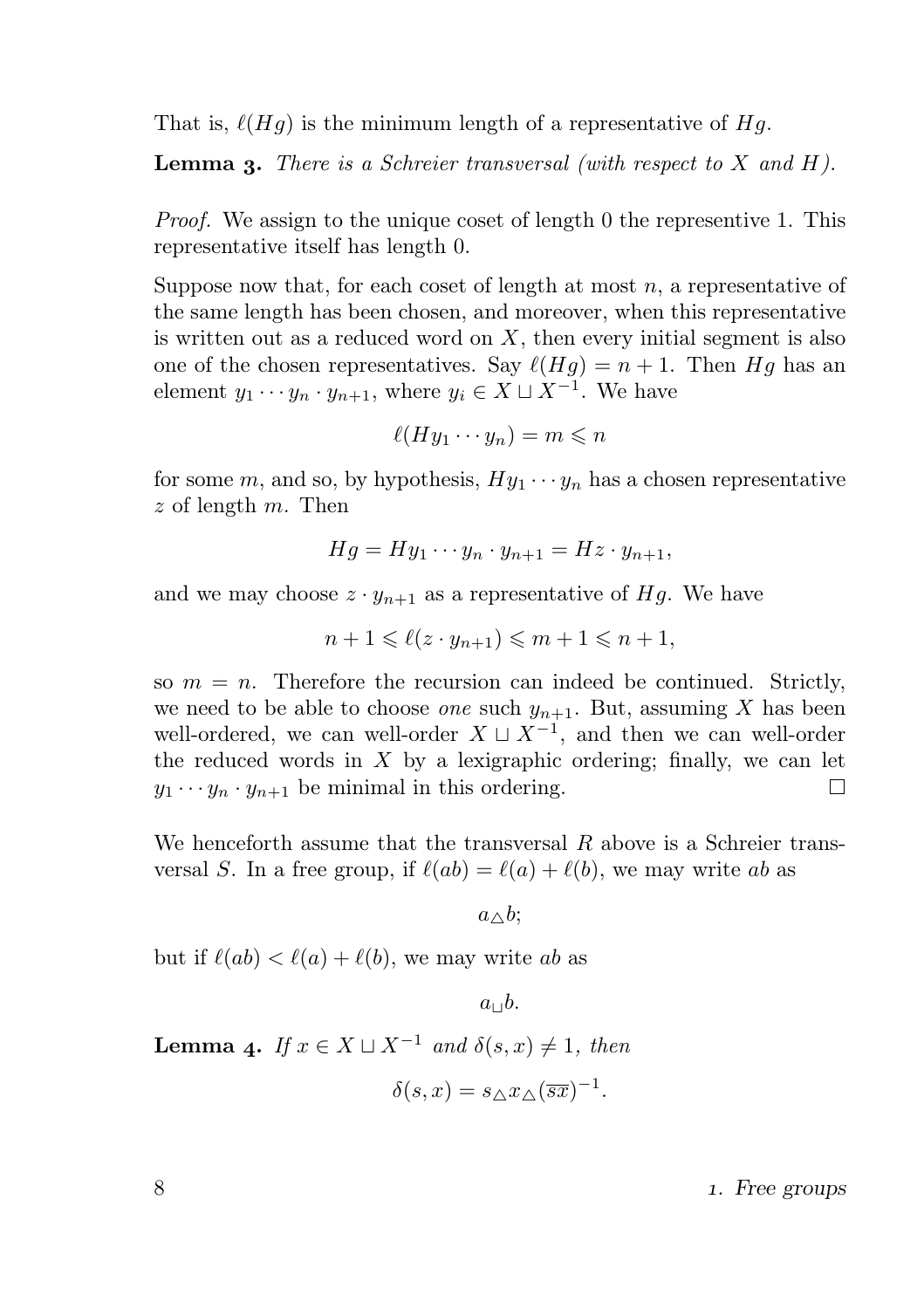That is,  $\ell(Hg)$  is the minimum length of a representative of Hg.

**Lemma 3.** There is a Schreier transversal (with respect to  $X$  and  $H$ ).

Proof. We assign to the unique coset of length 0 the representive 1. This representative itself has length 0.

Suppose now that, for each coset of length at most  $n$ , a representative of the same length has been chosen, and moreover, when this representative is written out as a reduced word on  $X$ , then every initial segment is also one of the chosen representatives. Say  $\ell(Hq) = n + 1$ . Then Hq has an element  $y_1 \cdots y_n \cdot y_{n+1}$ , where  $y_i \in X \sqcup X^{-1}$ . We have

$$
\ell(Hy_1\cdots y_n)=m\leqslant n
$$

for some m, and so, by hypothesis,  $Hy_1 \cdots y_n$  has a chosen representative  $z$  of length  $m$ . Then

$$
Hg = Hy_1 \cdots y_n \cdot y_{n+1} = Hz \cdot y_{n+1},
$$

and we may choose  $z \cdot y_{n+1}$  as a representative of Hg. We have

$$
n+1 \leq \ell(z \cdot y_{n+1}) \leq m+1 \leq n+1,
$$

so  $m = n$ . Therefore the recursion can indeed be continued. Strictly, we need to be able to choose *one* such  $y_{n+1}$ . But, assuming X has been well-ordered, we can well-order  $X \sqcup X^{-1}$ , and then we can well-order the reduced words in  $X$  by a lexigraphic ordering; finally, we can let  $y_1 \cdots y_n \cdot y_{n+1}$  be minimal in this ordering. П

We henceforth assume that the transversal  $R$  above is a Schreier transversal S. In a free group, if  $\ell(ab) = \ell(a) + \ell(b)$ , we may write ab as

 $a \wedge b$ ;

but if  $\ell(ab) < \ell(a) + \ell(b)$ , we may write ab as

 $a_{\perp}$ <sub>b</sub>.

**Lemma 4.** If  $x \in X \sqcup X^{-1}$  and  $\delta(s, x) \neq 1$ , then

$$
\delta(s, x) = s_{\triangle} x_{\triangle} (\overline{sx})^{-1}.
$$

. Free groups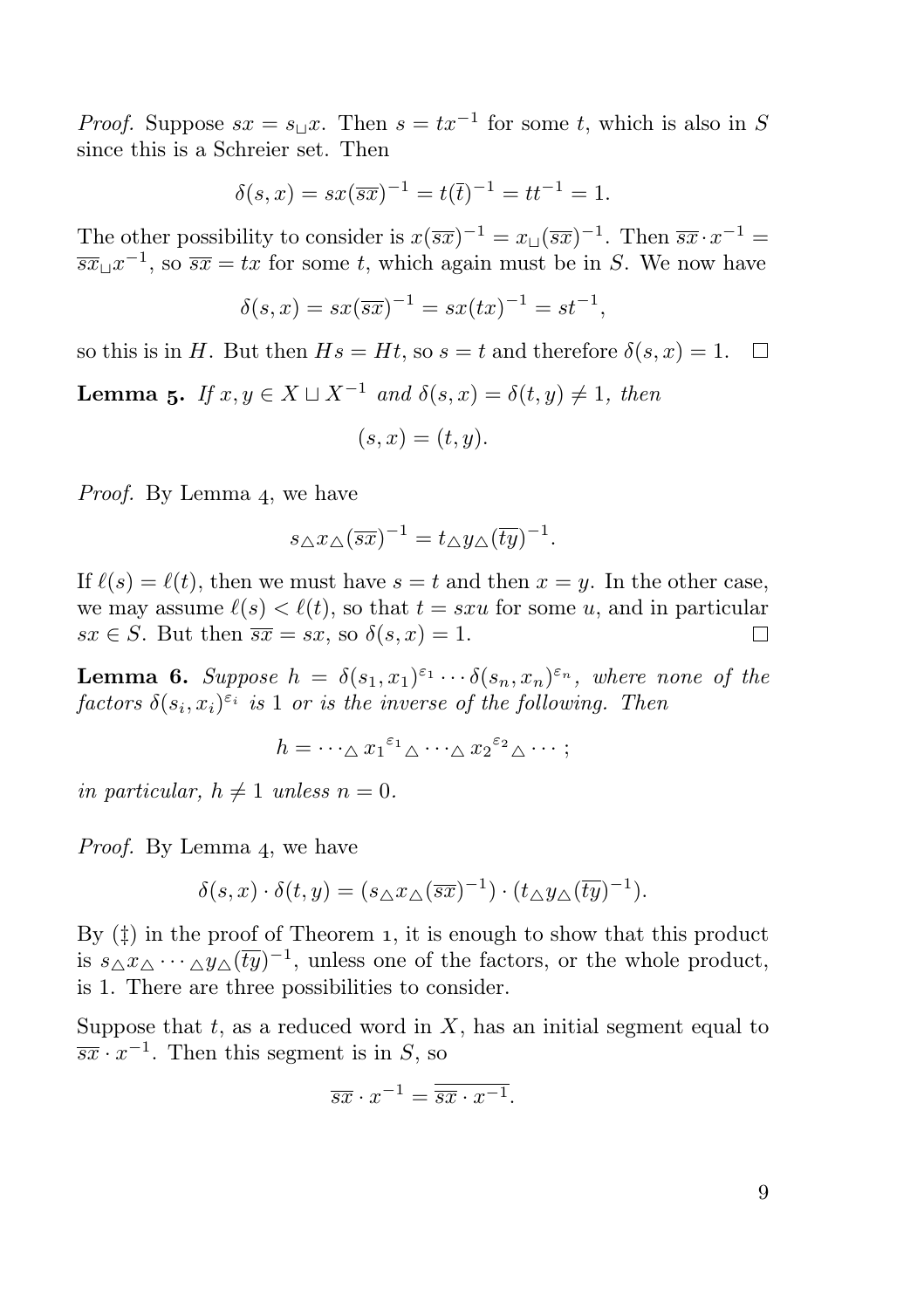*Proof.* Suppose  $sx = s_\sqcup x$ . Then  $s = tx^{-1}$  for some t, which is also in S since this is a Schreier set. Then

$$
\delta(s, x) = sx(\overline{s}x)^{-1} = t(\overline{t})^{-1} = tt^{-1} = 1.
$$

The other possibility to consider is  $x(\overline{sx})^{-1} = x \Box (\overline{sx})^{-1}$ . Then  $\overline{sx} \cdot x^{-1} =$  $\overline{s}x \perp x^{-1}$ , so  $\overline{s}x = tx$  for some t, which again must be in S. We now have

$$
\delta(s, x) = sx(\overline{s}x)^{-1} = sx(tx)^{-1} = st^{-1},
$$

so this is in H. But then  $Hs = Ht$ , so  $s = t$  and therefore  $\delta(s, x) = 1$ .  $\Box$ 

**Lemma 5.** If  $x, y \in X \sqcup X^{-1}$  and  $\delta(s, x) = \delta(t, y) \neq 1$ , then

$$
(s,x)=(t,y).
$$

*Proof.* By Lemma 4, we have

$$
s_{\triangle} x_{\triangle} (\overline{sx})^{-1} = t_{\triangle} y_{\triangle} (\overline{ty})^{-1}.
$$

If  $\ell(s) = \ell(t)$ , then we must have  $s = t$  and then  $x = y$ . In the other case, we may assume  $\ell(s) < \ell(t)$ , so that  $t = s x u$  for some u, and in particular  $sx \in S$ . But then  $\overline{sx} = sx$ , so  $\delta(s, x) = 1$ .  $\Box$ 

**Lemma 6.** Suppose  $h = \delta(s_1, x_1)^{\varepsilon_1} \cdots \delta(s_n, x_n)^{\varepsilon_n}$ , where none of the factors  $\delta(s_i, x_i)^{\varepsilon_i}$  is 1 or is the inverse of the following. Then

$$
h = \cdots \Delta x_1^{\varepsilon_1} \Delta \cdots \Delta x_2^{\varepsilon_2} \Delta \cdots;
$$

in particular,  $h \neq 1$  unless  $n = 0$ .

Proof. By Lemma 4, we have

$$
\delta(s,x) \cdot \delta(t,y) = (s_{\triangle} x_{\triangle} (\overline{sx})^{-1}) \cdot (t_{\triangle} y_{\triangle} (\overline{ty})^{-1}).
$$

By  $(\ddagger)$  in the proof of Theorem 1, it is enough to show that this product is  $s_{\Delta} x_{\Delta} \cdots_{\Delta} y_{\Delta} (\overline{ty})^{-1}$ , unless one of the factors, or the whole product, is 1. There are three possibilities to consider.

Suppose that  $t$ , as a reduced word in  $X$ , has an initial segment equal to  $\overline{s}x \cdot x^{-1}$ . Then this segment is in S, so

$$
\overline{s}\overline{x} \cdot x^{-1} = \overline{\overline{s}\overline{x} \cdot x^{-1}}.
$$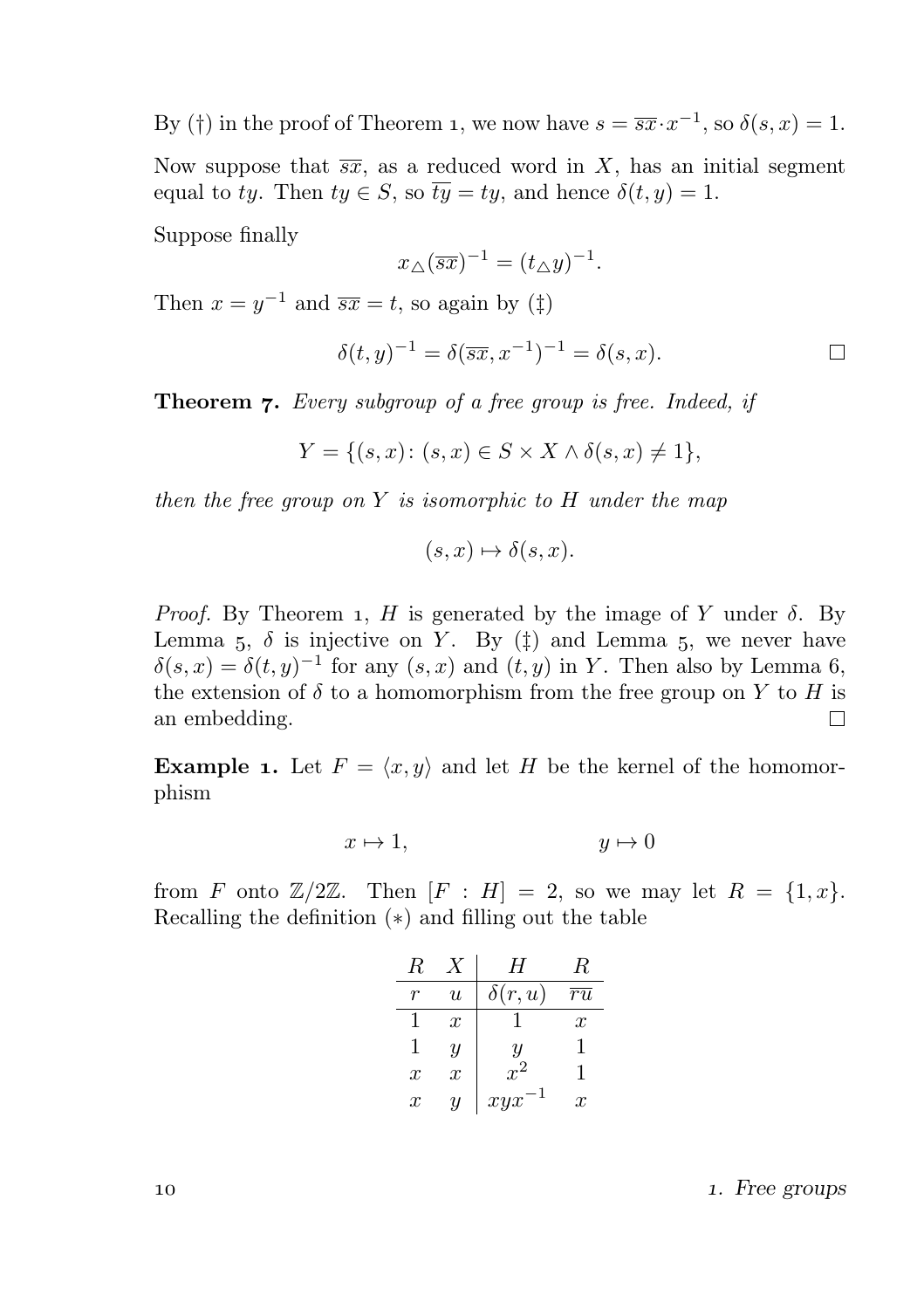By (†) in the proof of Theorem 1, we now have  $s = \overline{s}x \cdot x^{-1}$ , so  $\delta(s, x) = 1$ .

Now suppose that  $\overline{s}\overline{x}$ , as a reduced word in X, has an initial segment equal to ty. Then  $ty \in S$ , so  $\overline{ty} = ty$ , and hence  $\delta(t, y) = 1$ .

Suppose finally

$$
x_{\triangle}(\overline{sx})^{-1} = (t_{\triangle}y)^{-1}.
$$

Then  $x = y^{-1}$  and  $\overline{s}x = t$ , so again by  $(\ddagger)$ 

$$
\delta(t, y)^{-1} = \delta(\overline{sx}, x^{-1})^{-1} = \delta(s, x).
$$

**Theorem 7.** Every subgroup of a free group is free. Indeed, if

$$
Y = \{(s, x) \colon (s, x) \in S \times X \land \delta(s, x) \neq 1\},\
$$

then the free group on Y is isomorphic to H under the map

$$
(s, x) \mapsto \delta(s, x).
$$

*Proof.* By Theorem 1, H is generated by the image of Y under  $\delta$ . By Lemma 5,  $\delta$  is injective on Y. By ( $\ddagger$ ) and Lemma 5, we never have  $\delta(s,x) = \delta(t,y)^{-1}$  for any  $(s,x)$  and  $(t,y)$  in Y. Then also by Lemma 6, the extension of  $\delta$  to a homomorphism from the free group on Y to H is an embedding.  $\Box$ 

**Example 1.** Let  $F = \langle x, y \rangle$  and let H be the kernel of the homomorphism

$$
x \mapsto 1, \qquad \qquad y \mapsto 0
$$

from F onto  $\mathbb{Z}/2\mathbb{Z}$ . Then  $[F : H] = 2$ , so we may let  $R = \{1, x\}$ . Recalling the definition (∗) and filling out the table

| R                |                  | H                  | R                |
|------------------|------------------|--------------------|------------------|
|                  | $\boldsymbol{u}$ | $\delta(r, u)$     | ru               |
|                  | $\boldsymbol{x}$ |                    | $\boldsymbol{x}$ |
| 1                | Ч                | $\boldsymbol{y}$   | 1                |
| $\boldsymbol{x}$ | $\overline{x}$   | $\boldsymbol{x}^2$ | 1                |
| $\boldsymbol{x}$ | у                | xyx                | $\boldsymbol{x}$ |

10 10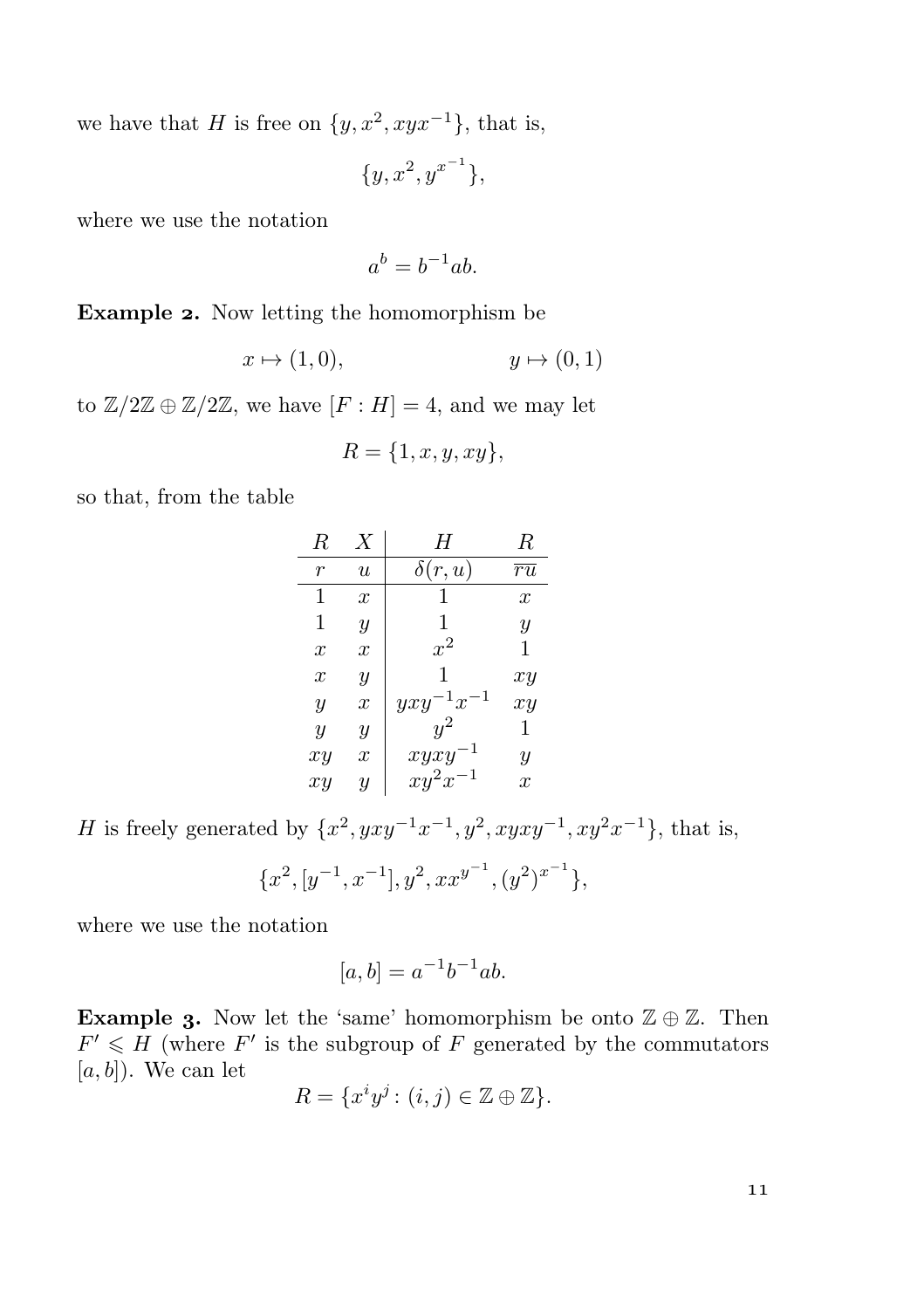we have that H is free on  $\{y, x^2, xyx^{-1}\}$ , that is,

$$
\{y, x^2, y^{x^{-1}}\},\
$$

where we use the notation

$$
a^b = b^{-1}ab.
$$

Example 2. Now letting the homomorphism be

$$
x \mapsto (1,0), \qquad \qquad y \mapsto (0,1)
$$

to  $\mathbb{Z}/2\mathbb{Z} \oplus \mathbb{Z}/2\mathbb{Z}$ , we have  $[F:H] = 4$ , and we may let

$$
R = \{1, x, y, xy\},\
$$

so that, from the table

| R                | Х                | H                | R                |
|------------------|------------------|------------------|------------------|
| r                | $\boldsymbol{u}$ | δ<br>r, u)       | $\overline{ru}$  |
| 1                | $\boldsymbol{x}$ | 1                | $\boldsymbol{x}$ |
| 1                | $\overline{y}$   | 1                | $\boldsymbol{y}$ |
| $\boldsymbol{x}$ | $\boldsymbol{x}$ | $x^2$            | 1                |
| $\boldsymbol{x}$ | Y                | 1                | xy               |
| Y                | $\boldsymbol{x}$ | $1x^{-1}$<br>yxy | xy               |
| $\boldsymbol{y}$ | $\overline{y}$   |                  |                  |
| xy               | $\boldsymbol{x}$ | xyxy             | Y                |
| xy               | Y                | $xy^2x^{-1}$     | $\boldsymbol{x}$ |

H is freely generated by  $\{x^2, yxy^{-1}x^{-1}, y^2, xyxy^{-1}, xy^2x^{-1}\}$ , that is,

$$
\{x^2, [y^{-1},x^{-1}], y^2, xx^{y^{-1}}, (y^2)^{x^{-1}}\},
$$

where we use the notation

$$
[a,b] = a^{-1}b^{-1}ab.
$$

Example 3. Now let the 'same' homomorphism be onto  $\mathbb{Z} \oplus \mathbb{Z}$ . Then  $F' \leq H$  (where F' is the subgroup of F generated by the commutators  $[a, b]$ ). We can let

$$
R = \{x^i y^j : (i, j) \in \mathbb{Z} \oplus \mathbb{Z}\}.
$$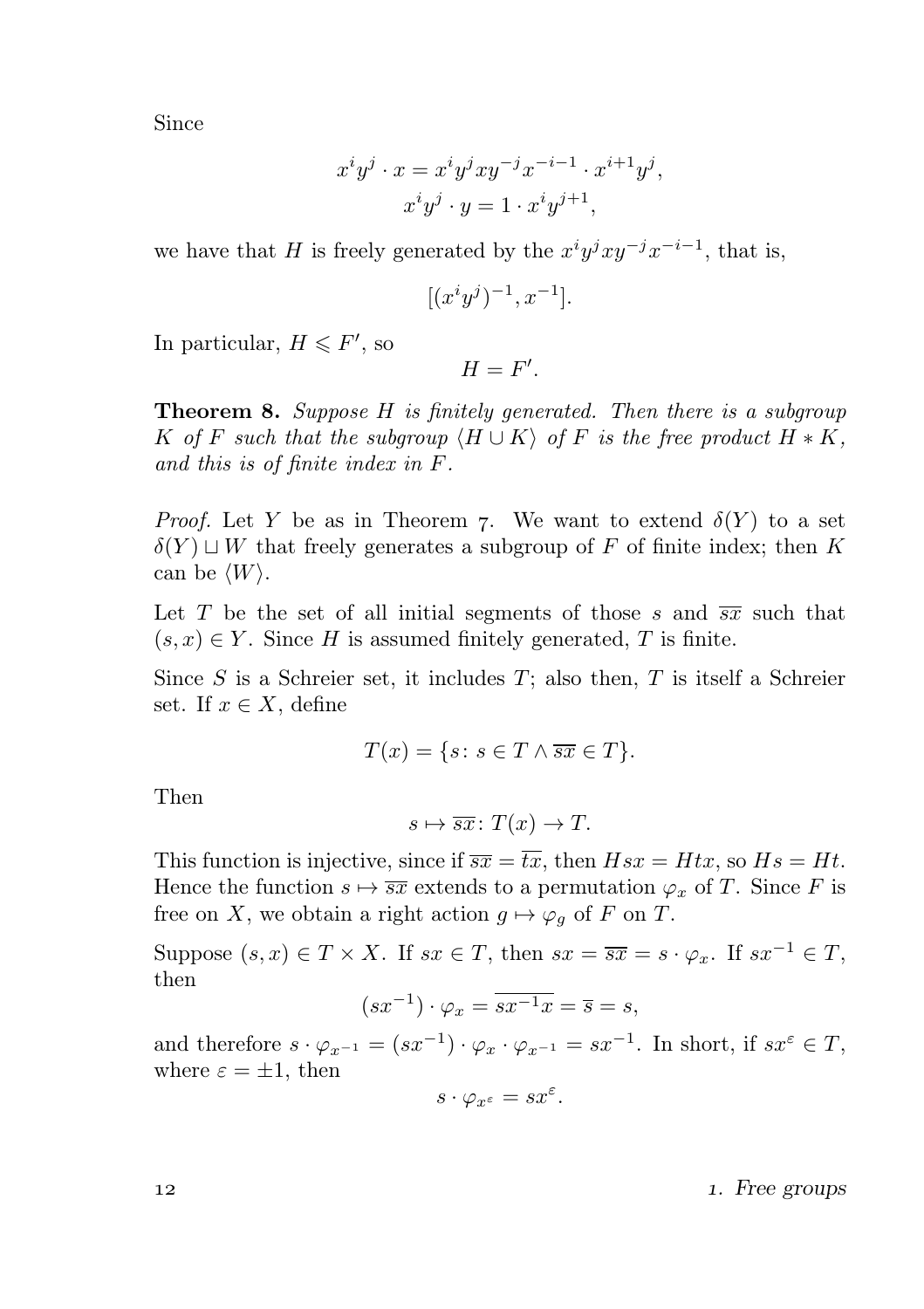Since

$$
x^i y^j \cdot x = x^i y^j xy^{-j} x^{-i-1} \cdot x^{i+1} y^j,
$$
  
\n
$$
x^i y^j \cdot y = 1 \cdot x^i y^{j+1},
$$

we have that H is freely generated by the  $x^{i}y^{j}xy^{-j}x^{-i-1}$ , that is,

$$
[(x^i y^j)^{-1}, x^{-1}].
$$

In particular,  $H \leq F'$ , so

$$
H=F'.
$$

**Theorem 8.** Suppose  $H$  is finitely generated. Then there is a subgroup K of F such that the subgroup  $\langle H \cup K \rangle$  of F is the free product  $H * K$ , and this is of finite index in F.

*Proof.* Let Y be as in Theorem 7. We want to extend  $\delta(Y)$  to a set  $\delta(Y) \sqcup W$  that freely generates a subgroup of F of finite index; then K can be  $\langle W \rangle$ .

Let T be the set of all initial segments of those s and  $\overline{s}x$  such that  $(s, x) \in Y$ . Since H is assumed finitely generated, T is finite.

Since  $S$  is a Schreier set, it includes  $T$ ; also then,  $T$  is itself a Schreier set. If  $x \in X$ , define

$$
T(x) = \{ s \colon s \in T \land \overline{sx} \in T \}.
$$

Then

$$
s \mapsto \overline{sx} \colon T(x) \to T.
$$

This function is injective, since if  $\overline{s}x = \overline{tx}$ , then  $Hsx = Htx$ , so  $Hs = Ht$ . Hence the function  $s \mapsto \overline{sx}$  extends to a permutation  $\varphi_x$  of T. Since F is free on X, we obtain a right action  $g \mapsto \varphi_g$  of F on T.

Suppose  $(s, x) \in T \times X$ . If  $sx \in T$ , then  $sx = \overline{sx} = s \cdot \varphi_x$ . If  $sx^{-1} \in T$ , then

$$
(sx^{-1}) \cdot \varphi_x = \overline{sx^{-1}x} = \overline{s} = s,
$$

and therefore  $s \cdot \varphi_{x^{-1}} = (sx^{-1}) \cdot \varphi_x \cdot \varphi_{x^{-1}} = sx^{-1}$ . In short, if  $sx^{\varepsilon} \in T$ , where  $\varepsilon = \pm 1$ , then

$$
s\cdot \varphi_{x^\varepsilon}=sx^\varepsilon.
$$

12 and 12 and 12 and 12 and 12 and 12 and 12 and 12 and 12 and 12 and 12 and 12 and 12 and 12 and 12 and 12 and 12 and 12 and 12 and 12 and 12 and 12 and 12 and 12 and 12 and 12 and 12 and 12 and 12 and 12 and 12 and 12 an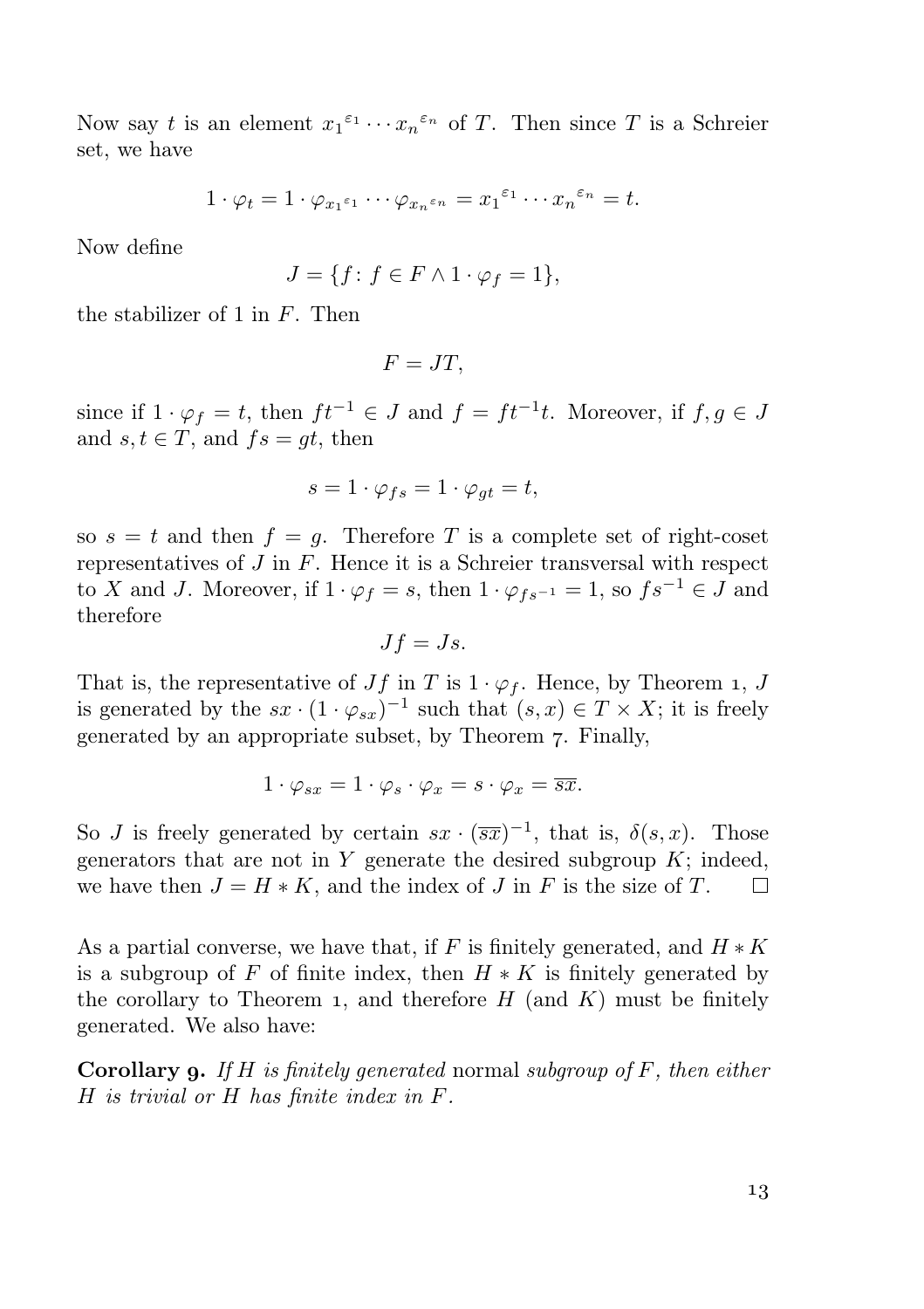Now say t is an element  $x_1^{\varepsilon_1} \cdots x_n^{\varepsilon_n}$  of T. Then since T is a Schreier set, we have

$$
1 \cdot \varphi_t = 1 \cdot \varphi_{x_1^{\varepsilon_1}} \cdots \varphi_{x_n^{\varepsilon_n}} = x_1^{\varepsilon_1} \cdots x_n^{\varepsilon_n} = t.
$$

Now define

$$
J = \{ f \colon f \in F \wedge 1 \cdot \varphi_f = 1 \},\
$$

the stabilizer of 1 in  $F$ . Then

$$
F=JT,
$$

since if  $1 \cdot \varphi_f = t$ , then  $ft^{-1} \in J$  and  $f = ft^{-1}t$ . Moreover, if  $f, g \in J$ and  $s, t \in T$ , and  $fs = at$ , then

$$
s = 1 \cdot \varphi_{fs} = 1 \cdot \varphi_{gt} = t,
$$

so  $s = t$  and then  $f = g$ . Therefore T is a complete set of right-coset representatives of  $J$  in  $F$ . Hence it is a Schreier transversal with respect to X and J. Moreover, if  $1 \cdot \varphi_f = s$ , then  $1 \cdot \varphi_{fs^{-1}} = 1$ , so  $fs^{-1} \in J$  and therefore

$$
Jf=Js.
$$

That is, the representative of  $Jf$  in T is  $1 \cdot \varphi_f$ . Hence, by Theorem 1, J is generated by the  $sx \cdot (1 \cdot \varphi_{sx})^{-1}$  such that  $(s, x) \in T \times X$ ; it is freely generated by an appropriate subset, by Theorem 7. Finally,

$$
1 \cdot \varphi_{sx} = 1 \cdot \varphi_s \cdot \varphi_x = s \cdot \varphi_x = \overline{sx}.
$$

So J is freely generated by certain  $sx \cdot (\overline{sx})^{-1}$ , that is,  $\delta(s, x)$ . Those generators that are not in  $Y$  generate the desired subgroup  $K$ ; indeed, we have then  $J = H \ast K$ , and the index of J in F is the size of T.  $\Box$ 

As a partial converse, we have that, if F is finitely generated, and  $H \ast K$ is a subgroup of F of finite index, then  $H * K$  is finitely generated by the corollary to Theorem 1, and therefore  $H$  (and  $K$ ) must be finitely generated. We also have:

**Corollary 9.** If H is finitely generated normal subgroup of F, then either H is trivial or H has finite index in F.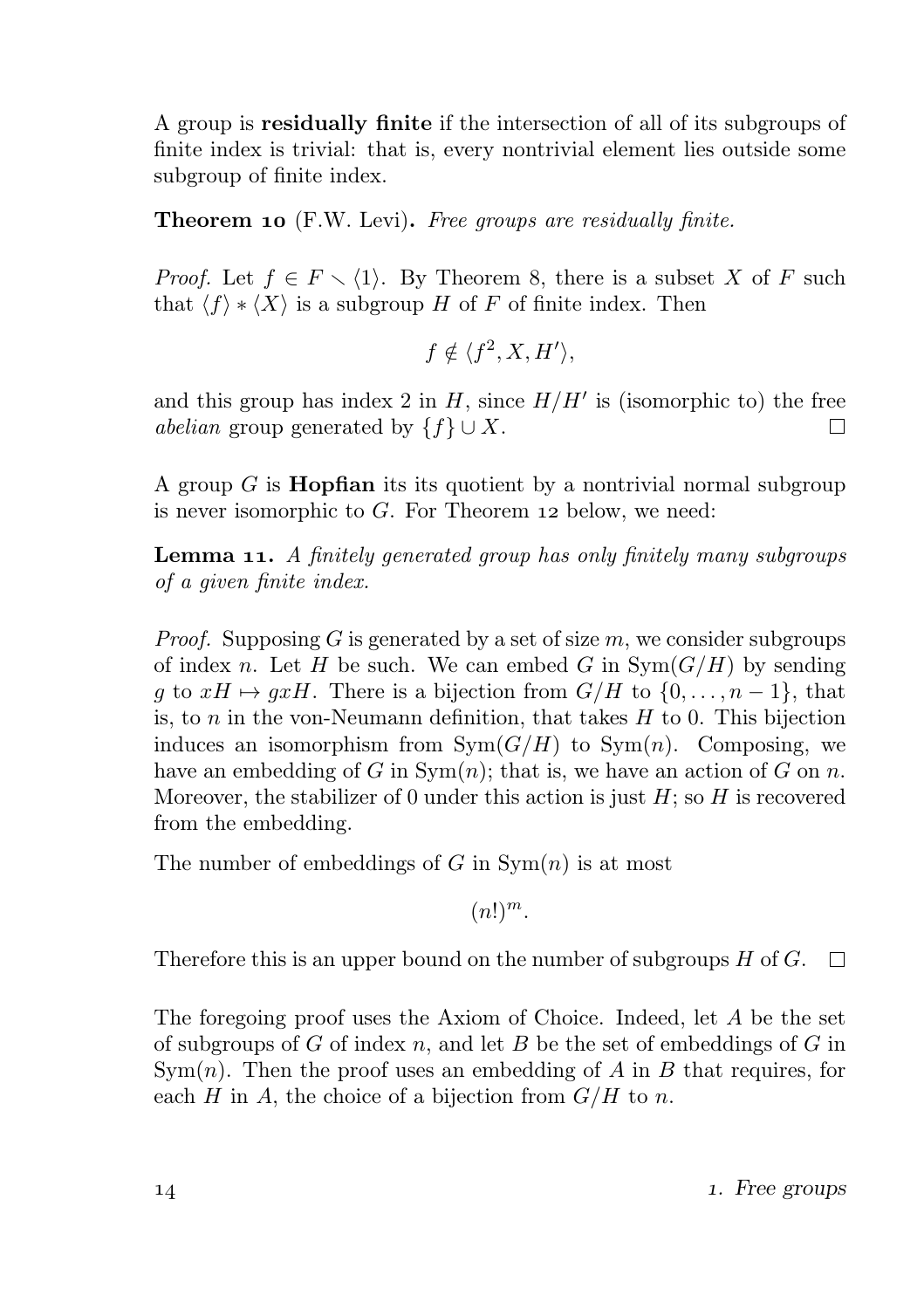A group is residually finite if the intersection of all of its subgroups of finite index is trivial: that is, every nontrivial element lies outside some subgroup of finite index.

**Theorem 10** (F.W. Levi). Free groups are residually finite.

*Proof.* Let  $f \in F \setminus \{1\}$ . By Theorem 8, there is a subset X of F such that  $\langle f \rangle * \langle X \rangle$  is a subgroup H of F of finite index. Then

$$
f \notin \langle f^2, X, H' \rangle,
$$

and this group has index 2 in  $H$ , since  $H/H'$  is (isomorphic to) the free abelian group generated by  $\{f\} \cup X$ . П

A group  $G$  is **Hopfian** its its quotient by a nontrivial normal subgroup is never isomorphic to  $G$ . For Theorem 12 below, we need:

**Lemma 11.** A finitely generated group has only finitely many subgroups of a given finite index.

*Proof.* Supposing G is generated by a set of size  $m$ , we consider subgroups of index n. Let H be such. We can embed G in  $Sym(G/H)$  by sending g to  $xH \mapsto gxH$ . There is a bijection from  $G/H$  to  $\{0, \ldots, n-1\}$ , that is, to  $n$  in the von-Neumann definition, that takes  $H$  to 0. This bijection induces an isomorphism from  $Sym(G/H)$  to  $Sym(n)$ . Composing, we have an embedding of G in  $Sym(n)$ ; that is, we have an action of G on n. Moreover, the stabilizer of 0 under this action is just  $H$ ; so  $H$  is recovered from the embedding.

The number of embeddings of G in  $Sym(n)$  is at most

 $(n!)^m$ .

Therefore this is an upper bound on the number of subgroups H of G.  $\Box$ 

The foregoing proof uses the Axiom of Choice. Indeed, let A be the set of subgroups of  $G$  of index  $n$ , and let  $B$  be the set of embeddings of  $G$  in  $Sym(n)$ . Then the proof uses an embedding of A in B that requires, for each H in A, the choice of a bijection from  $G/H$  to n.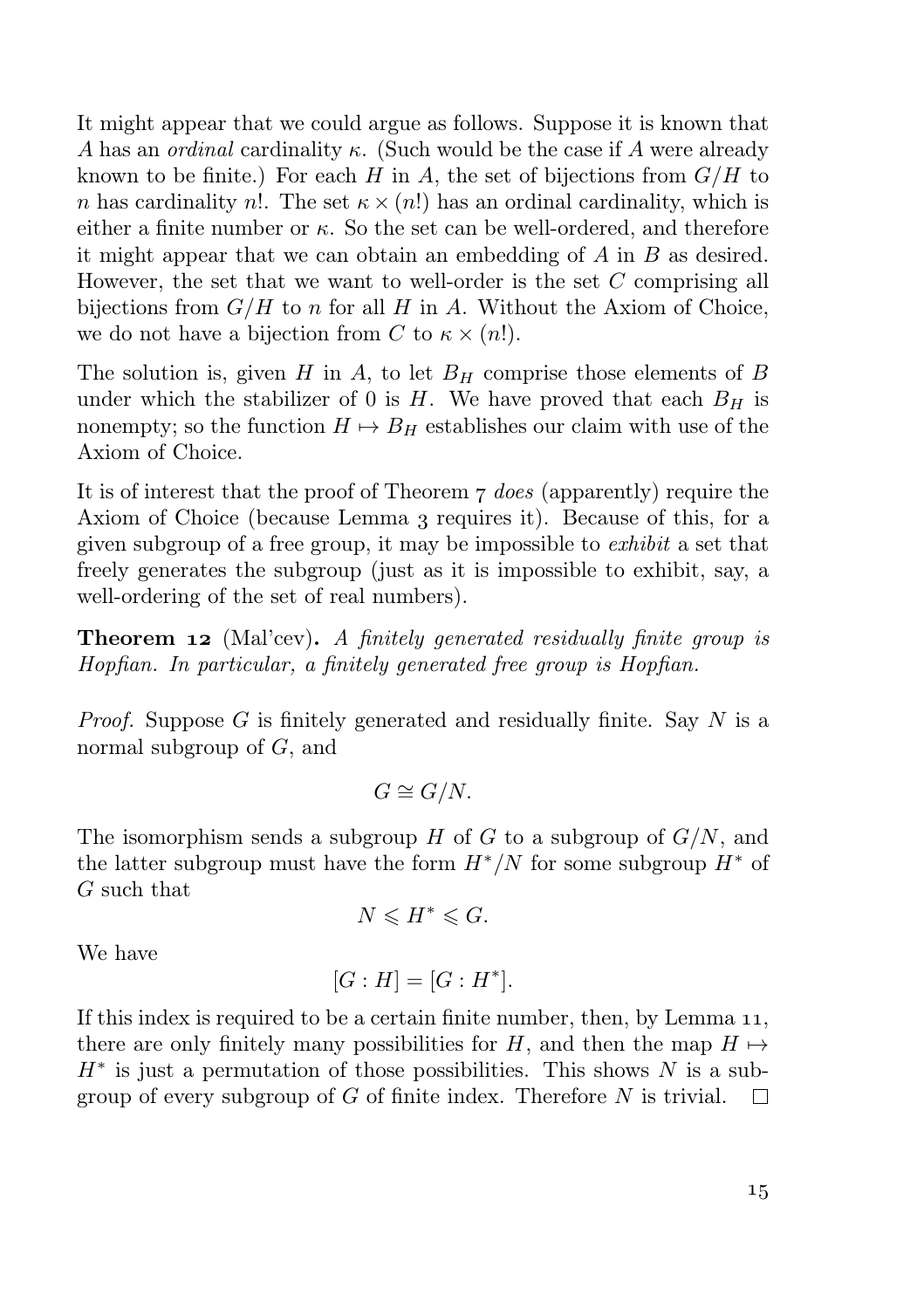It might appear that we could argue as follows. Suppose it is known that A has an *ordinal* cardinality  $\kappa$ . (Such would be the case if A were already known to be finite.) For each  $H$  in  $A$ , the set of bijections from  $G/H$  to n has cardinality n!. The set  $\kappa \times (n!)$  has an ordinal cardinality, which is either a finite number or  $\kappa$ . So the set can be well-ordered, and therefore it might appear that we can obtain an embedding of A in B as desired. However, the set that we want to well-order is the set C comprising all bijections from  $G/H$  to n for all H in A. Without the Axiom of Choice, we do not have a bijection from C to  $\kappa \times (n!)$ .

The solution is, given  $H$  in  $A$ , to let  $B<sub>H</sub>$  comprise those elements of  $B$ under which the stabilizer of 0 is H. We have proved that each  $B_H$  is nonempty; so the function  $H \mapsto B_H$  establishes our claim with use of the Axiom of Choice.

It is of interest that the proof of Theorem  $\tau$  does (apparently) require the Axiom of Choice (because Lemma 3 requires it). Because of this, for a given subgroup of a free group, it may be impossible to *exhibit* a set that freely generates the subgroup (just as it is impossible to exhibit, say, a well-ordering of the set of real numbers).

**Theorem 12** (Mal'cev). A finitely generated residually finite group is Hopfian. In particular, a finitely generated free group is Hopfian.

*Proof.* Suppose G is finitely generated and residually finite. Say N is a normal subgroup of G, and

$$
G \cong G/N.
$$

The isomorphism sends a subgroup  $H$  of  $G$  to a subgroup of  $G/N$ , and the latter subgroup must have the form  $H^*/N$  for some subgroup  $H^*$  of G such that

$$
N\leqslant H^*\leqslant G.
$$

We have

 $[G : H] = [G : H^*].$ 

If this index is required to be a certain finite number, then, by Lemma  $11$ , there are only finitely many possibilities for H, and then the map  $H \mapsto$  $H^*$  is just a permutation of those possibilities. This shows N is a subgroup of every subgroup of  $G$  of finite index. Therefore  $N$  is trivial.  $\Box$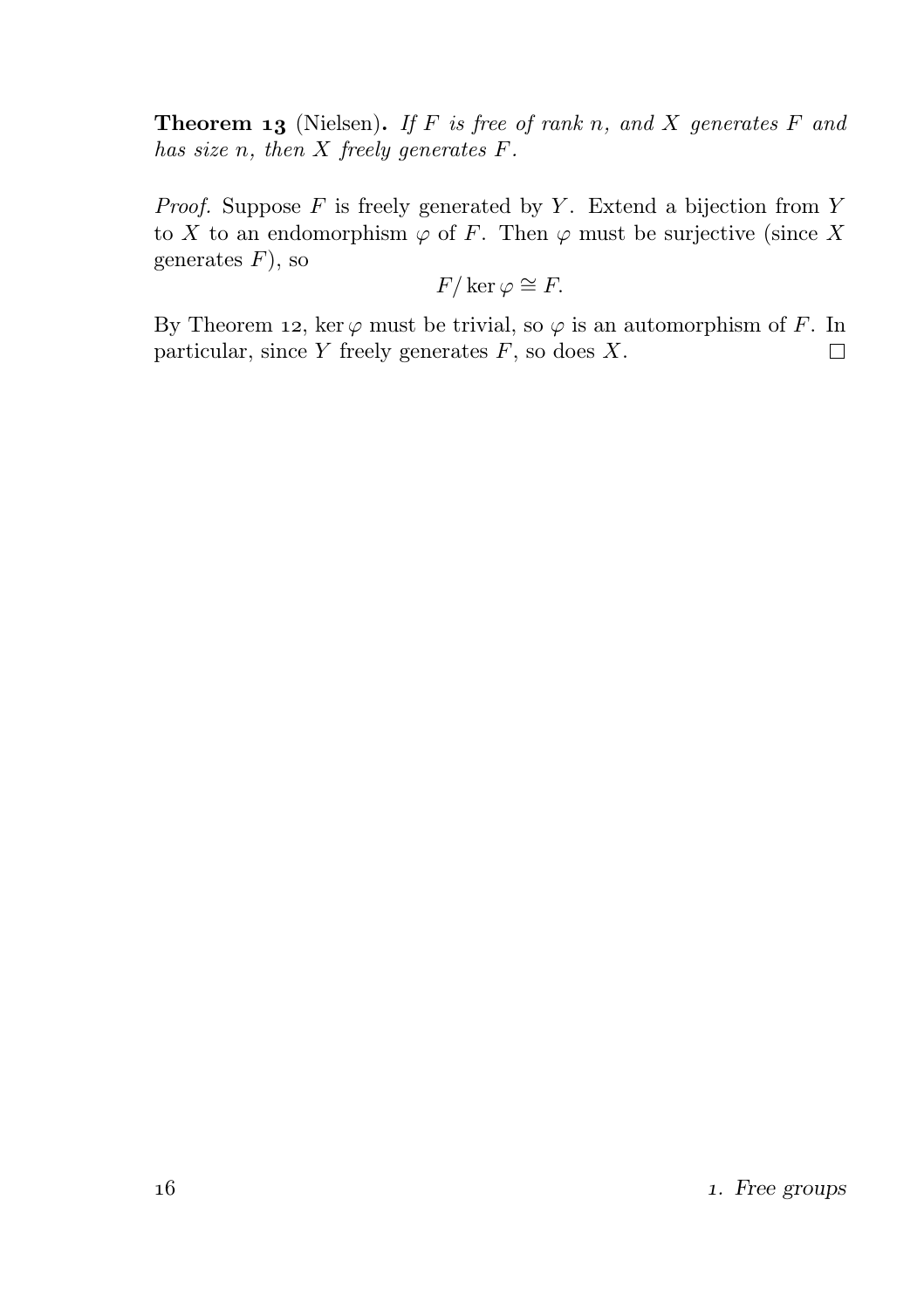**Theorem 13** (Nielsen). If F is free of rank n, and X generates F and has size n, then  $X$  freely generates  $F$ .

*Proof.* Suppose  $F$  is freely generated by  $Y$ . Extend a bijection from  $Y$ to X to an endomorphism  $\varphi$  of F. Then  $\varphi$  must be surjective (since X generates  $F$ ), so

$$
F/\ker\varphi\cong F.
$$

By Theorem 12, ker  $\varphi$  must be trivial, so  $\varphi$  is an automorphism of F. In particular, since  $Y$  freely generates  $F$ , so does  $X$ .  $\Box$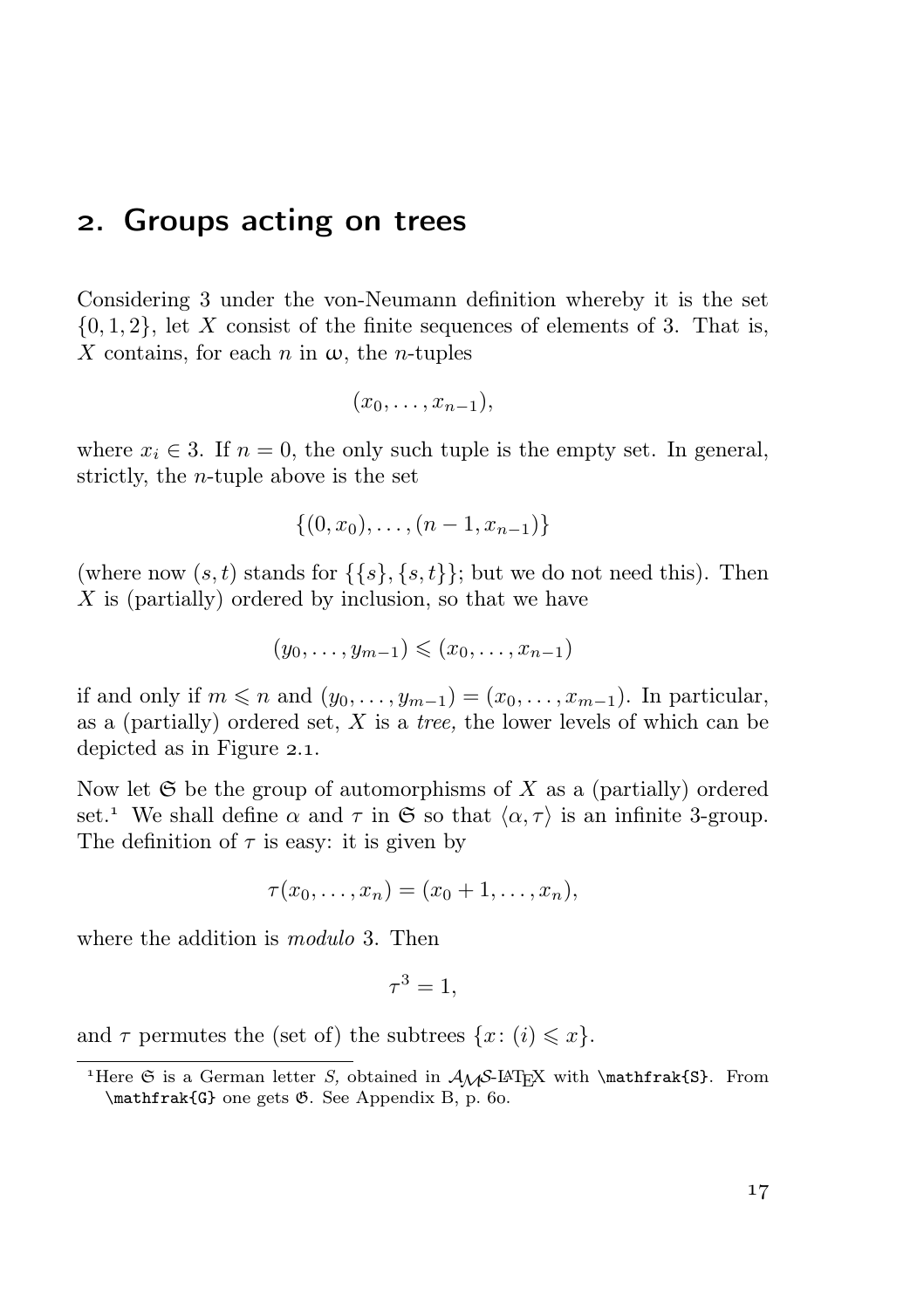#### . Groups acting on trees

Considering 3 under the von-Neumann definition whereby it is the set  $\{0, 1, 2\}$ , let X consist of the finite sequences of elements of 3. That is, X contains, for each n in  $\omega$ , the n-tuples

$$
(x_0,\ldots,x_{n-1}),
$$

where  $x_i \in 3$ . If  $n = 0$ , the only such tuple is the empty set. In general, strictly, the n-tuple above is the set

$$
\{(0, x_0), \ldots, (n-1, x_{n-1})\}
$$

(where now  $(s, t)$  stands for  $\{\{s\}, \{s, t\}\}\;$  but we do not need this). Then X is (partially) ordered by inclusion, so that we have

$$
(y_0,\ldots,y_{m-1})\leqslant (x_0,\ldots,x_{n-1})
$$

if and only if  $m \leq n$  and  $(y_0, \ldots, y_{m-1}) = (x_0, \ldots, x_{m-1})$ . In particular, as a (partially) ordered set,  $X$  is a *tree*, the lower levels of which can be depicted as in Figure  $2.1$ .

Now let  $\mathfrak S$  be the group of automorphisms of X as a (partially) ordered set.<sup>1</sup> We shall define  $\alpha$  and  $\tau$  in  $\mathfrak{S}$  so that  $\langle \alpha, \tau \rangle$  is an infinite 3-group. The definition of  $\tau$  is easy: it is given by

$$
\tau(x_0,\ldots,x_n)=(x_0+1,\ldots,x_n),
$$

where the addition is *modulo* 3. Then

$$
\tau^3 = 1,
$$

and  $\tau$  permutes the (set of) the subtrees  $\{x: (i) \leq x\}.$ 

<sup>&</sup>lt;sup>1</sup>Here  $\Im$  is a German letter S, obtained in  $\mathcal{A}\mathcal{A}$ -LAT<sub>E</sub>X with \mathfrak{S}. From  $\mathbf{G}$  one gets  $\mathcal{B}$ . See Appendix B, p. 60.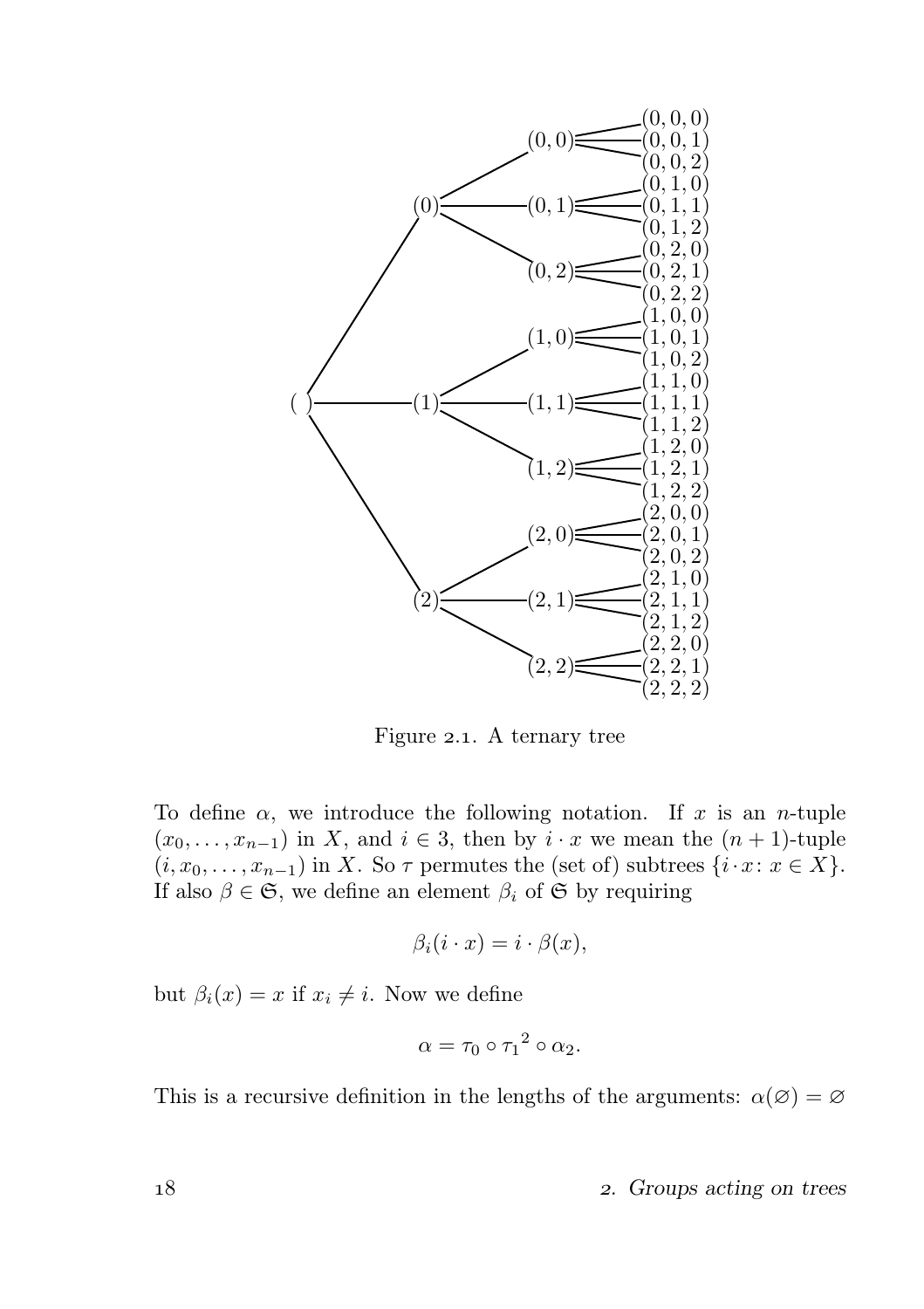

Figure 2.1. A ternary tree

To define  $\alpha$ , we introduce the following notation. If x is an n-tuple  $(x_0, \ldots, x_{n-1})$  in X, and  $i \in 3$ , then by  $i \cdot x$  we mean the  $(n + 1)$ -tuple  $(i, x_0, \ldots, x_{n-1})$  in X. So  $\tau$  permutes the (set of) subtrees  $\{i \cdot x : x \in X\}$ . If also  $\beta \in \mathfrak{S}$ , we define an element  $\beta_i$  of  $\mathfrak{S}$  by requiring

$$
\beta_i(i \cdot x) = i \cdot \beta(x),
$$

but  $\beta_i(x) = x$  if  $x_i \neq i$ . Now we define

$$
\alpha = \tau_0 \circ {\tau_1}^2 \circ \alpha_2.
$$

This is a recursive definition in the lengths of the arguments:  $\alpha(\emptyset) = \emptyset$ 

18 2. Groups acting on trees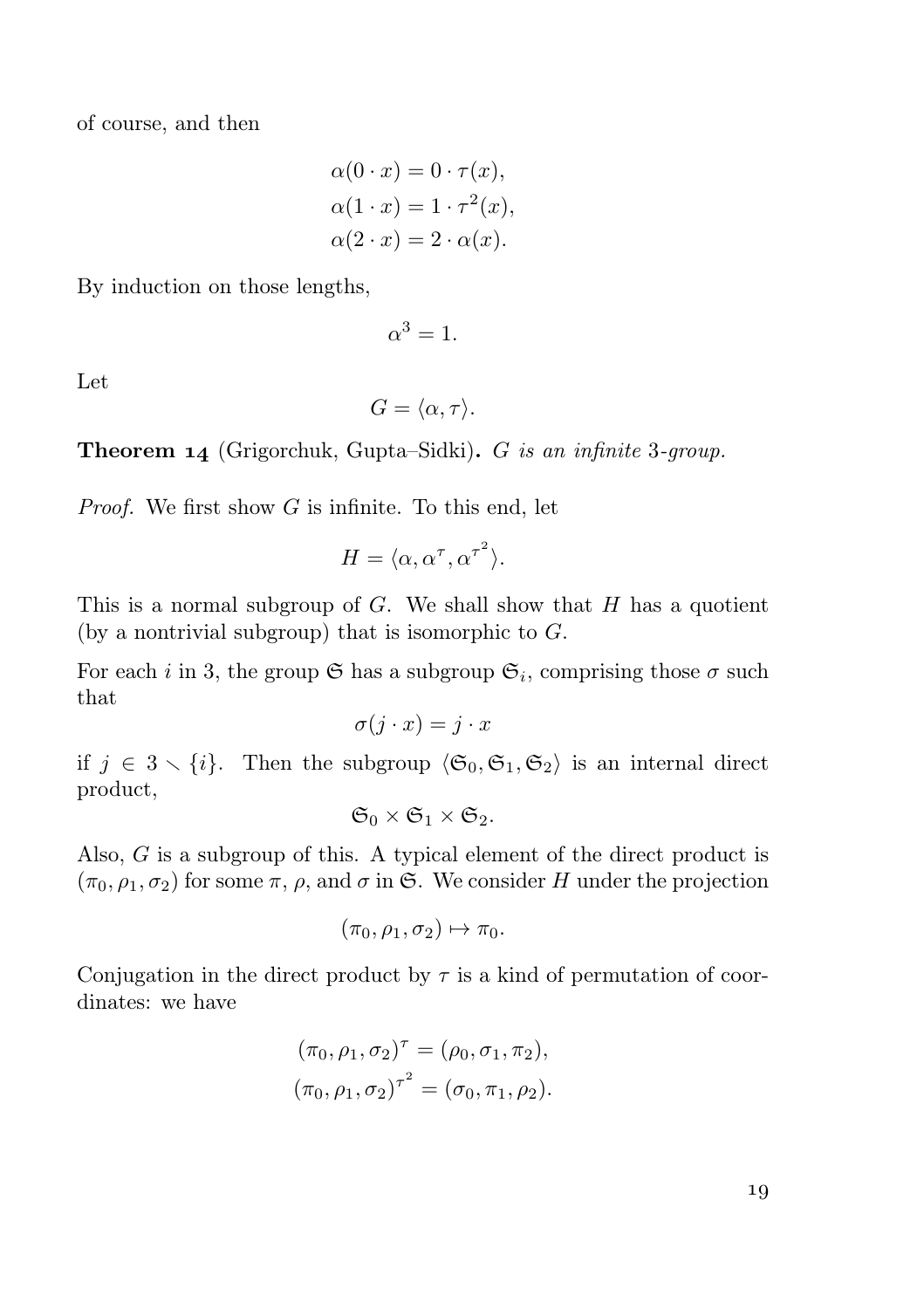of course, and then

$$
\alpha(0 \cdot x) = 0 \cdot \tau(x),
$$
  
\n
$$
\alpha(1 \cdot x) = 1 \cdot \tau^{2}(x),
$$
  
\n
$$
\alpha(2 \cdot x) = 2 \cdot \alpha(x).
$$

By induction on those lengths,

$$
\alpha^3=1.
$$

Let

$$
G = \langle \alpha, \tau \rangle.
$$

**Theorem 14** (Grigorchuk, Gupta–Sidki).  $G$  is an infinite 3-group.

*Proof.* We first show  $G$  is infinite. To this end, let

$$
H = \langle \alpha, \alpha^{\tau}, {\alpha^{\tau}}^2 \rangle.
$$

This is a normal subgroup of  $G$ . We shall show that  $H$  has a quotient (by a nontrivial subgroup) that is isomorphic to  $G$ .

For each *i* in 3, the group  $\mathfrak{S}$  has a subgroup  $\mathfrak{S}_i$ , comprising those  $\sigma$  such that

$$
\sigma(j \cdot x) = j \cdot x
$$

if  $j \in 3 \setminus \{i\}$ . Then the subgroup  $\langle \mathfrak{S}_0, \mathfrak{S}_1, \mathfrak{S}_2 \rangle$  is an internal direct product,

$$
\mathfrak{S}_0\times \mathfrak{S}_1\times \mathfrak{S}_2.
$$

Also, G is a subgroup of this. A typical element of the direct product is  $(\pi_0, \rho_1, \sigma_2)$  for some  $\pi$ ,  $\rho$ , and  $\sigma$  in G. We consider H under the projection

$$
(\pi_0, \rho_1, \sigma_2) \mapsto \pi_0.
$$

Conjugation in the direct product by  $\tau$  is a kind of permutation of coordinates: we have

$$
(\pi_0, \rho_1, \sigma_2)^\tau = (\rho_0, \sigma_1, \pi_2),
$$
  

$$
(\pi_0, \rho_1, \sigma_2)^{\tau^2} = (\sigma_0, \pi_1, \rho_2).
$$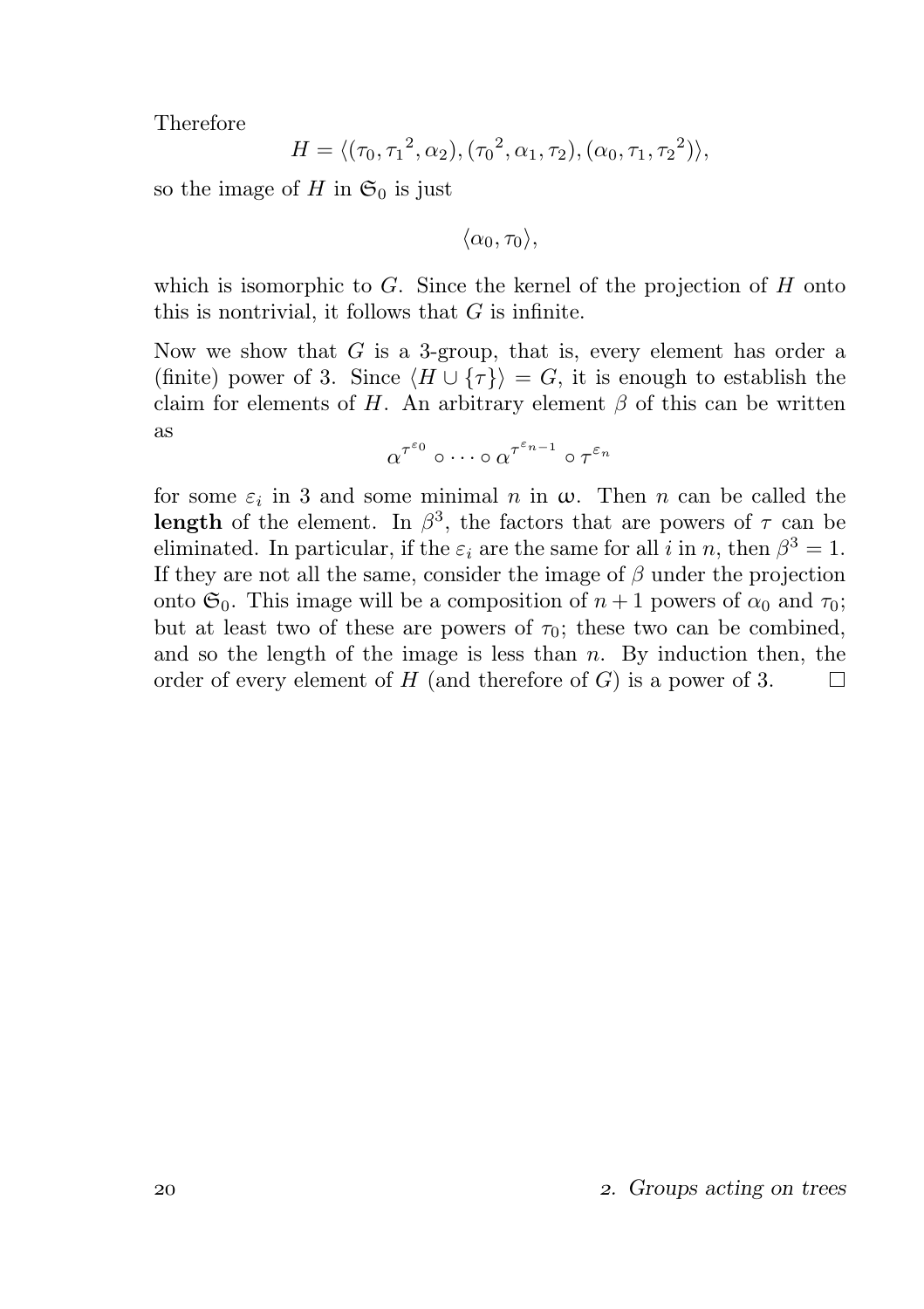Therefore

$$
H = \langle (\tau_0, \tau_1^2, \alpha_2), (\tau_0^2, \alpha_1, \tau_2), (\alpha_0, \tau_1, \tau_2^2) \rangle,
$$

so the image of H in  $\mathfrak{S}_0$  is just

 $\langle \alpha_0, \tau_0 \rangle$ ,

which is isomorphic to  $G$ . Since the kernel of the projection of  $H$  onto this is nontrivial, it follows that  $G$  is infinite.

Now we show that  $G$  is a 3-group, that is, every element has order a (finite) power of 3. Since  $\langle H \cup {\tau} \rangle = G$ , it is enough to establish the claim for elements of H. An arbitrary element  $\beta$  of this can be written as

$$
\alpha^{\tau^{\varepsilon_0}} \circ \cdots \circ \alpha^{\tau^{\varepsilon_{n-1}}} \circ \tau^{\varepsilon_n}
$$

for some  $\varepsilon_i$  in 3 and some minimal n in  $\omega$ . Then n can be called the **length** of the element. In  $\beta^3$ , the factors that are powers of  $\tau$  can be eliminated. In particular, if the  $\varepsilon_i$  are the same for all i in n, then  $\beta^3 = 1$ . If they are not all the same, consider the image of  $\beta$  under the projection onto  $\mathfrak{S}_0$ . This image will be a composition of  $n+1$  powers of  $\alpha_0$  and  $\tau_0$ ; but at least two of these are powers of  $\tau_0$ ; these two can be combined, and so the length of the image is less than  $n$ . By induction then, the order of every element of  $H$  (and therefore of  $G$ ) is a power of 3. П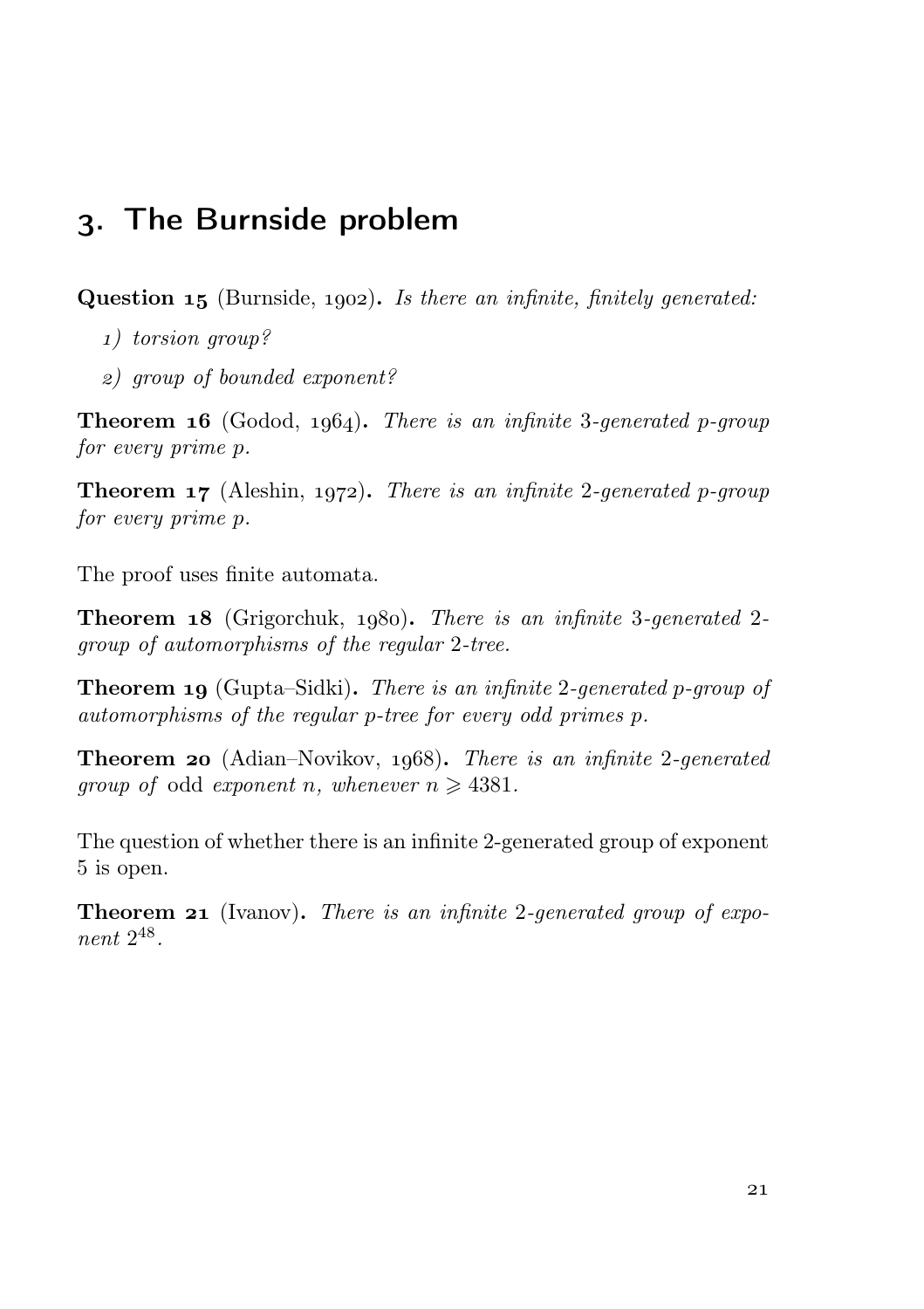### . The Burnside problem

**Question 15** (Burnside, 1902). Is there an infinite, finitely generated:

- ) torsion group?
- ) group of bounded exponent?

**Theorem 16** (Godod, 1964). There is an infinite 3-generated p-group for every prime p.

**Theorem 17** (Aleshin, 1972). There is an infinite 2-generated p-group for every prime p.

The proof uses finite automata.

Theorem 18 (Grigorchuk, 1980). There is an infinite 3-generated 2group of automorphisms of the regular 2-tree.

**Theorem 19** (Gupta–Sidki). There is an infinite 2-generated p-group of automorphisms of the regular p-tree for every odd primes p.

**Theorem 20** (Adian–Novikov,  $1068$ ). There is an infinite 2-generated *group of odd exponent n, whenever*  $n \geq 4381$ *.* 

The question of whether there is an infinite 2-generated group of exponent 5 is open.

**Theorem 21** (Ivanov). There is an infinite 2-generated group of exponent 2 48 .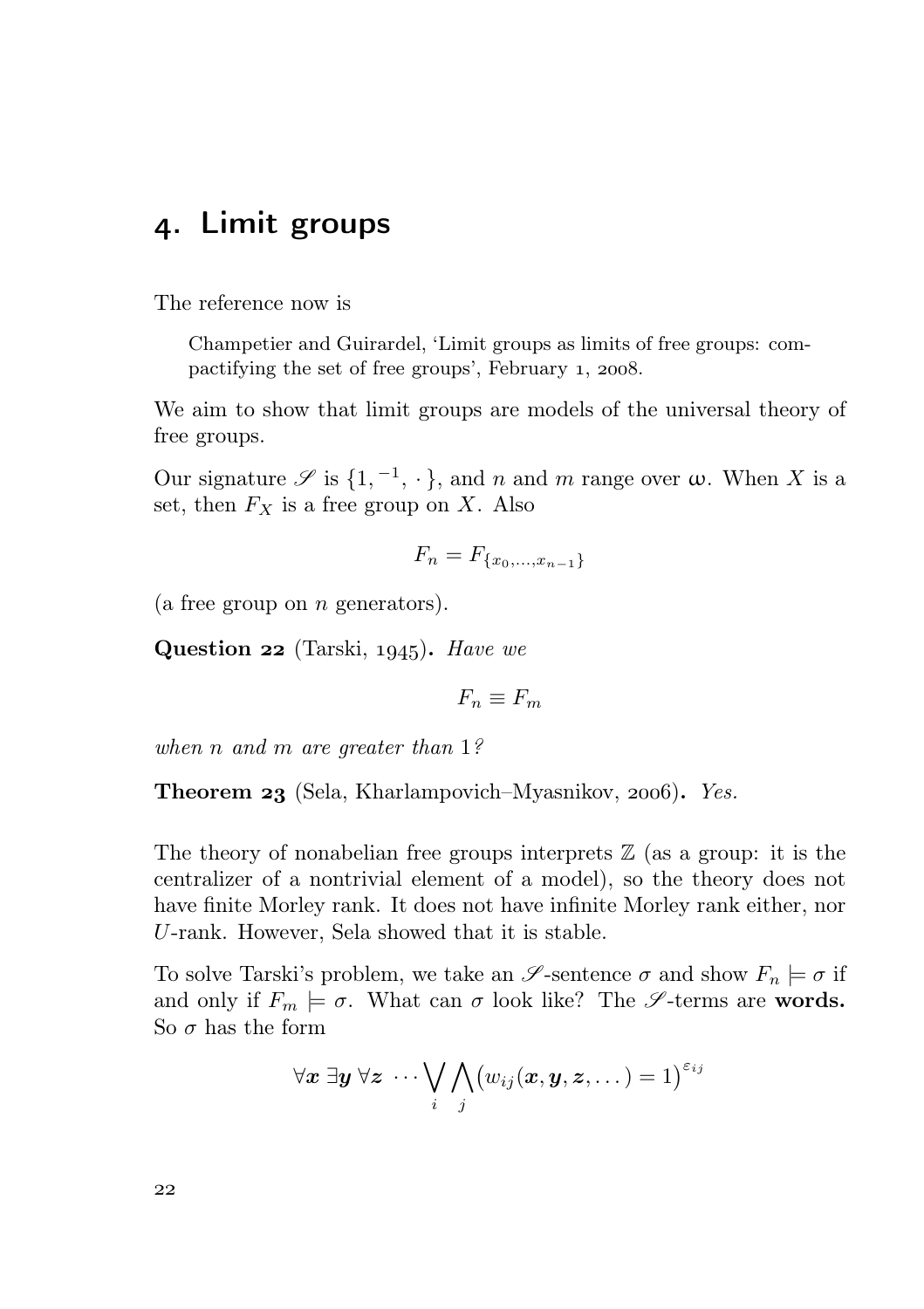#### . Limit groups

The reference now is

Champetier and Guirardel, 'Limit groups as limits of free groups: compactifying the set of free groups', February  $1, 2008$ .

We aim to show that limit groups are models of the universal theory of free groups.

Our signature  $\mathscr S$  is  $\{1, \overline{a}^1, \cdot\}$ , and n and m range over  $\omega$ . When X is a set, then  $F_X$  is a free group on X. Also

$$
F_n = F_{\{x_0, \dots, x_{n-1}\}}
$$

(a free group on  $n$  generators).

Question  $22$  (Tarski, 1945). Have we

 $F_n \equiv F_m$ 

when *n* and *m* are greater than 1?

**Theorem 23** (Sela, Kharlampovich–Myasnikov, 2006). Yes.

The theory of nonabelian free groups interprets  $\mathbb Z$  (as a group: it is the centralizer of a nontrivial element of a model), so the theory does not have finite Morley rank. It does not have infinite Morley rank either, nor U-rank. However, Sela showed that it is stable.

To solve Tarski's problem, we take an  $\mathscr S$ -sentence  $\sigma$  and show  $F_n \models \sigma$  if and only if  $F_m \models \sigma$ . What can  $\sigma$  look like? The  $\mathscr{S}$ -terms are words. So  $\sigma$  has the form

$$
\forall \boldsymbol{x} \; \exists \boldsymbol{y} \; \forall \boldsymbol{z} \; \cdots \bigvee_{i} \bigwedge_{j} (w_{ij}(\boldsymbol{x}, \boldsymbol{y}, \boldsymbol{z}, \dots) = 1)^{\varepsilon_{ij}}
$$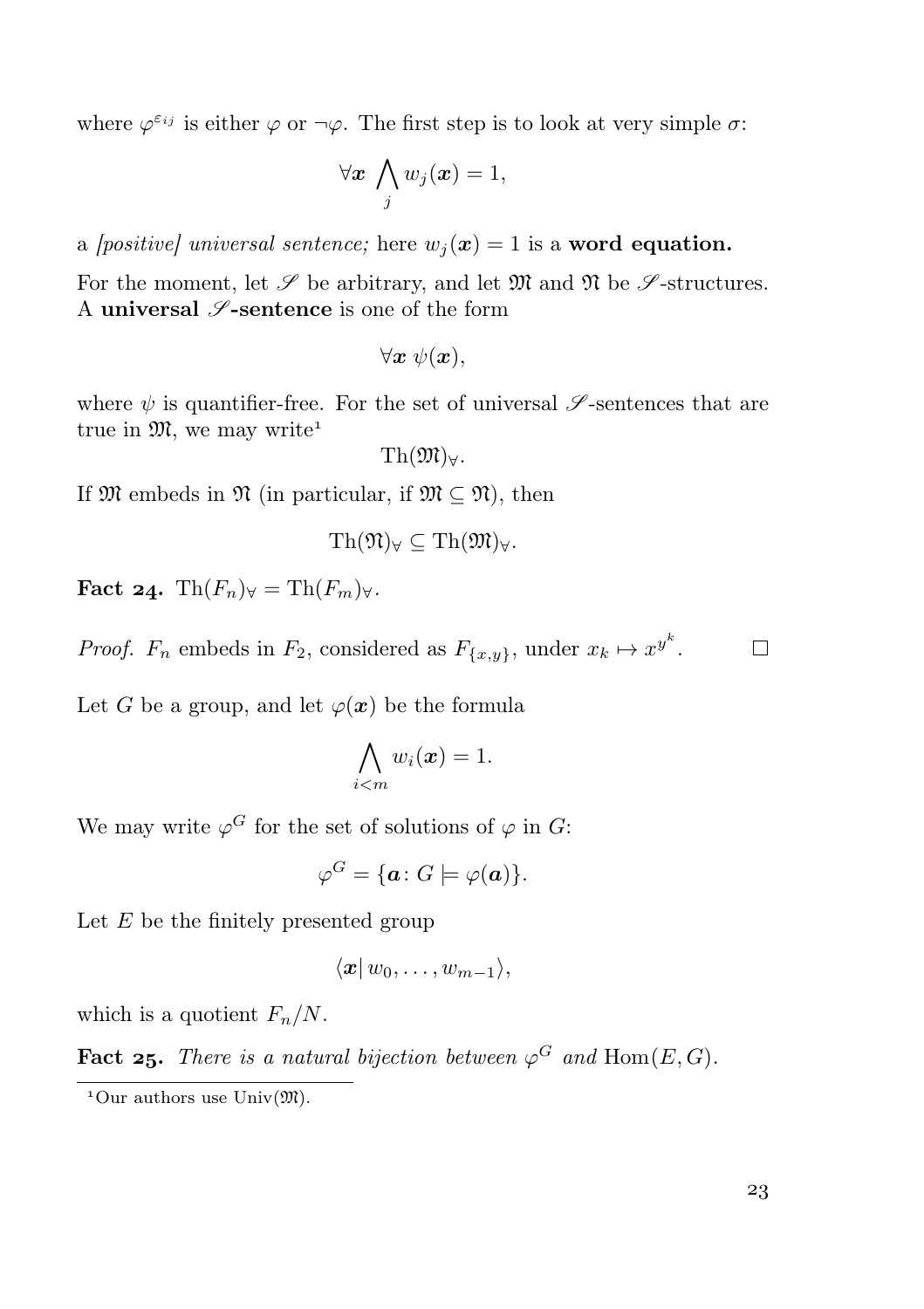where  $\varphi^{\varepsilon_{ij}}$  is either  $\varphi$  or  $\neg \varphi$ . The first step is to look at very simple  $\sigma$ .

$$
\forall \boldsymbol{x} \ \bigwedge_j w_j(\boldsymbol{x}) = 1,
$$

a *[positive]* universal sentence; here  $w_i(x) = 1$  is a **word equation.** 

For the moment, let  $\mathscr S$  be arbitrary, and let  $\mathfrak M$  and  $\mathfrak N$  be  $\mathscr S$ -structures. A universal  $\mathscr{S}\text{-sentence}$  is one of the form

$$
\forall \boldsymbol{x} \ \psi(\boldsymbol{x}),
$$

where  $\psi$  is quantifier-free. For the set of universal  $\mathscr S$ -sentences that are true in  $\mathfrak{M}$ , we may write<sup>1</sup>

$$
\operatorname{Th}(\mathfrak{M})_\forall.
$$

If  $\mathfrak{M}$  embeds in  $\mathfrak{N}$  (in particular, if  $\mathfrak{M} \subseteq \mathfrak{N}$ ), then

$$
\mathrm{Th}(\mathfrak{N})_{\forall} \subseteq \mathrm{Th}(\mathfrak{M})_{\forall}.
$$

Fact 24. Th $(F_n)_\forall$  = Th $(F_m)_\forall$ .

*Proof.*  $F_n$  embeds in  $F_2$ , considered as  $F_{\{x,y\}}$ , under  $x_k \mapsto x^{y^k}$ .

Let G be a group, and let  $\varphi(\boldsymbol{x})$  be the formula

$$
\bigwedge_{i
$$

We may write  $\varphi^G$  for the set of solutions of  $\varphi$  in G:

$$
\varphi^G = \{ \mathbf{a} \colon G \models \varphi(\mathbf{a}) \}.
$$

Let  $E$  be the finitely presented group

$$
\langle \boldsymbol{x} | \, w_0, \ldots, w_{m-1} \rangle,
$$

which is a quotient  $F_n/N$ .

**Fact 25.** There is a natural bijection between  $\varphi^G$  and  $\text{Hom}(E, G)$ .

 $\Box$ 

<sup>&</sup>lt;sup>1</sup>Our authors use  $\text{Univ}(\mathfrak{M})$ .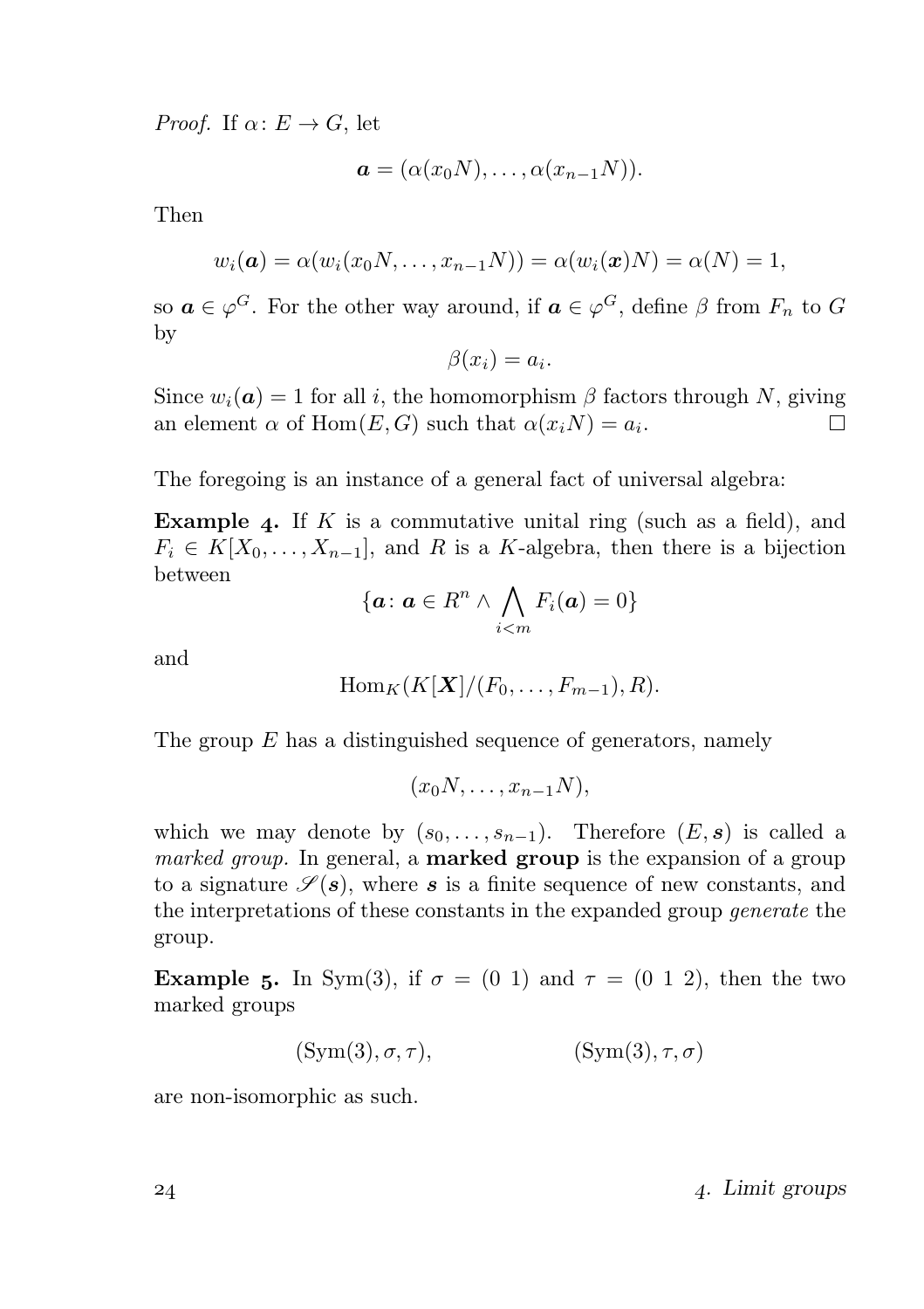*Proof.* If  $\alpha: E \to G$ , let

$$
\mathbf{a} = (\alpha(x_0N), \ldots, \alpha(x_{n-1}N)).
$$

Then

$$
w_i(\boldsymbol{a}) = \alpha(w_i(x_0N, \ldots, x_{n-1}N)) = \alpha(w_i(\boldsymbol{x})N) = \alpha(N) = 1,
$$

so  $a \in \varphi^G$ . For the other way around, if  $a \in \varphi^G$ , define  $\beta$  from  $F_n$  to  $G$ by

$$
\beta(x_i) = a_i.
$$

Since  $w_i(\mathbf{a}) = 1$  for all i, the homomorphism  $\beta$  factors through N, giving an element  $\alpha$  of  $Hom(E, G)$  such that  $\alpha(x_i N) = a_i$ .  $\Box$ 

The foregoing is an instance of a general fact of universal algebra:

Example 4. If  $K$  is a commutative unital ring (such as a field), and  $F_i \in K[X_0, \ldots, X_{n-1}],$  and R is a K-algebra, then there is a bijection between

$$
\{ \boldsymbol{a} \colon \boldsymbol{a} \in R^n \wedge \bigwedge_{i < m} F_i(\boldsymbol{a}) = 0 \}
$$

and

$$
\operatorname{Hom}_K(K[X]/(F_0,\ldots,F_{m-1}),R).
$$

The group  $E$  has a distinguished sequence of generators, namely

 $(x_0N, \ldots, x_{n-1}N),$ 

which we may denote by  $(s_0, \ldots, s_{n-1})$ . Therefore  $(E, s)$  is called a *marked group*. In general, a **marked group** is the expansion of a group to a signature  $\mathscr{S}(s)$ , where s is a finite sequence of new constants, and the interpretations of these constants in the expanded group generate the group.

**Example 5.** In Sym(3), if  $\sigma = (0, 1)$  and  $\tau = (0, 1, 2)$ , then the two marked groups

$$
(\text{Sym}(3), \sigma, \tau), \qquad (\text{Sym}(3), \tau, \sigma)
$$

are non-isomorphic as such.

. Limit groups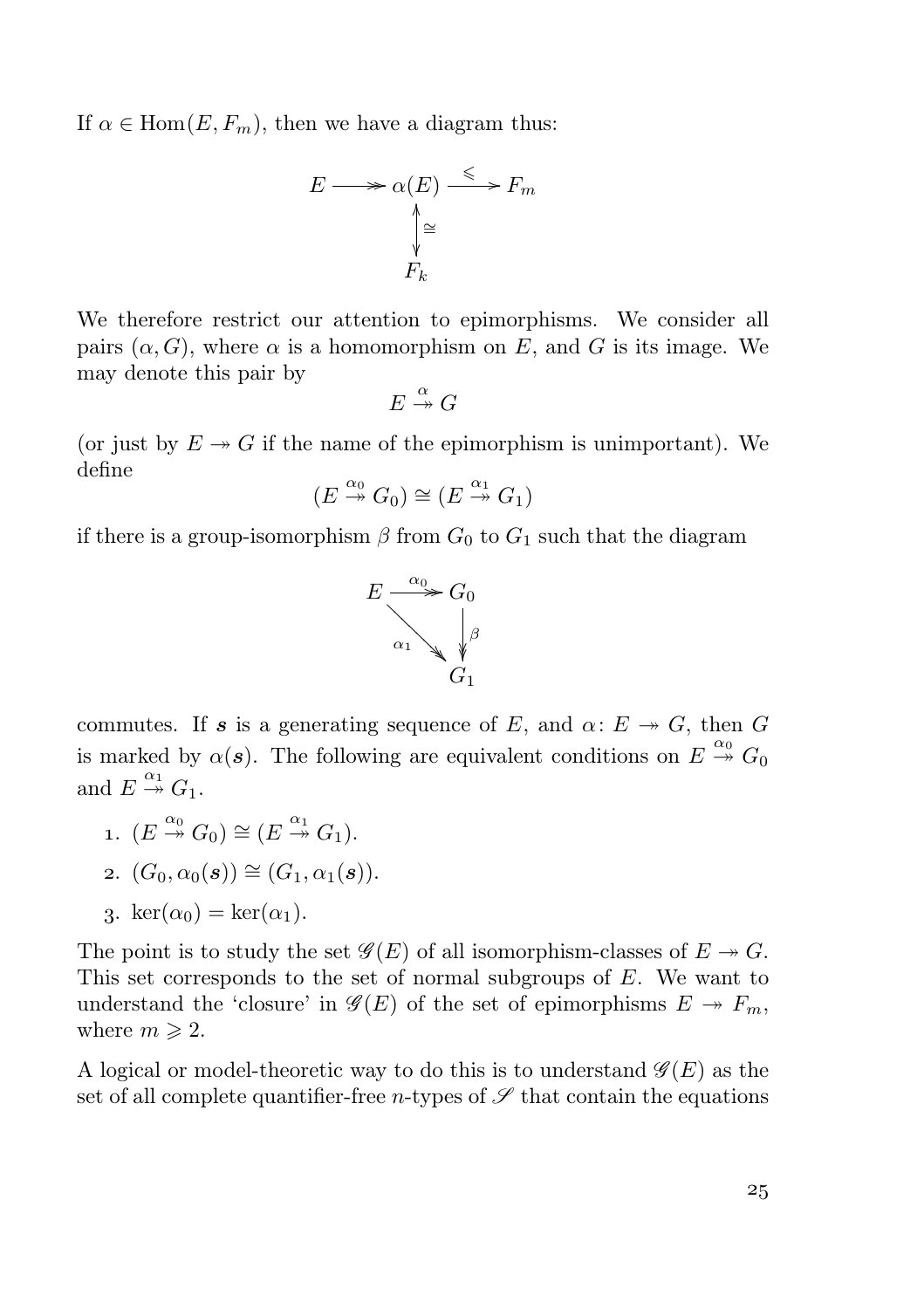If  $\alpha \in \text{Hom}(E, F_m)$ , then we have a diagram thus:

$$
E \longrightarrow \alpha(E) \xrightarrow{\leq} F_m
$$
  

$$
\downarrow^{\geq}
$$
  

$$
F_k
$$

We therefore restrict our attention to epimorphisms. We consider all pairs  $(\alpha, G)$ , where  $\alpha$  is a homomorphism on E, and G is its image. We may denote this pair by

$$
E \stackrel{\alpha}{\twoheadrightarrow} G
$$

(or just by  $E \rightarrow G$  if the name of the epimorphism is unimportant). We define

$$
(E \xrightarrow{\alpha_0} G_0) \cong (E \xrightarrow{\alpha_1} G_1)
$$

if there is a group-isomorphism  $\beta$  from  $G_0$  to  $G_1$  such that the diagram



commutes. If s is a generating sequence of E, and  $\alpha: E \to G$ , then G is marked by  $\alpha(s)$ . The following are equivalent conditions on  $E \stackrel{\alpha_0}{\rightarrow} G_0$ and  $E \stackrel{\alpha_1}{\twoheadrightarrow} G_1$ .

1.  $(E \stackrel{\alpha_0}{\twoheadrightarrow} G_0) \cong (E \stackrel{\alpha_1}{\twoheadrightarrow} G_1).$ 2.  $(G_0, \alpha_0(s)) \cong (G_1, \alpha_1(s)).$ 

3. 
$$
\ker(\alpha_0) = \ker(\alpha_1)
$$
.

The point is to study the set  $\mathscr{G}(E)$  of all isomorphism-classes of  $E \to G$ . This set corresponds to the set of normal subgroups of  $E$ . We want to understand the 'closure' in  $\mathscr{G}(E)$  of the set of epimorphisms  $E \to F_m$ , where  $m \geqslant 2$ .

A logical or model-theoretic way to do this is to understand  $\mathscr{G}(E)$  as the set of all complete quantifier-free *n*-types of  $\mathscr S$  that contain the equations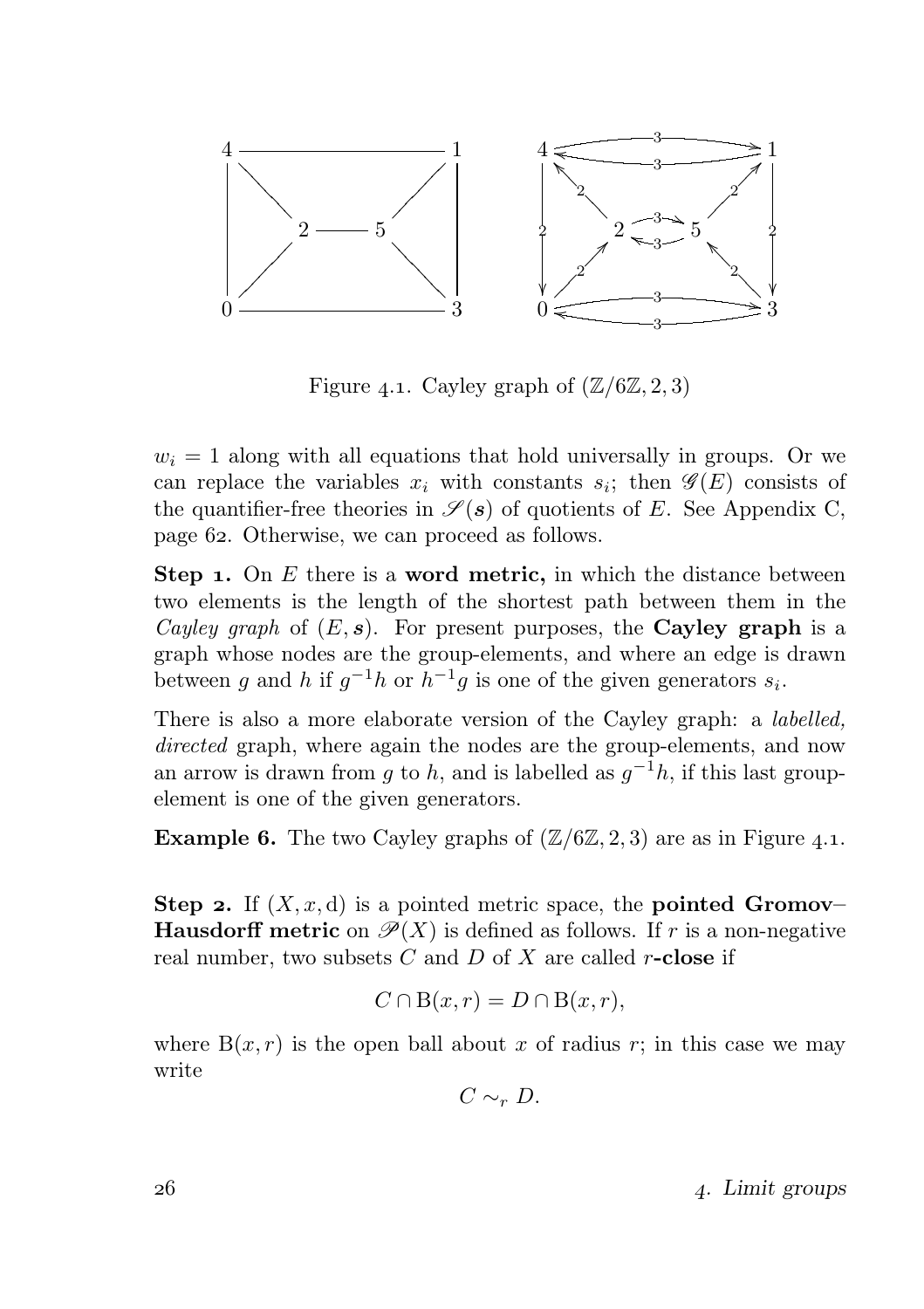

Figure 4.1. Cayley graph of  $(\mathbb{Z}/6\mathbb{Z}, 2, 3)$ 

 $w_i = 1$  along with all equations that hold universally in groups. Or we can replace the variables  $x_i$  with constants  $s_i$ ; then  $\mathscr{G}(E)$  consists of the quantifier-free theories in  $\mathscr{S}(\mathbf{s})$  of quotients of E. See Appendix C, page 62. Otherwise, we can proceed as follows.

**Step 1.** On  $E$  there is a **word metric**, in which the distance between two elements is the length of the shortest path between them in the Cayley graph of  $(E, s)$ . For present purposes, the **Cayley graph** is a graph whose nodes are the group-elements, and where an edge is drawn between g and h if  $g^{-1}h$  or  $h^{-1}g$  is one of the given generators  $s_i$ .

There is also a more elaborate version of the Cayley graph: a labelled, directed graph, where again the nodes are the group-elements, and now an arrow is drawn from g to h, and is labelled as  $g^{-1}h$ , if this last groupelement is one of the given generators.

**Example 6.** The two Cayley graphs of  $(\mathbb{Z}/6\mathbb{Z}, 2, 3)$  are as in Figure 4.1.

**Step 2.** If  $(X, x, d)$  is a pointed metric space, the **pointed Gromov**– **Hausdorff metric** on  $\mathcal{P}(X)$  is defined as follows. If r is a non-negative real number, two subsets  $C$  and  $D$  of  $X$  are called r-close if

$$
C \cap B(x, r) = D \cap B(x, r),
$$

where  $B(x, r)$  is the open ball about x of radius r; in this case we may write

$$
C\sim_r D.
$$

 $26$  and  $4.$  Limit groups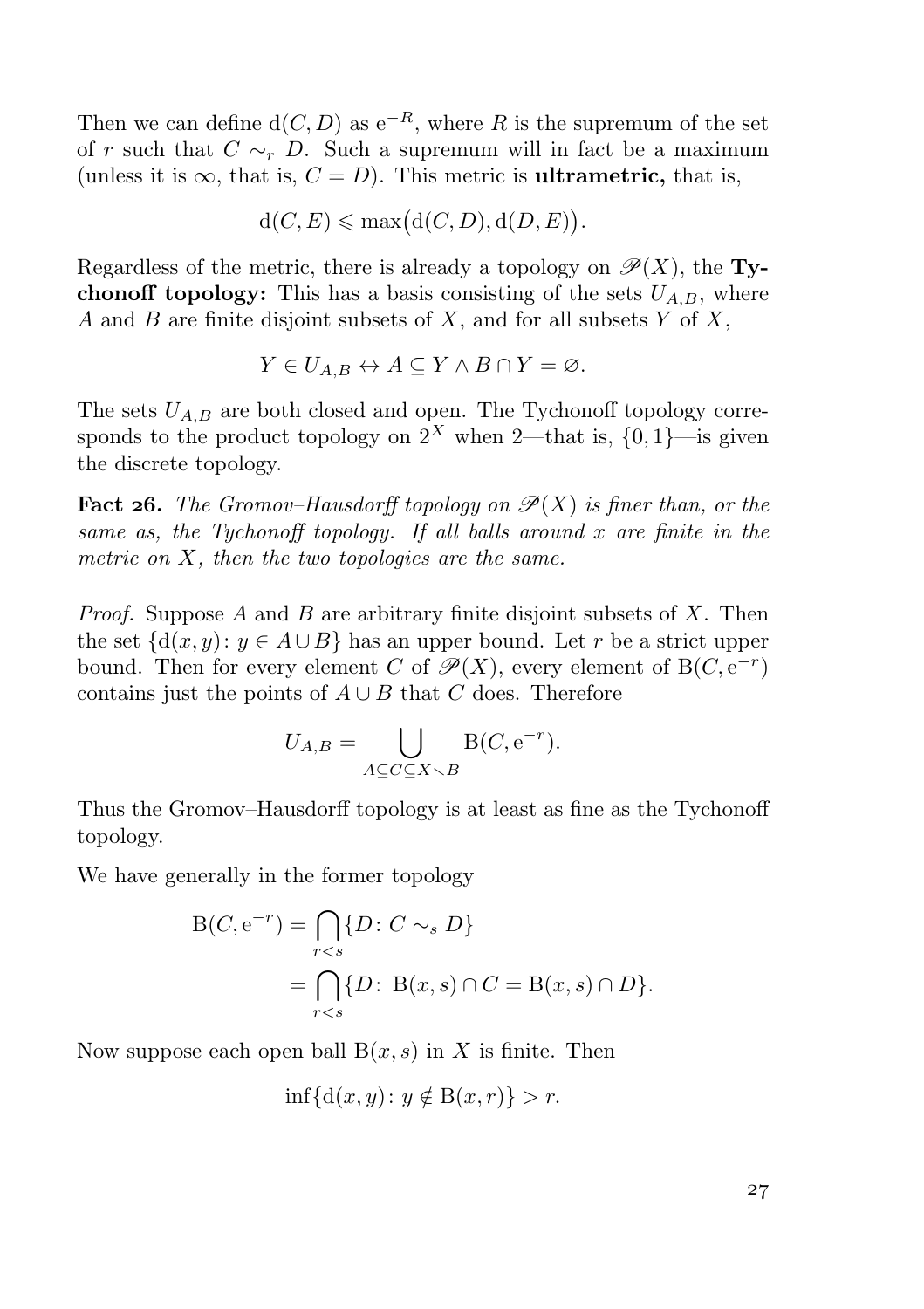Then we can define  $d(C, D)$  as  $e^{-R}$ , where R is the supremum of the set of r such that  $C \sim_r D$ . Such a supremum will in fact be a maximum (unless it is  $\infty$ , that is,  $C = D$ ). This metric is **ultrametric**, that is,

$$
d(C, E) \le \max\{d(C, D), d(D, E)\}.
$$

Regardless of the metric, there is already a topology on  $\mathscr{P}(X)$ , the **Ty**chonoff topology: This has a basis consisting of the sets  $U_{A,B}$ , where A and B are finite disjoint subsets of X, and for all subsets  $Y$  of  $X$ ,

$$
Y \in U_{A,B} \leftrightarrow A \subseteq Y \wedge B \cap Y = \varnothing.
$$

The sets  $U_{A,B}$  are both closed and open. The Tychonoff topology corresponds to the product topology on  $2^X$  when 2—that is,  $\{0, 1\}$ —is given the discrete topology.

**Fact 26.** The Gromov–Hausdorff topology on  $\mathcal{P}(X)$  is finer than, or the same as, the Tychonoff topology. If all balls around  $x$  are finite in the metric on  $X$ , then the two topologies are the same.

*Proof.* Suppose A and B are arbitrary finite disjoint subsets of X. Then the set  $\{d(x, y): y \in A \cup B\}$  has an upper bound. Let r be a strict upper bound. Then for every element C of  $\mathscr{P}(X)$ , every element of B $(C, e^{-r})$ contains just the points of  $A \cup B$  that C does. Therefore

$$
U_{A,B} = \bigcup_{A \subseteq C \subseteq X \smallsetminus B} \mathcal{B}(C, e^{-r}).
$$

Thus the Gromov–Hausdorff topology is at least as fine as the Tychonoff topology.

We have generally in the former topology

$$
B(C, e^{-r}) = \bigcap_{r < s} \{D : C \sim_s D\}
$$
\n
$$
= \bigcap_{r < s} \{D : B(x, s) \cap C = B(x, s) \cap D\}.
$$

Now suppose each open ball  $B(x, s)$  in X is finite. Then

$$
\inf\{\mathrm{d}(x,y)\colon y\notin \mathrm{B}(x,r)\} > r.
$$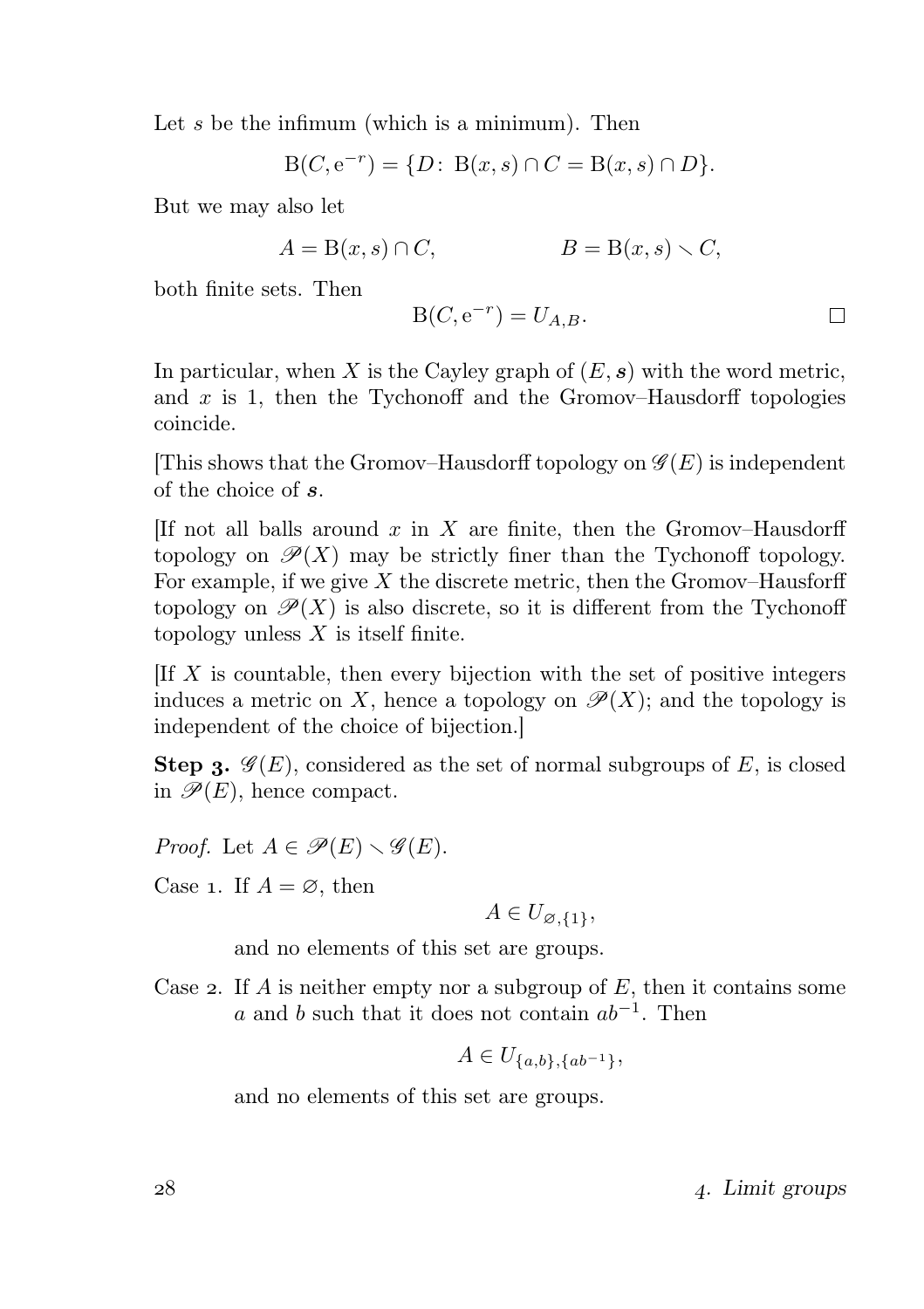Let s be the infimum (which is a minimum). Then

$$
B(C, e^{-r}) = \{D : B(x, s) \cap C = B(x, s) \cap D\}.
$$

But we may also let

$$
A = B(x, s) \cap C, \qquad B = B(x, s) \setminus C,
$$

both finite sets. Then

$$
B(C, e^{-r}) = U_{A,B}.
$$

In particular, when X is the Cayley graph of  $(E, s)$  with the word metric, and  $x$  is 1, then the Tychonoff and the Gromov–Hausdorff topologies coincide.

[This shows that the Gromov–Hausdorff topology on  $\mathscr{G}(E)$  is independent of the choice of s.

[If not all balls around  $x$  in  $X$  are finite, then the Gromov–Hausdorff topology on  $\mathscr{P}(X)$  may be strictly finer than the Tychonoff topology. For example, if we give  $X$  the discrete metric, then the Gromov–Hausforff topology on  $\mathscr{P}(X)$  is also discrete, so it is different from the Tychonoff topology unless  $X$  is itself finite.

 $[If X]$  is countable, then every bijection with the set of positive integers induces a metric on X, hence a topology on  $\mathscr{P}(X)$ ; and the topology is independent of the choice of bijection.]

**Step 3.**  $\mathscr{G}(E)$ , considered as the set of normal subgroups of E, is closed in  $\mathscr{P}(E)$ , hence compact.

*Proof.* Let  $A \in \mathscr{P}(E) \setminus \mathscr{G}(E)$ .

Case 1. If  $A = \emptyset$ , then

$$
A \in U_{\varnothing,\{1\}},
$$

and no elements of this set are groups.

Case 2. If A is neither empty nor a subgroup of  $E$ , then it contains some a and b such that it does not contain  $ab^{-1}$ . Then

$$
A \in U_{\{a,b\},\{ab^{-1}\}},
$$

and no elements of this set are groups.

. Limit groups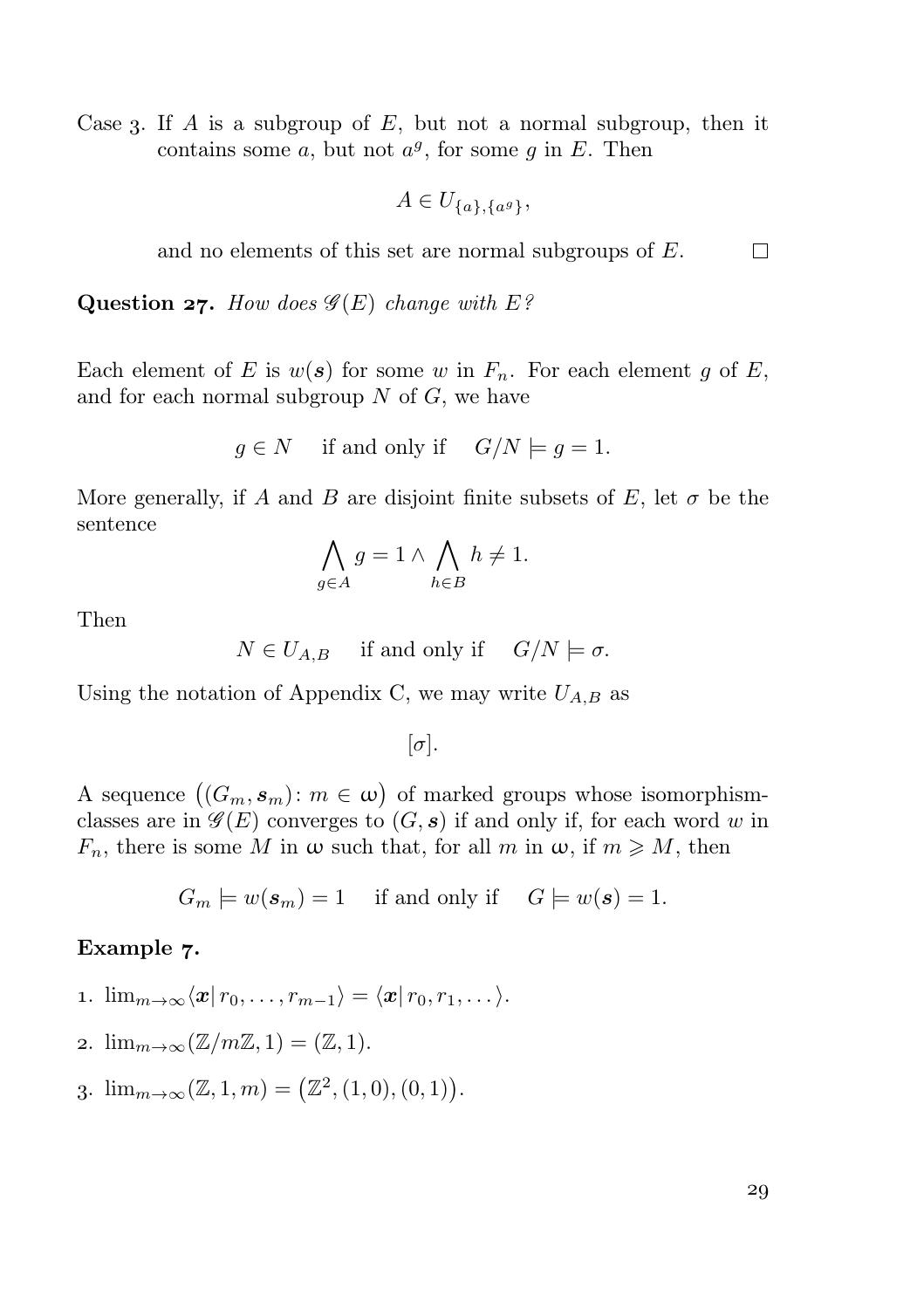Case 3. If A is a subgroup of E, but not a normal subgroup, then it contains some  $a$ , but not  $a^g$ , for some  $g$  in  $E$ . Then

 $A \in U_{\{a\},\{a^g\}},$ 

and no elements of this set are normal subgroups of E.  $\Box$ 

Question 27. How does  $\mathscr{G}(E)$  change with E?

Each element of E is  $w(s)$  for some w in  $F_n$ . For each element g of E, and for each normal subgroup  $N$  of  $G$ , we have

$$
g \in N
$$
 if and only if  $G/N \models g = 1$ .

More generally, if A and B are disjoint finite subsets of E, let  $\sigma$  be the sentence

$$
\bigwedge_{g \in A} g = 1 \land \bigwedge_{h \in B} h \neq 1.
$$

Then

$$
N \in U_{A,B}
$$
 if and only if  $G/N \models \sigma$ .

Using the notation of Appendix C, we may write  $U_{A,B}$  as

 $[\sigma]$ .

A sequence  $((G_m, s_m): m \in \omega)$  of marked groups whose isomorphismclasses are in  $\mathscr{G}(E)$  converges to  $(G, s)$  if and only if, for each word w in  $F_n$ , there is some M in  $\omega$  such that, for all m in  $\omega$ , if  $m \geqslant M$ , then

$$
G_m \models w(\mathbf{s}_m) = 1
$$
 if and only if  $G \models w(\mathbf{s}) = 1$ .

#### Example 7.

$$
\ldots \lim_{m \to \infty} \langle x | r_0, \ldots, r_{m-1} \rangle = \langle x | r_0, r_1, \ldots \rangle.
$$

- 2.  $\lim_{m\to\infty}(\mathbb{Z}/m\mathbb{Z}, 1) = (\mathbb{Z}, 1).$
- 3.  $\lim_{m \to \infty} (\mathbb{Z}, 1, m) = (\mathbb{Z}^2, (1, 0), (0, 1)).$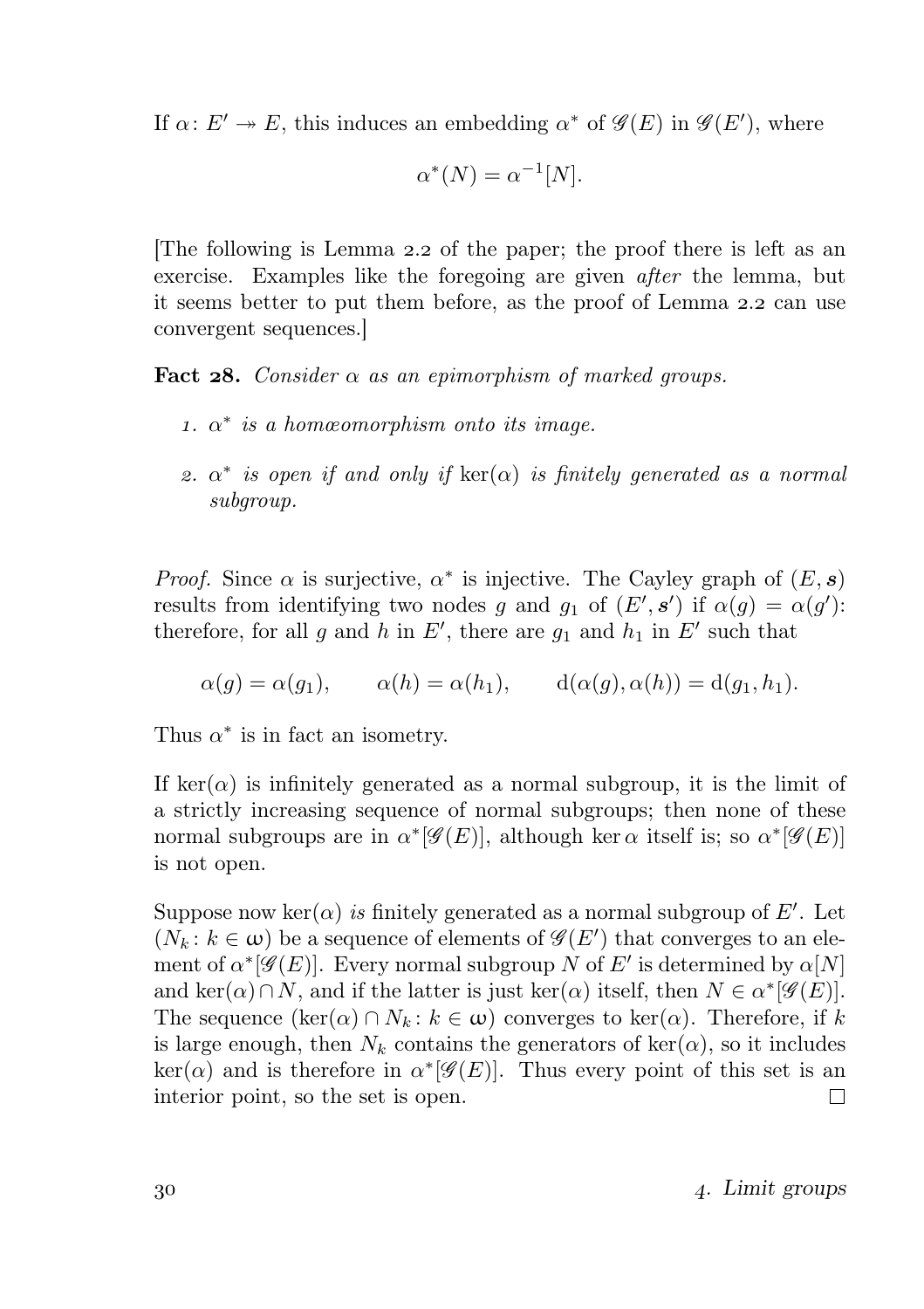If  $\alpha: E' \to E$ , this induces an embedding  $\alpha^*$  of  $\mathscr{G}(E)$  in  $\mathscr{G}(E')$ , where

$$
\alpha^*(N) = \alpha^{-1}[N].
$$

The following is Lemma 2.2 of the paper; the proof there is left as an exercise. Examples like the foregoing are given after the lemma, but it seems better to put them before, as the proof of Lemma 2.2 can use convergent sequences.]

**Fact 28.** Consider  $\alpha$  as an epimorphism of marked groups.

- 1.  $\alpha^*$  is a homœomorphism onto its image.
- 2.  $\alpha^*$  is open if and only if  $\ker(\alpha)$  is finitely generated as a normal subgroup.

*Proof.* Since  $\alpha$  is surjective,  $\alpha^*$  is injective. The Cayley graph of  $(E, s)$ results from identifying two nodes g and  $g_1$  of  $(E', s')$  if  $\alpha(g) = \alpha(g')$ : therefore, for all g and h in E', there are  $g_1$  and  $h_1$  in E' such that

$$
\alpha(g) = \alpha(g_1), \qquad \alpha(h) = \alpha(h_1), \qquad d(\alpha(g), \alpha(h)) = d(g_1, h_1).
$$

Thus  $\alpha^*$  is in fact an isometry.

If ker( $\alpha$ ) is infinitely generated as a normal subgroup, it is the limit of a strictly increasing sequence of normal subgroups; then none of these normal subgroups are in  $\alpha^*[\mathscr{G}(E)]$ , although ker  $\alpha$  itself is; so  $\alpha^*[\mathscr{G}(E)]$ is not open.

Suppose now ker( $\alpha$ ) is finitely generated as a normal subgroup of E'. Let  $(N_k: k \in \omega)$  be a sequence of elements of  $\mathscr{G}(E')$  that converges to an element of  $\alpha^*[\mathscr{G}(E)]$ . Every normal subgroup N of E' is determined by  $\alpha[N]$ and ker $(\alpha) \cap N$ , and if the latter is just ker $(\alpha)$  itself, then  $N \in \alpha^*[\mathscr{G}(E)]$ . The sequence  $(\ker(\alpha) \cap N_k : k \in \omega)$  converges to  $\ker(\alpha)$ . Therefore, if k is large enough, then  $N_k$  contains the generators of  $\ker(\alpha)$ , so it includes  $\ker(\alpha)$  and is therefore in  $\alpha^*[\mathscr{G}(E)]$ . Thus every point of this set is an interior point, so the set is open.  $\Box$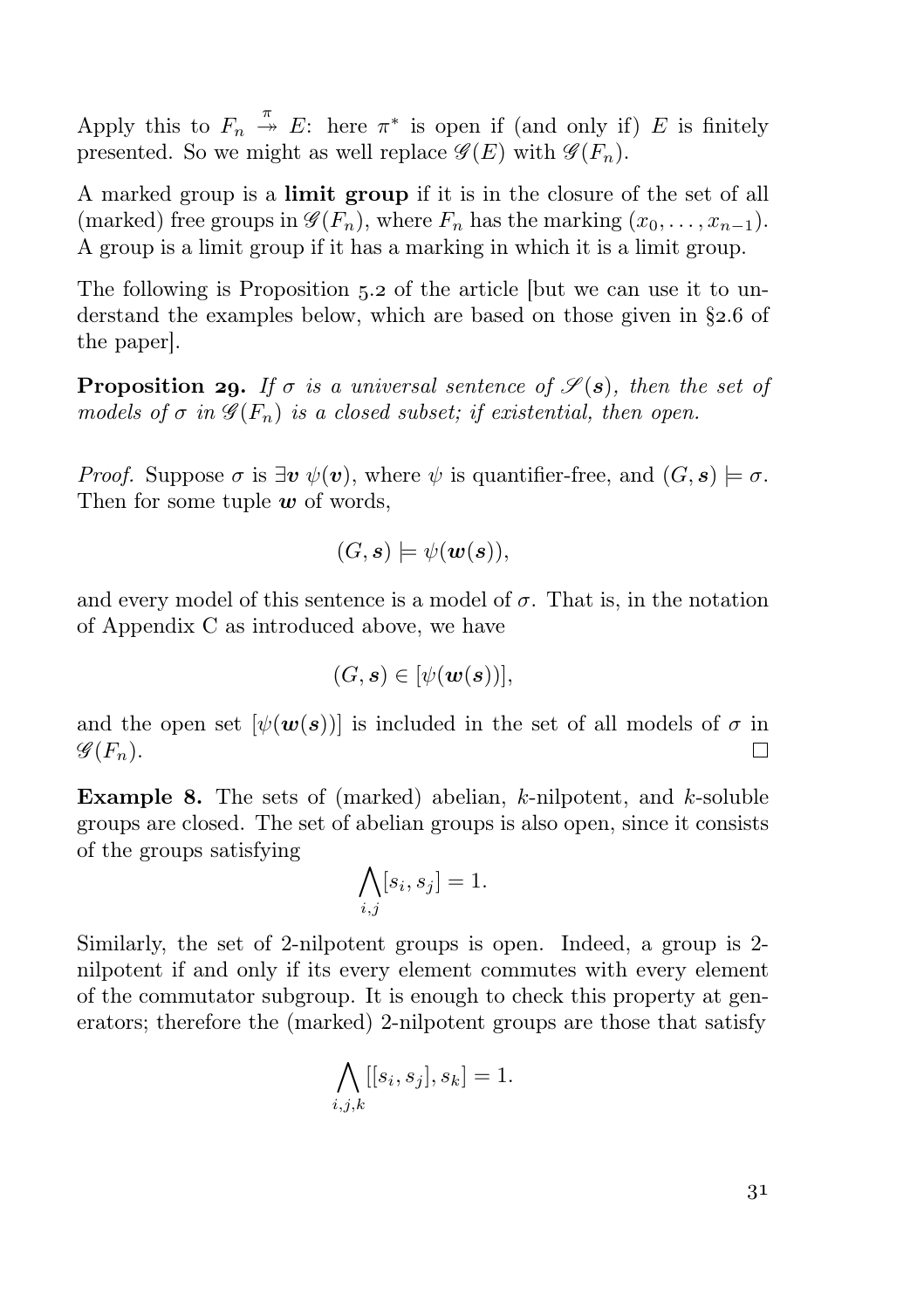Apply this to  $F_n \stackrel{\pi}{\rightarrow} E$ : here  $\pi^*$  is open if (and only if) E is finitely presented. So we might as well replace  $\mathscr{G}(E)$  with  $\mathscr{G}(F_n)$ .

A marked group is a limit group if it is in the closure of the set of all (marked) free groups in  $\mathscr{G}(F_n)$ , where  $F_n$  has the marking  $(x_0, \ldots, x_{n-1})$ . A group is a limit group if it has a marking in which it is a limit group.

The following is Proposition  $5.2$  of the article [but we can use it to understand the examples below, which are based on those given in  $\S$ 2.6 of the paper].

**Proposition 29.** If  $\sigma$  is a universal sentence of  $\mathscr{S}(\mathbf{s})$ , then the set of models of  $\sigma$  in  $\mathscr{G}(F_n)$  is a closed subset; if existential, then open.

*Proof.* Suppose  $\sigma$  is  $\exists v \psi(v)$ , where  $\psi$  is quantifier-free, and  $(G, s) \models \sigma$ . Then for some tuple  $w$  of words,

$$
(G,\mathbf{s}) \models \psi(\mathbf{w}(\mathbf{s})),
$$

and every model of this sentence is a model of  $\sigma$ . That is, in the notation of Appendix C as introduced above, we have

$$
(G,\mathbf{s})\in[\psi(\mathbf{w}(\mathbf{s}))],
$$

and the open set  $[\psi(w(s))]$  is included in the set of all models of  $\sigma$  in  $\mathscr{G}(F_n)$ . П

**Example 8.** The sets of (marked) abelian, k-nilpotent, and k-soluble groups are closed. The set of abelian groups is also open, since it consists of the groups satisfying

$$
\bigwedge_{i,j} [s_i, s_j] = 1.
$$

Similarly, the set of 2-nilpotent groups is open. Indeed, a group is 2 nilpotent if and only if its every element commutes with every element of the commutator subgroup. It is enough to check this property at generators; therefore the (marked) 2-nilpotent groups are those that satisfy

$$
\bigwedge_{i,j,k} [[s_i, s_j], s_k] = 1.
$$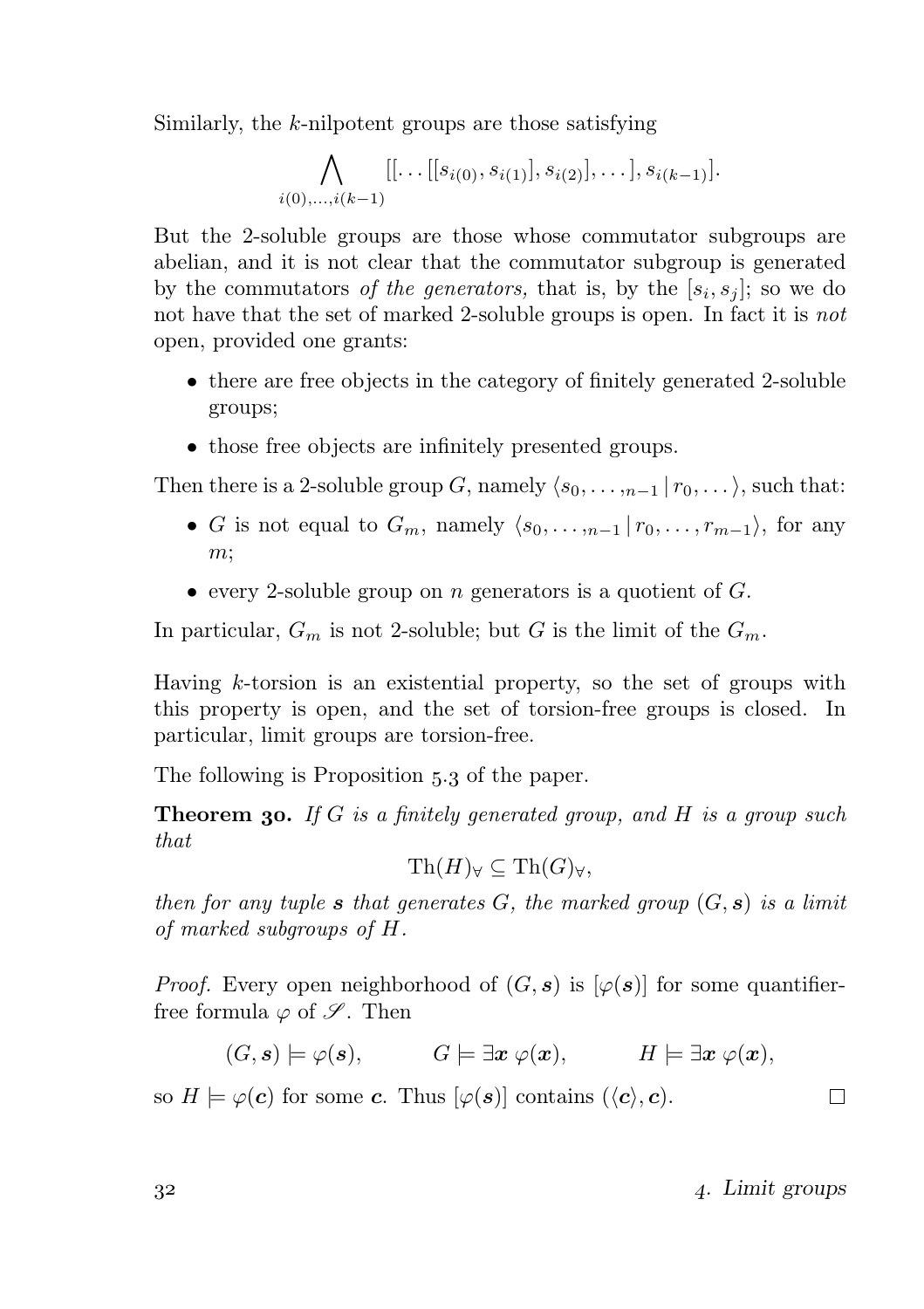Similarly, the k-nilpotent groups are those satisfying

$$
\bigwedge_{i(0),...,i(k-1)}[[\dots[[s_{i(0)},s_{i(1)}],s_{i(2)}],\dots],s_{i(k-1)}].
$$

But the 2-soluble groups are those whose commutator subgroups are abelian, and it is not clear that the commutator subgroup is generated by the commutators of the generators, that is, by the  $[s_i, s_j]$ ; so we do not have that the set of marked 2-soluble groups is open. In fact it is *not* open, provided one grants:

- there are free objects in the category of finitely generated 2-soluble groups;
- those free objects are infinitely presented groups.

Then there is a 2-soluble group G, namely  $\langle s_0, \ldots, s_{n-1} | r_0, \ldots \rangle$ , such that:

- G is not equal to  $G_m$ , namely  $\langle s_0, \ldots, s_{n-1} | r_0, \ldots, r_{m-1} \rangle$ , for any  $m$ ;
- every 2-soluble group on *n* generators is a quotient of  $G$ .

In particular,  $G_m$  is not 2-soluble; but G is the limit of the  $G_m$ .

Having  $k$ -torsion is an existential property, so the set of groups with this property is open, and the set of torsion-free groups is closed. In particular, limit groups are torsion-free.

The following is Proposition 5.3 of the paper.

**Theorem 30.** If G is a finitely generated group, and H is a group such that

$$
\operatorname{Th}(H)_\forall\subseteq \operatorname{Th}(G)_\forall,
$$

then for any tuple s that generates G, the marked group  $(G, s)$  is a limit of marked subgroups of H.

*Proof.* Every open neighborhood of  $(G, s)$  is  $[\varphi(s)]$  for some quantifierfree formula  $\varphi$  of  $\mathscr{S}$ . Then

 $(G, s) \models \varphi(s), \qquad G \models \exists x \ \varphi(x), \qquad H \models \exists x \ \varphi(x),$ 

so  $H \models \varphi(c)$  for some c. Thus  $[\varphi(s)]$  contains  $(\langle c \rangle, c)$ .

 $32$   $4.$  Limit groups

 $\Box$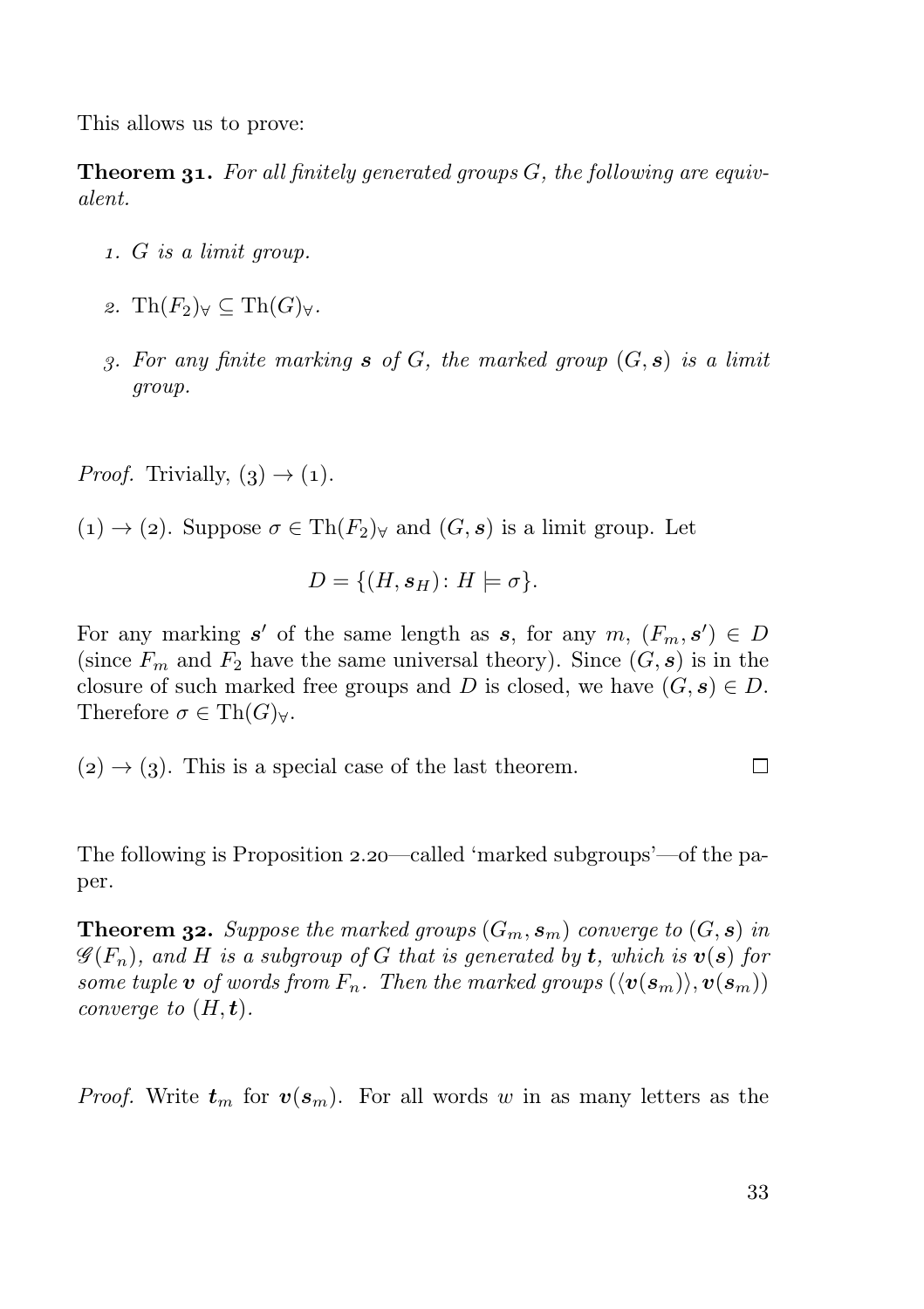This allows us to prove:

**Theorem 31.** For all finitely generated groups  $G$ , the following are equivalent.

- . G is a limit group.
- 2. Th $(F_2)_{\forall} \subset \mathrm{Th}(G)_{\forall}$ .
- 3. For any finite marking  $s$  of  $G$ , the marked group  $(G, s)$  is a limit group.

*Proof.* Trivially,  $(3) \rightarrow (1)$ .

 $(1) \rightarrow (2)$ . Suppose  $\sigma \in Th(F_2)_{\forall}$  and  $(G, s)$  is a limit group. Let

$$
D = \{ (H, s_H) \colon H \models \sigma \}.
$$

For any marking  $s'$  of the same length as s, for any  $m, (F_m, s') \in D$ (since  $F_m$  and  $F_2$  have the same universal theory). Since  $(G, s)$  is in the closure of such marked free groups and D is closed, we have  $(G, s) \in D$ . Therefore  $\sigma \in Th(G)_{\forall}$ .

 $(2) \rightarrow (3)$ . This is a special case of the last theorem.  $\Box$ 

The following is Proposition  $2.20$  —called 'marked subgroups'—of the paper.

**Theorem 32.** Suppose the marked groups  $(G_m, s_m)$  converge to  $(G, s)$  in  $\mathscr{G}(F_n)$ , and H is a subgroup of G that is generated by t, which is  $v(s)$  for some tuple **v** of words from  $F_n$ . Then the marked groups  $(\langle v(s_m) \rangle, v(s_m))$ converge to  $(H, t)$ .

*Proof.* Write  $t_m$  for  $v(s_m)$ . For all words w in as many letters as the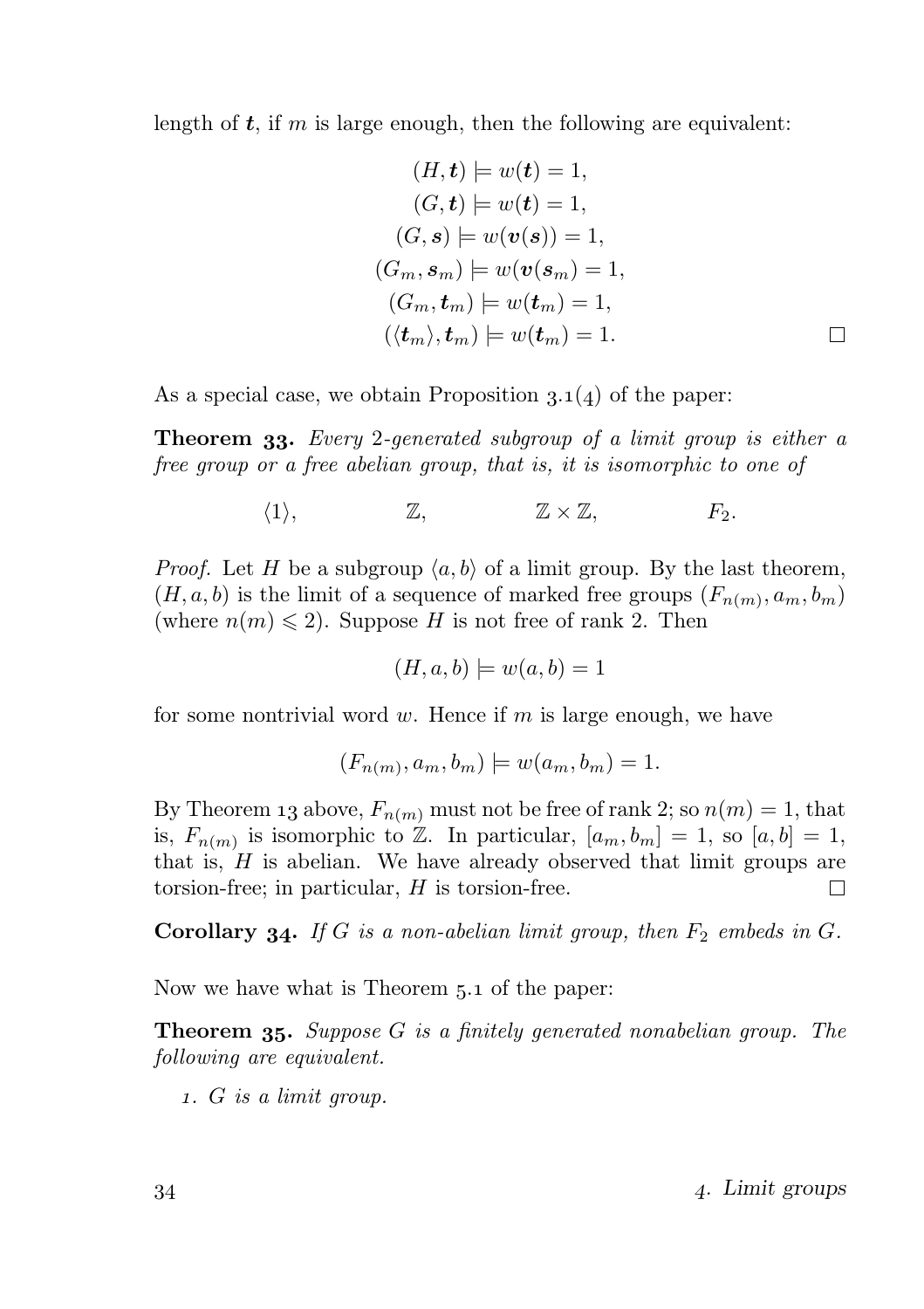length of  $t$ , if m is large enough, then the following are equivalent:

$$
(H, t) \models w(t) = 1,
$$
  
\n
$$
(G, t) \models w(t) = 1,
$$
  
\n
$$
(G, s) \models w(v(s)) = 1,
$$
  
\n
$$
(G_m, s_m) \models w(v(s_m) = 1,
$$
  
\n
$$
(G_m, t_m) \models w(t_m) = 1,
$$
  
\n
$$
(\langle t_m \rangle, t_m) \models w(t_m) = 1.
$$

As a special case, we obtain Proposition  $3.1(4)$  of the paper:

**Theorem 33.** Every 2-generated subgroup of a limit group is either a free group or a free abelian group, that is, it is isomorphic to one of

$$
\langle 1 \rangle, \qquad \qquad \mathbb{Z}, \qquad \qquad \mathbb{Z} \times \mathbb{Z}, \qquad \qquad F_2.
$$

*Proof.* Let H be a subgroup  $\langle a, b \rangle$  of a limit group. By the last theorem,  $(H, a, b)$  is the limit of a sequence of marked free groups  $(F_{n(m)}, a_m, b_m)$ (where  $n(m) \leq 2$ ). Suppose H is not free of rank 2. Then

$$
(H, a, b) \models w(a, b) = 1
$$

for some nontrivial word  $w$ . Hence if  $m$  is large enough, we have

$$
(F_{n(m)}, a_m, b_m) \models w(a_m, b_m) = 1.
$$

By Theorem 13 above,  $F_{n(m)}$  must not be free of rank 2; so  $n(m) = 1$ , that is,  $F_{n(m)}$  is isomorphic to  $Z$ . In particular,  $[a_m, b_m] = 1$ , so  $[a, b] = 1$ , that is,  $H$  is abelian. We have already observed that limit groups are torsion-free; in particular, H is torsion-free. П

**Corollary 34.** If G is a non-abelian limit group, then  $F_2$  embeds in G.

Now we have what is Theorem 5.1 of the paper:

**Theorem 35.** Suppose  $G$  is a finitely generated nonabelian group. The following are equivalent.

. G is a limit group.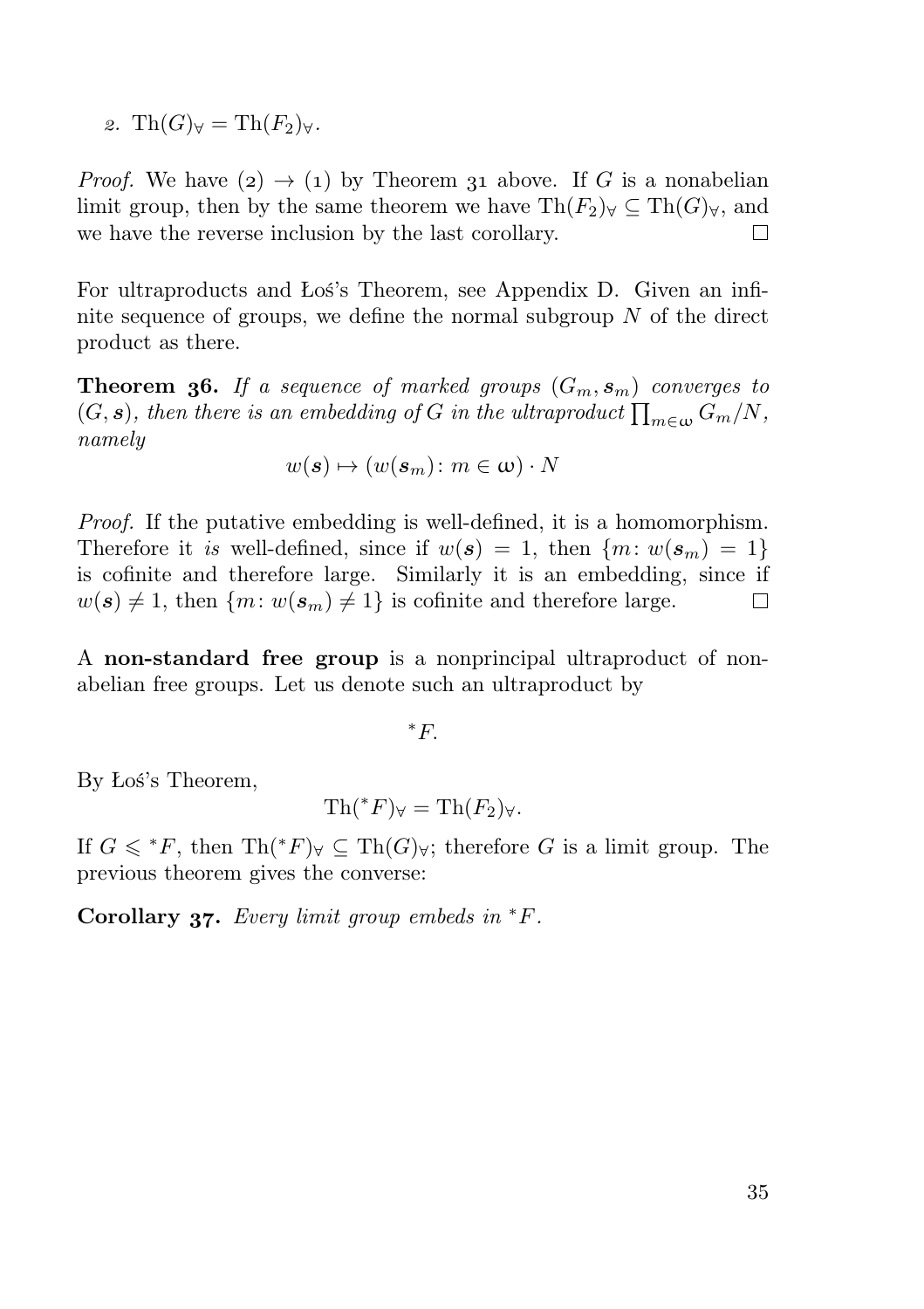2. Th $(G)_{\forall} = Th(F_2)_{\forall}$ .

*Proof.* We have  $(2) \rightarrow (1)$  by Theorem 31 above. If G is a nonabelian limit group, then by the same theorem we have  $\text{Th}(F_2)_{\forall} \subset \text{Th}(G)_{\forall}$ , and we have the reverse inclusion by the last corollary.  $\Box$ 

For ultraproducts and Łoś's Theorem, see Appendix D. Given an infinite sequence of groups, we define the normal subgroup  $N$  of the direct product as there.

**Theorem 36.** If a sequence of marked groups  $(G_m, s_m)$  converges to  $(G, \mathbf{s})$ , then there is an embedding of G in the ultraproduct  $\prod_{m\in\omega}G_m/N$ , namely

$$
w(\mathbf{s}) \mapsto (w(\mathbf{s}_m) \colon m \in \omega) \cdot N
$$

Proof. If the putative embedding is well-defined, it is a homomorphism. Therefore it is well-defined, since if  $w(s) = 1$ , then  $\{m: w(s_m) = 1\}$ is cofinite and therefore large. Similarly it is an embedding, since if  $w(s) \neq 1$ , then  $\{m: w(s_m) \neq 1\}$  is cofinite and therefore large.  $\Box$ 

A non-standard free group is a nonprincipal ultraproduct of nonabelian free groups. Let us denote such an ultraproduct by

 $E^*$ .

By Łoś's Theorem,

$$
\operatorname{Th}({}^*F)_{\forall} = \operatorname{Th}(F_2)_{\forall}.
$$

If  $G \leqslant^*F$ , then  $\mathrm{Th}({^*F})_{\forall} \subseteq \mathrm{Th}(G)_{\forall}$ ; therefore G is a limit group. The previous theorem gives the converse:

Corollary  $37.$  Every limit group embeds in  $*F$ .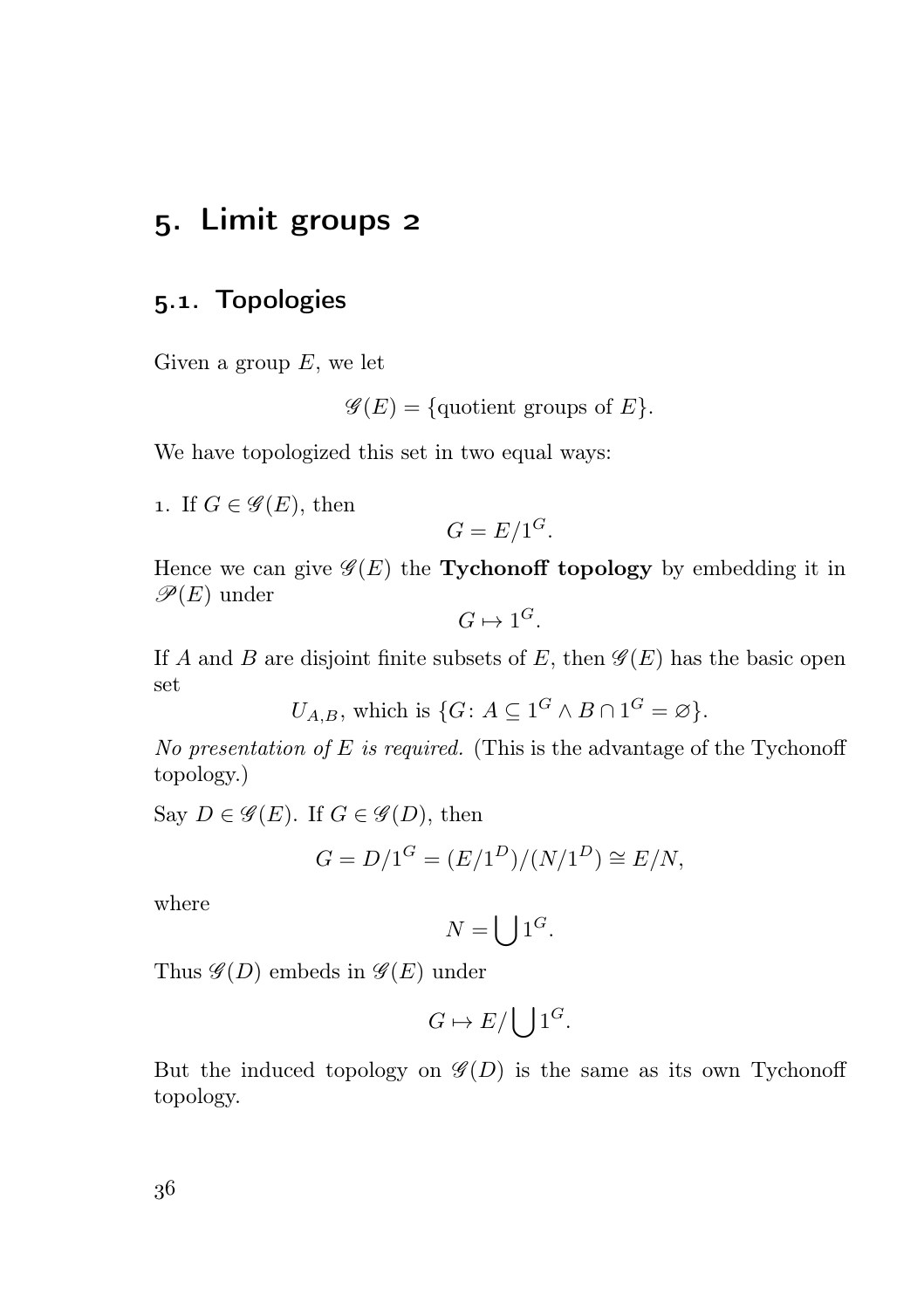#### . Limit groups

#### 5.1. Topologies

Given a group  $E$ , we let

 $\mathscr{G}(E) = \{$ quotient groups of  $E\}.$ 

We have topologized this set in two equal ways:

1. If  $G \in \mathscr{G}(E)$ , then

$$
G = E/1^G.
$$

Hence we can give  $\mathscr{G}(E)$  the **Tychonoff topology** by embedding it in  $\mathscr{P}(E)$  under

 $G \mapsto 1^G.$ 

If A and B are disjoint finite subsets of E, then  $\mathscr{G}(E)$  has the basic open set

 $U_{A,B}$ , which is  $\{G: A \subseteq 1^G \wedge B \cap 1^G = \varnothing\}.$ 

No presentation of  $E$  is required. (This is the advantage of the Tychonoff topology.)

Say  $D \in \mathscr{G}(E)$ . If  $G \in \mathscr{G}(D)$ , then

$$
G = D/1^G = (E/1^D)/(N/1^D) \cong E/N,
$$

where

$$
N=\bigcup 1^G.
$$

Thus  $\mathscr{G}(D)$  embeds in  $\mathscr{G}(E)$  under

$$
G \mapsto E / \bigcup 1^G.
$$

But the induced topology on  $\mathscr{G}(D)$  is the same as its own Tychonoff topology.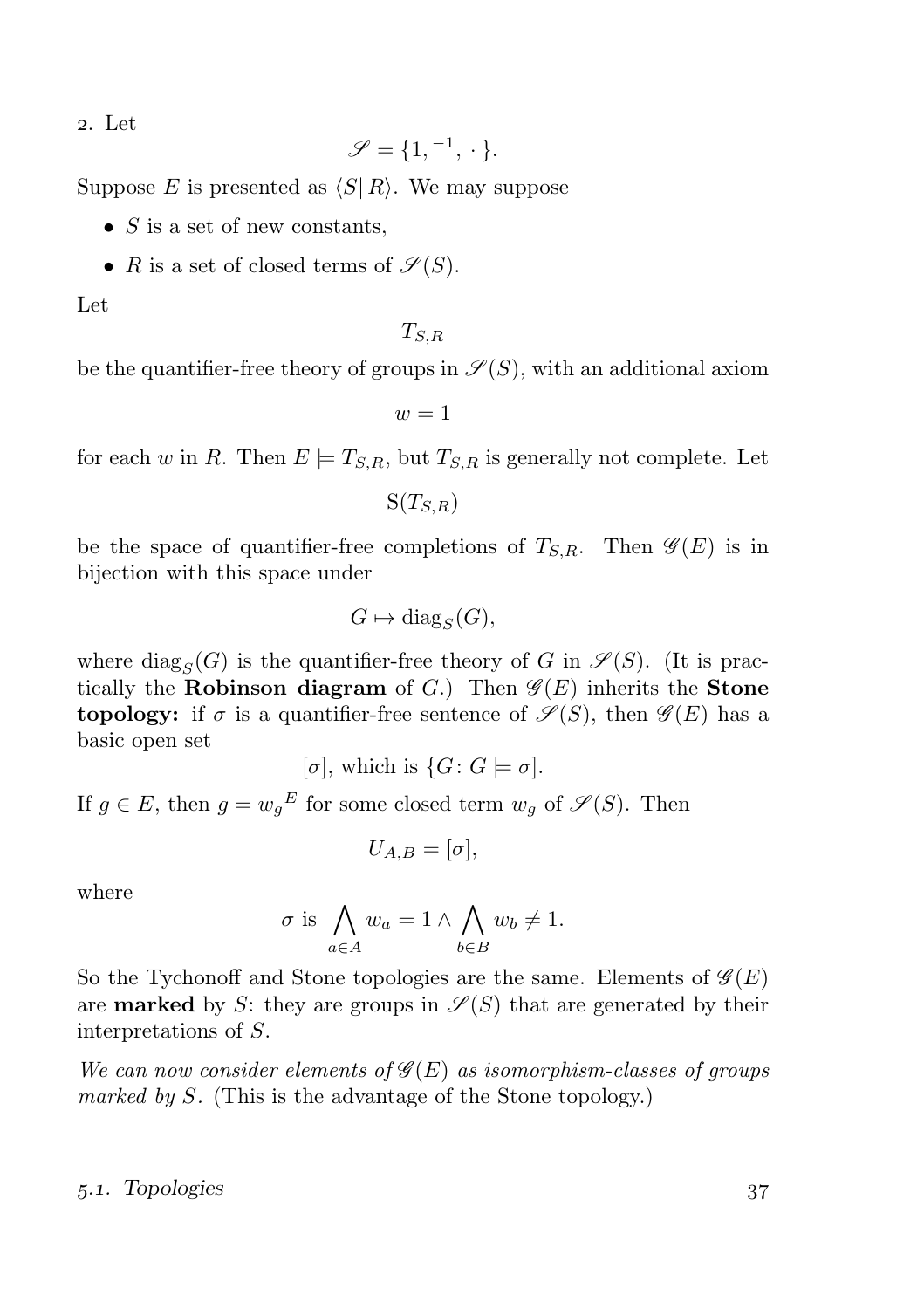. Let

$$
\mathscr{S}=\{1,{}^{-1},{}\cdot{}\}.
$$

Suppose E is presented as  $\langle S| R \rangle$ . We may suppose

- $S$  is a set of new constants,
- R is a set of closed terms of  $\mathscr{S}(S)$ .

Let

 $T_{S,R}$ 

be the quantifier-free theory of groups in  $\mathcal{S}(S)$ , with an additional axiom

 $w=1$ 

for each w in R. Then  $E \models T_{S,R}$ , but  $T_{S,R}$  is generally not complete. Let

 $S(T_{S,R})$ 

be the space of quantifier-free completions of  $T_{S,R}$ . Then  $\mathscr{G}(E)$  is in bijection with this space under

$$
G \mapsto \text{diag}_S(G),
$$

where  $\text{diag}_{S}(G)$  is the quantifier-free theory of G in  $\mathscr{S}(S)$ . (It is practically the Robinson diagram of G.) Then  $\mathscr{G}(E)$  inherits the Stone **topology:** if  $\sigma$  is a quantifier-free sentence of  $\mathscr{S}(S)$ , then  $\mathscr{G}(E)$  has a basic open set

$$
[\sigma]
$$
, which is  $\{G: G \models \sigma\}$ .

If  $g \in E$ , then  $g = w_g^E$  for some closed term  $w_g$  of  $\mathscr{S}(S)$ . Then

$$
U_{A,B}=[\sigma],
$$

where

$$
\sigma \text{ is } \bigwedge_{a \in A} w_a = 1 \land \bigwedge_{b \in B} w_b \neq 1.
$$

So the Tychonoff and Stone topologies are the same. Elements of  $\mathscr{G}(E)$ are **marked** by S: they are groups in  $\mathcal{S}(S)$  that are generated by their interpretations of S.

We can now consider elements of  $\mathscr{G}(E)$  as isomorphism-classes of groups marked by  $S$ . (This is the advantage of the Stone topology.)

#### 5.1. Topologies 37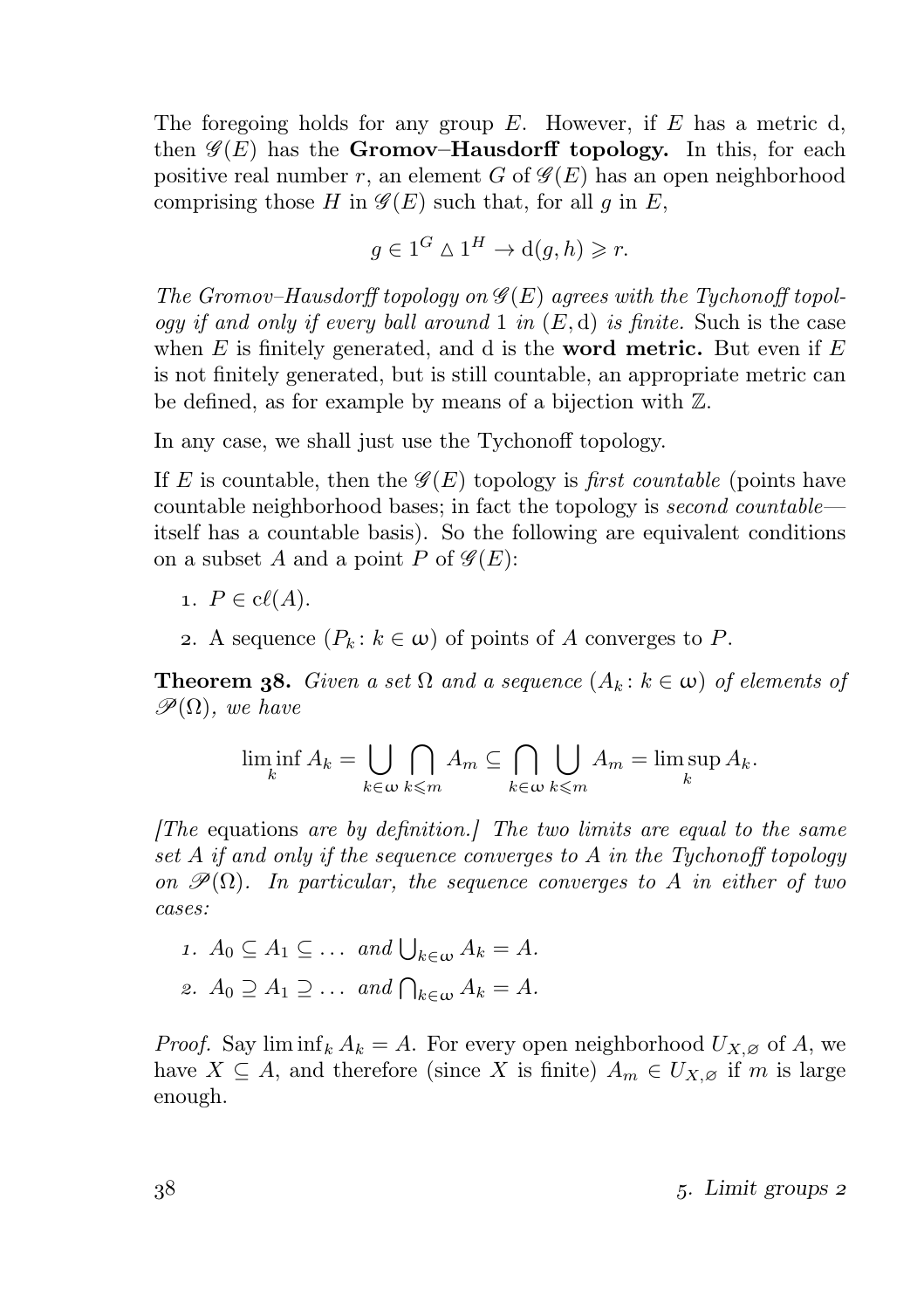The foregoing holds for any group  $E$ . However, if  $E$  has a metric d, then  $\mathscr{G}(E)$  has the **Gromov–Hausdorff topology.** In this, for each positive real number r, an element G of  $\mathscr{G}(E)$  has an open neighborhood comprising those H in  $\mathscr{G}(E)$  such that, for all q in E,

$$
g \in 1^G \wedge 1^H \to d(g, h) \geq r.
$$

The Gromov–Hausdorff topology on  $\mathscr{G}(E)$  agrees with the Tychonoff topology if and only if every ball around 1 in  $(E, d)$  is finite. Such is the case when  $E$  is finitely generated, and d is the **word metric.** But even if  $E$ is not finitely generated, but is still countable, an appropriate metric can be defined, as for example by means of a bijection with Z.

In any case, we shall just use the Tychonoff topology.

If E is countable, then the  $\mathscr{G}(E)$  topology is first countable (points have countable neighborhood bases; in fact the topology is second countable itself has a countable basis). So the following are equivalent conditions on a subset A and a point P of  $\mathscr{G}(E)$ :

- 1.  $P \in \text{cl}(A)$ .
- 2. A sequence  $(P_k : k \in \omega)$  of points of A converges to P.

**Theorem 38.** Given a set  $\Omega$  and a sequence  $(A_k : k \in \omega)$  of elements of  $\mathscr{P}(\Omega)$ , we have

$$
\liminf_{k} A_k = \bigcup_{k \in \omega} \bigcap_{k \leq m} A_m \subseteq \bigcap_{k \in \omega} \bigcup_{k \leq m} A_m = \limsup_{k} A_k.
$$

 $[The$  equations are by definition. The two limits are equal to the same set A if and only if the sequence converges to A in the Tychonoff topology on  $\mathscr{P}(\Omega)$ . In particular, the sequence converges to A in either of two cases:

\n- $$
A_0 \subseteq A_1 \subseteq \ldots
$$
 and  $\bigcup_{k \in \omega} A_k = A$ .
\n- $A_0 \supseteq A_1 \supseteq \ldots$  and  $\bigcap_{k \in \omega} A_k = A$ .
\n

*Proof.* Say  $\liminf_k A_k = A$ . For every open neighborhood  $U_{X,\varnothing}$  of A, we have  $X \subseteq A$ , and therefore (since X is finite)  $A_m \in U_{X,\varnothing}$  if m is large enough.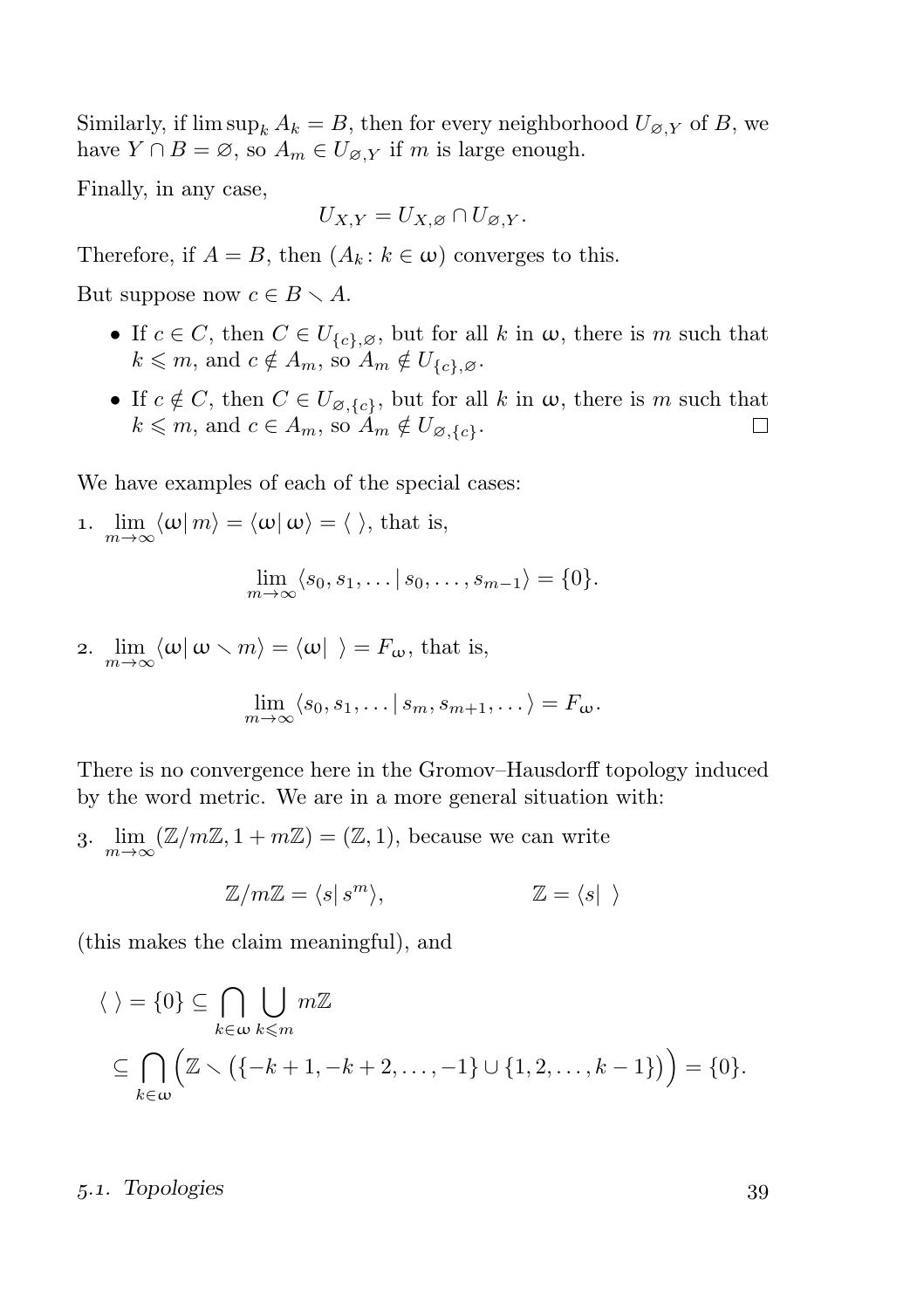Similarly, if  $\limsup_k A_k = B$ , then for every neighborhood  $U_{\varnothing, Y}$  of B, we have  $Y \cap B = \emptyset$ , so  $A_m \in U_{\emptyset, Y}$  if m is large enough.

Finally, in any case,

$$
U_{X,Y}=U_{X,\varnothing}\cap U_{\varnothing,Y}.
$$

Therefore, if  $A = B$ , then  $(A_k : k \in \omega)$  converges to this.

But suppose now  $c \in B \setminus A$ .

- If  $c \in C$ , then  $C \in U_{\{c\},\varnothing}$ , but for all k in  $\omega$ , there is m such that  $k \leq m$ , and  $c \notin A_m$ , so  $A_m \notin U_{\{c\},\varnothing}$ .
- If  $c \notin C$ , then  $C \in U_{\emptyset, \{c\}}$ , but for all k in  $\omega$ , there is m such that  $k \leq m$ , and  $c \in A_m$ , so  $A_m \notin U_{\emptyset, \{c\}}$ .  $\Box$

We have examples of each of the special cases:

\n- 1. 
$$
\lim_{m \to \infty} \langle \omega | m \rangle = \langle \omega | \omega \rangle = \langle \rangle
$$
, that is,  $\lim_{m \to \infty} \langle s_0, s_1, \ldots | s_0, \ldots, s_{m-1} \rangle = \{0\}.$
\n- 2.  $\lim_{m \to \infty} \langle \omega | \omega \rangle = \langle \omega | \rangle = F_{\omega}$ , that is.
\n

2.  $\lim_{m\to\infty}\langle\omega|\omega\setminus m\rangle = \langle\omega|\rangle = F_{\omega}$ , that is,

$$
\lim_{m\to\infty}\langle s_0,s_1,\ldots|s_m,s_{m+1},\ldots\rangle=F_{\omega}.
$$

There is no convergence here in the Gromov–Hausdorff topology induced by the word metric. We are in a more general situation with:

3.  $\lim_{m\to\infty} (\mathbb{Z}/m\mathbb{Z}, 1+m\mathbb{Z}) = (\mathbb{Z}, 1)$ , because we can write

$$
\mathbb{Z}/m\mathbb{Z} = \langle s | s^m \rangle, \qquad \mathbb{Z} = \langle s | \rangle
$$

(this makes the claim meaningful), and

$$
\langle \ \rangle = \{0\} \subseteq \bigcap_{k \in \omega} \bigcup_{k \leq m} m\mathbb{Z}
$$
  

$$
\subseteq \bigcap_{k \in \omega} \left( \mathbb{Z} \setminus \left( \{-k+1, -k+2, \dots, -1\} \cup \{1, 2, \dots, k-1\} \right) \right) = \{0\}.
$$

5.1. Topologies 39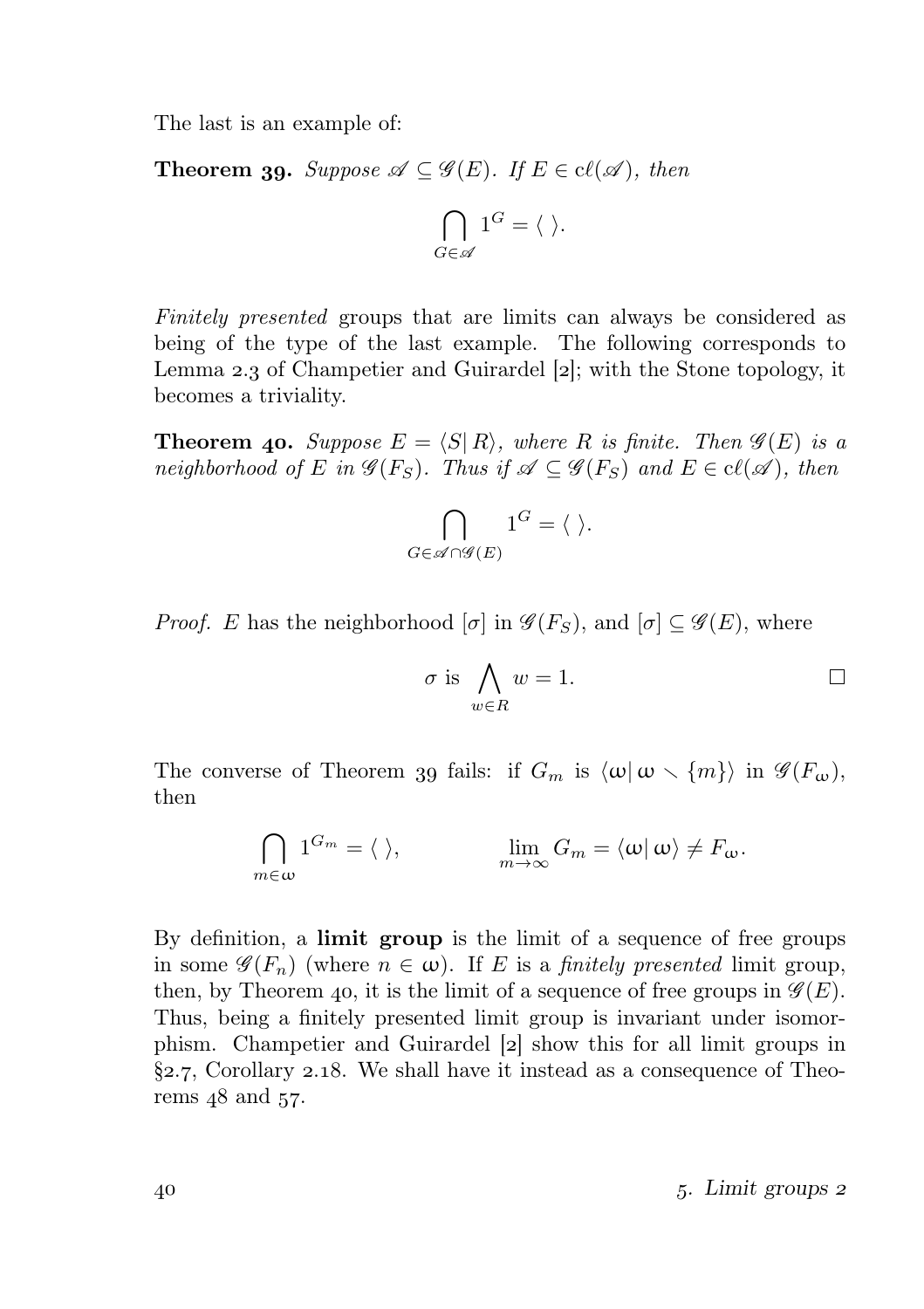The last is an example of:

**Theorem 39.** Suppose  $\mathscr{A} \subseteq \mathscr{G}(E)$ . If  $E \in cl(\mathscr{A})$ , then

$$
\bigcap_{G\in\mathscr{A}}1^G=\langle\ \rangle.
$$

Finitely presented groups that are limits can always be considered as being of the type of the last example. The following corresponds to Lemma 2.3 of Champetier and Guirardel [2]; with the Stone topology, it becomes a triviality.

**Theorem 40.** Suppose  $E = \langle S | R \rangle$ , where R is finite. Then  $\mathscr{G}(E)$  is a neighborhood of E in  $\mathscr{G}(F_S)$ . Thus if  $\mathscr{A} \subseteq \mathscr{G}(F_S)$  and  $E \in cl(\mathscr{A})$ , then

$$
\bigcap_{G\in\mathscr{A}\cap\mathscr{G}(E)}1^G=\langle\ \rangle.
$$

*Proof.* E has the neighborhood  $[\sigma]$  in  $\mathscr{G}(F_S)$ , and  $[\sigma] \subset \mathscr{G}(E)$ , where

$$
\sigma \text{ is } \bigwedge_{w \in R} w = 1. \qquad \qquad \Box
$$

The converse of Theorem 39 fails: if  $G_m$  is  $\langle \omega | \omega \rangle \{m\}$  in  $\mathscr{G}(F_\omega)$ , then

$$
\bigcap_{m\in\omega}1^{G_m}=\langle\ \rangle,\qquad\qquad\lim_{m\to\infty}G_m=\langle\omega|\,\omega\rangle\neq F_\omega.
$$

By definition, a limit group is the limit of a sequence of free groups in some  $\mathscr{G}(F_n)$  (where  $n \in \omega$ ). If E is a *finitely presented* limit group, then, by Theorem 40, it is the limit of a sequence of free groups in  $\mathscr{G}(E)$ . Thus, being a finitely presented limit group is invariant under isomorphism. Champetier and Guirardel [2] show this for all limit groups in  $\S$ 2.7, Corollary 2.18. We shall have it instead as a consequence of Theorems  $48$  and  $57$ .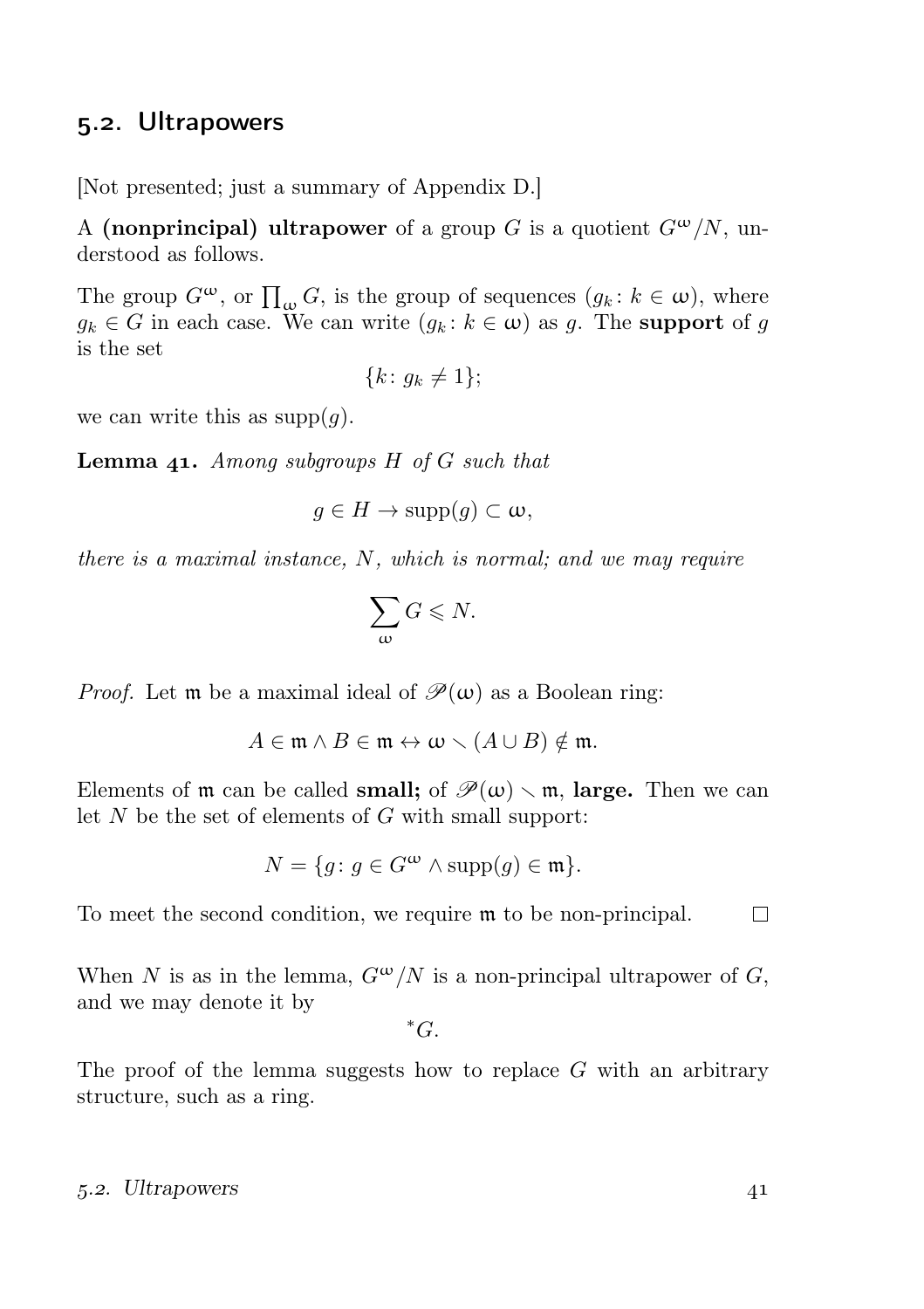### 5.2. Ultrapowers

[Not presented; just a summary of Appendix D.]

A (nonprincipal) ultrapower of a group G is a quotient  $G^{\omega}/N$ , understood as follows.

The group  $G^{\omega}$ , or  $\prod_{\omega} G$ , is the group of sequences  $(g_k : k \in \omega)$ , where  $g_k \in G$  in each case. We can write  $(g_k : k \in \omega)$  as g. The **support** of g is the set

$$
\{k\colon g_k \neq 1\};
$$

we can write this as  $\text{supp}(q)$ .

**Lemma 41.** Among subgroups  $H$  of  $G$  such that

$$
g \in H \to \mathrm{supp}(g) \subset \omega,
$$

there is a maximal instance, N, which is normal; and we may require

$$
\sum_{\omega} G \leqslant N.
$$

*Proof.* Let **m** be a maximal ideal of  $\mathcal{P}(\omega)$  as a Boolean ring:

$$
A \in \mathfrak{m} \wedge B \in \mathfrak{m} \leftrightarrow \omega \smallsetminus (A \cup B) \notin \mathfrak{m}.
$$

Elements of  $m$  can be called **small**; of  $\mathcal{P}(\omega) \setminus m$ , **large.** Then we can let  $N$  be the set of elements of  $G$  with small support:

$$
N = \{ g \colon g \in G^{\omega} \land \text{supp}(g) \in \mathfrak{m} \}.
$$

To meet the second condition, we require m to be non-principal.  $\Box$ 

When N is as in the lemma,  $G^{\omega}/N$  is a non-principal ultrapower of G, and we may denote it by

 ${}^*G$ .

The proof of the lemma suggests how to replace  $G$  with an arbitrary structure, such as a ring.

#### 5.2. Ultrapowers 41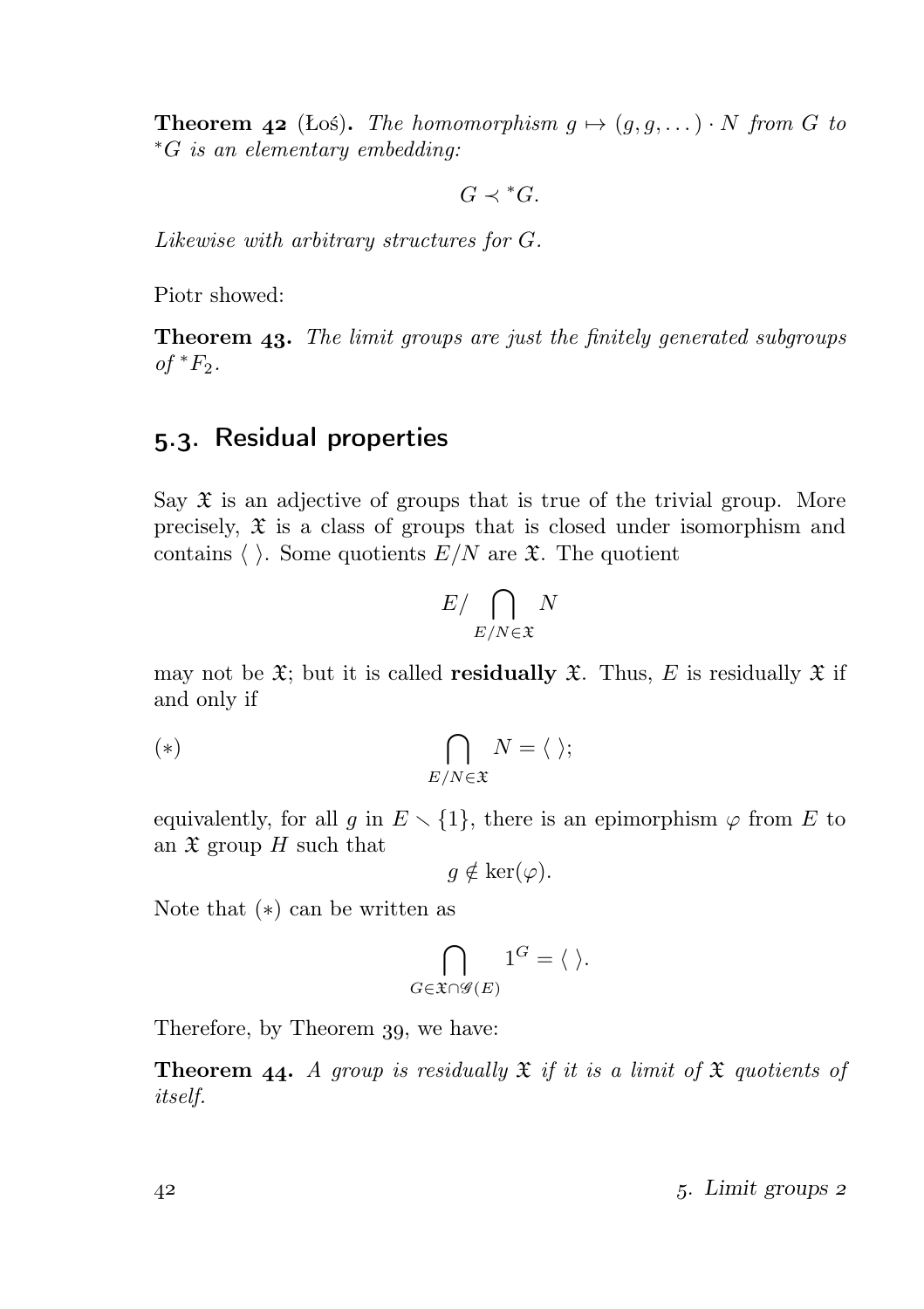**Theorem 42** (Łoś). The homomorphism  $g \mapsto (g, g, \dots) \cdot N$  from G to <sup>∗</sup>G is an elementary embedding:

 $G \prec {}^*G$ .

Likewise with arbitrary structures for G.

Piotr showed:

**Theorem 43.** The limit groups are just the finitely generated subgroups of  $*F_2$ .

### 5.3. Residual properties

Say  $\mathfrak X$  is an adjective of groups that is true of the trivial group. More precisely,  $\mathfrak X$  is a class of groups that is closed under isomorphism and contains  $\langle \ \rangle$ . Some quotients  $E/N$  are  $\mathfrak{X}$ . The quotient

$$
E / \bigcap_{E/N \in \mathfrak{X}} N
$$

may not be  $\mathfrak{X}$ ; but it is called **residually**  $\mathfrak{X}$ . Thus, E is residually  $\mathfrak{X}$  if and only if

$$
(*)\qquad \qquad \bigcap_{E/N\in\mathfrak{X}}N=\langle\ \rangle;
$$

equivalently, for all g in  $E \setminus \{1\}$ , there is an epimorphism  $\varphi$  from E to an  $\mathfrak X$  group H such that

$$
g \notin \ker(\varphi).
$$

Note that (∗) can be written as

$$
\bigcap_{G \in \mathfrak{X} \cap \mathscr{G}(E)} 1^G = \langle \ \rangle.
$$

Therefore, by Theorem 39, we have:

**Theorem 44.** A group is residually  $\mathfrak{X}$  if it is a limit of  $\mathfrak{X}$  quotients of itself.

. Limit groups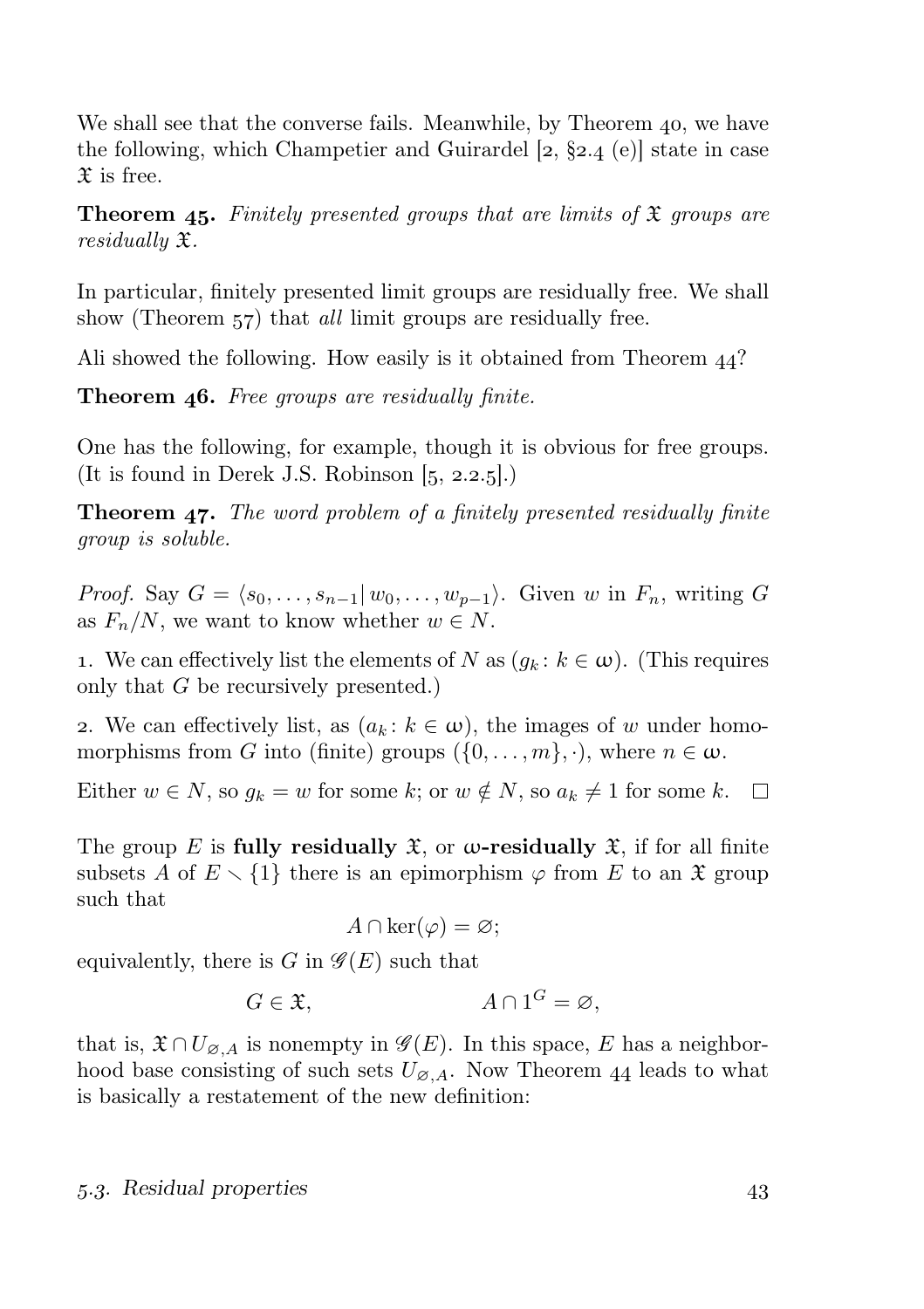We shall see that the converse fails. Meanwhile, by Theorem 40, we have the following, which Champetier and Guirardel  $[2, §2.4]$  (e) state in case  $\mathfrak X$  is free.

**Theorem 45.** Finitely presented groups that are limits of  $\mathfrak{X}$  groups are residually X.

In particular, finitely presented limit groups are residually free. We shall show (Theorem 57) that *all* limit groups are residually free.

Ali showed the following. How easily is it obtained from Theorem  $44$ ?

**Theorem 46.** Free groups are residually finite.

One has the following, for example, though it is obvious for free groups. (It is found in Derek J.S. Robinson  $[5, 2.2.5]$ .)

**Theorem 47.** The word problem of a finitely presented residually finite group is soluble.

*Proof.* Say  $G = \langle s_0, \ldots, s_{n-1} | w_0, \ldots, w_{p-1} \rangle$ . Given w in  $F_n$ , writing G as  $F_n/N$ , we want to know whether  $w \in N$ .

1. We can effectively list the elements of N as  $(g_k : k \in \omega)$ . (This requires only that G be recursively presented.)

2. We can effectively list, as  $(a_k : k \in \omega)$ , the images of w under homomorphisms from G into (finite) groups  $({0, \ldots, m}, \cdot)$ , where  $n \in \omega$ .

Either  $w \in N$ , so  $g_k = w$  for some k; or  $w \notin N$ , so  $a_k \neq 1$  for some k.  $\Box$ 

The group E is fully residually  $\mathfrak{X}$ , or  $\omega$ -residually  $\mathfrak{X}$ , if for all finite subsets A of  $E \setminus \{1\}$  there is an epimorphism  $\varphi$  from E to an  $\mathfrak X$  group such that

$$
A \cap \ker(\varphi) = \varnothing;
$$

equivalently, there is G in  $\mathscr{G}(E)$  such that

$$
G \in \mathfrak{X}, \qquad A \cap 1^G = \varnothing,
$$

that is,  $\mathfrak{X} \cap U_{\emptyset, A}$  is nonempty in  $\mathscr{G}(E)$ . In this space, E has a neighborhood base consisting of such sets  $U_{\emptyset, A}$ . Now Theorem 44 leads to what is basically a restatement of the new definition:

#### 5.3. Residual properties 43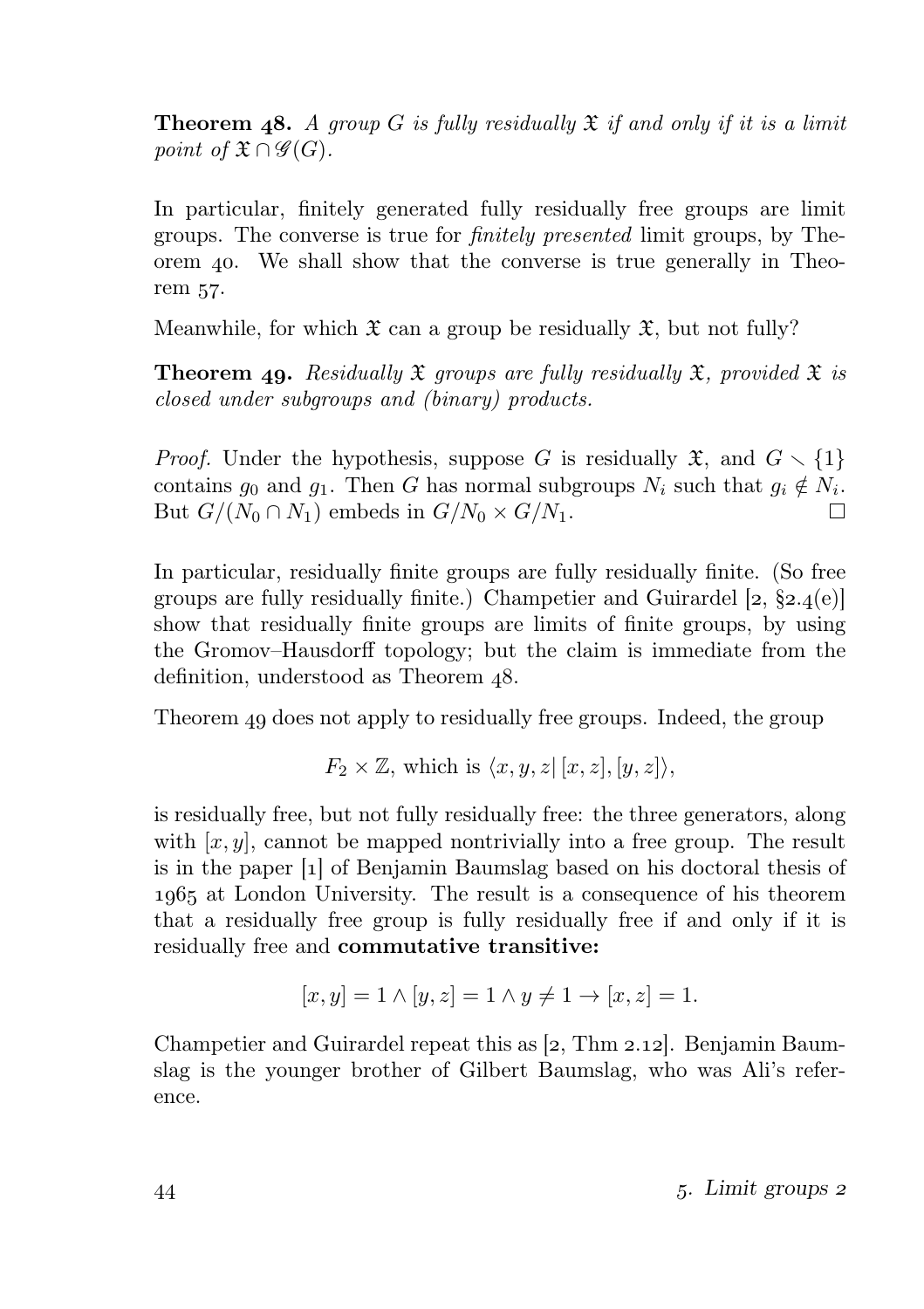**Theorem 48.** A group G is fully residually  $\mathfrak X$  if and only if it is a limit point of  $\mathfrak{X} \cap \mathscr{G}(G)$ .

In particular, finitely generated fully residually free groups are limit groups. The converse is true for finitely presented limit groups, by Theorem 40. We shall show that the converse is true generally in Theorem 57.

Meanwhile, for which  $\mathfrak X$  can a group be residually  $\mathfrak X$ , but not fully?

**Theorem 49.** Residually  $\mathfrak X$  groups are fully residually  $\mathfrak X$ , provided  $\mathfrak X$  is closed under subgroups and (binary) products.

*Proof.* Under the hypothesis, suppose G is residually  $\mathfrak{X}$ , and  $G \setminus \{1\}$ contains  $g_0$  and  $g_1$ . Then G has normal subgroups  $N_i$  such that  $g_i \notin N_i$ . But  $G/(N_0 \cap N_1)$  embeds in  $G/N_0 \times G/N_1$ . П

In particular, residually finite groups are fully residually finite. (So free groups are fully residually finite.) Champetier and Guirardel  $[2, §2.4(e)]$ show that residually finite groups are limits of finite groups, by using the Gromov–Hausdorff topology; but the claim is immediate from the definition, understood as Theorem 48.

Theorem 49 does not apply to residually free groups. Indeed, the group

$$
F_2 \times \mathbb{Z}
$$
, which is  $\langle x, y, z | [x, z], [y, z] \rangle$ ,

is residually free, but not fully residually free: the three generators, along with  $[x, y]$ , cannot be mapped nontrivially into a free group. The result is in the paper [] of Benjamin Baumslag based on his doctoral thesis of at London University. The result is a consequence of his theorem that a residually free group is fully residually free if and only if it is residually free and commutative transitive:

$$
[x, y] = 1 \land [y, z] = 1 \land y \neq 1 \to [x, z] = 1.
$$

Champetier and Guirardel repeat this as  $[2, Thm 2.12]$ . Benjamin Baumslag is the younger brother of Gilbert Baumslag, who was Ali's reference.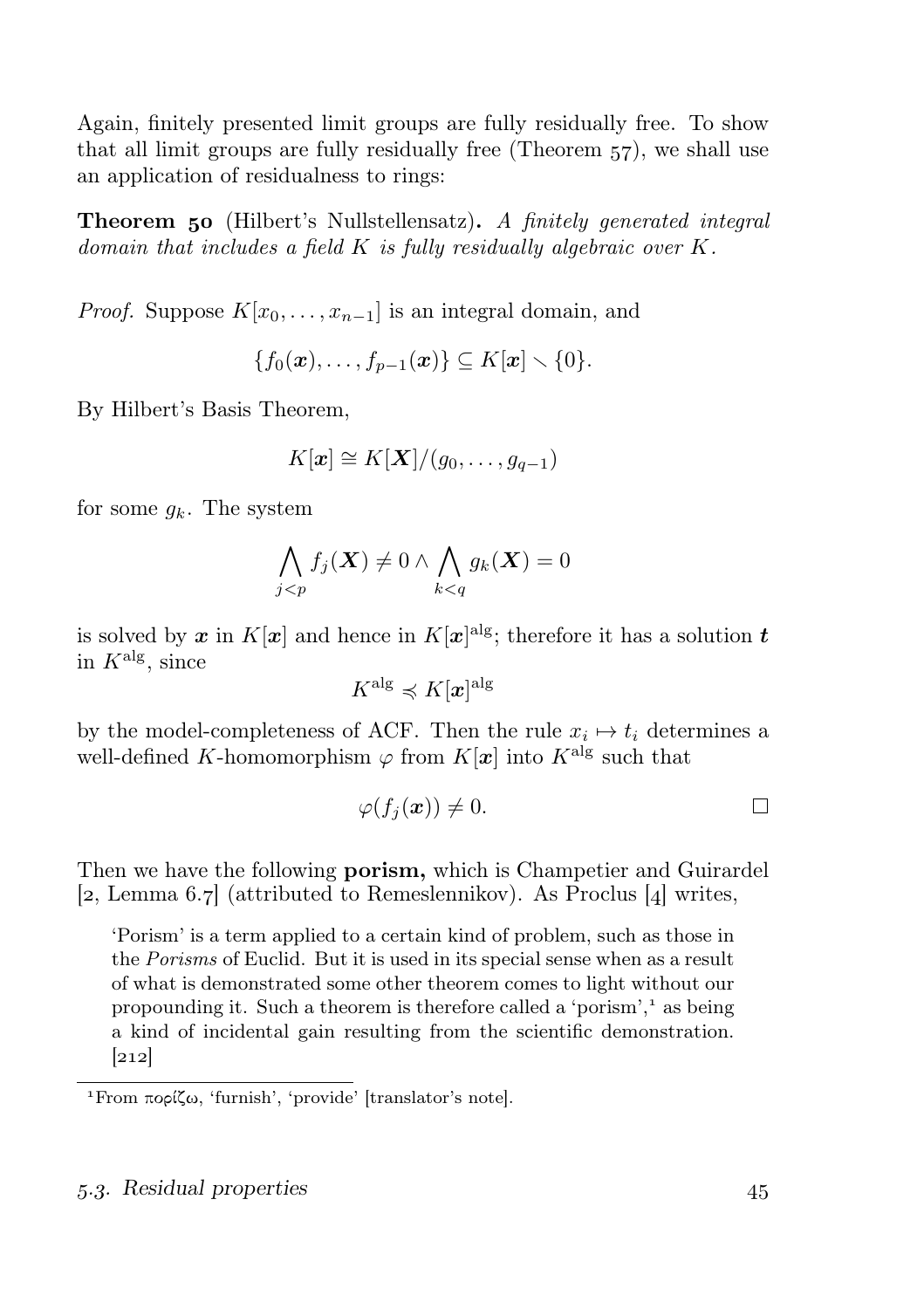Again, finitely presented limit groups are fully residually free. To show that all limit groups are fully residually free (Theorem  $57$ ), we shall use an application of residualness to rings:

**Theorem 50** (Hilbert's Nullstellensatz). A finitely generated integral domain that includes a field  $K$  is fully residually algebraic over  $K$ .

*Proof.* Suppose  $K[x_0, \ldots, x_{n-1}]$  is an integral domain, and

$$
\{f_0(\boldsymbol{x}),\ldots,f_{p-1}(\boldsymbol{x})\}\subseteq K[\boldsymbol{x}]\setminus\{0\}.
$$

By Hilbert's Basis Theorem,

$$
K[\boldsymbol{x}] \cong K[\boldsymbol{X}]/(g_0,\ldots,g_{q-1})
$$

for some  $q_k$ . The system

$$
\bigwedge_{j
$$

is solved by  $x$  in  $K[x]$  and hence in  $K[x]^{\text{alg}}$ ; therefore it has a solution  $t$ in  $K^{\text{alg}}$ , since

$$
K^{\mathrm{alg}}\preccurlyeq K[\boldsymbol{x}]^{\mathrm{alg}}
$$

by the model-completeness of ACF. Then the rule  $x_i \mapsto t_i$  determines a well-defined K-homomorphism  $\varphi$  from  $K[x]$  into  $K^{\text{alg}}$  such that

$$
\varphi(f_j(\boldsymbol{x})) \neq 0. \qquad \qquad \Box
$$

Then we have the following **porism**, which is Champetier and Guirardel [2, Lemma 6.7] (attributed to Remeslennikov). As Proclus [4] writes,

'Porism' is a term applied to a certain kind of problem, such as those in the Porisms of Euclid. But it is used in its special sense when as a result of what is demonstrated some other theorem comes to light without our propounding it. Such a theorem is therefore called a 'porism',<sup>1</sup> as being a kind of incidental gain resulting from the scientific demonstration.  $[212]$ 

From πορίζω, 'furnish', 'provide' [translator's note].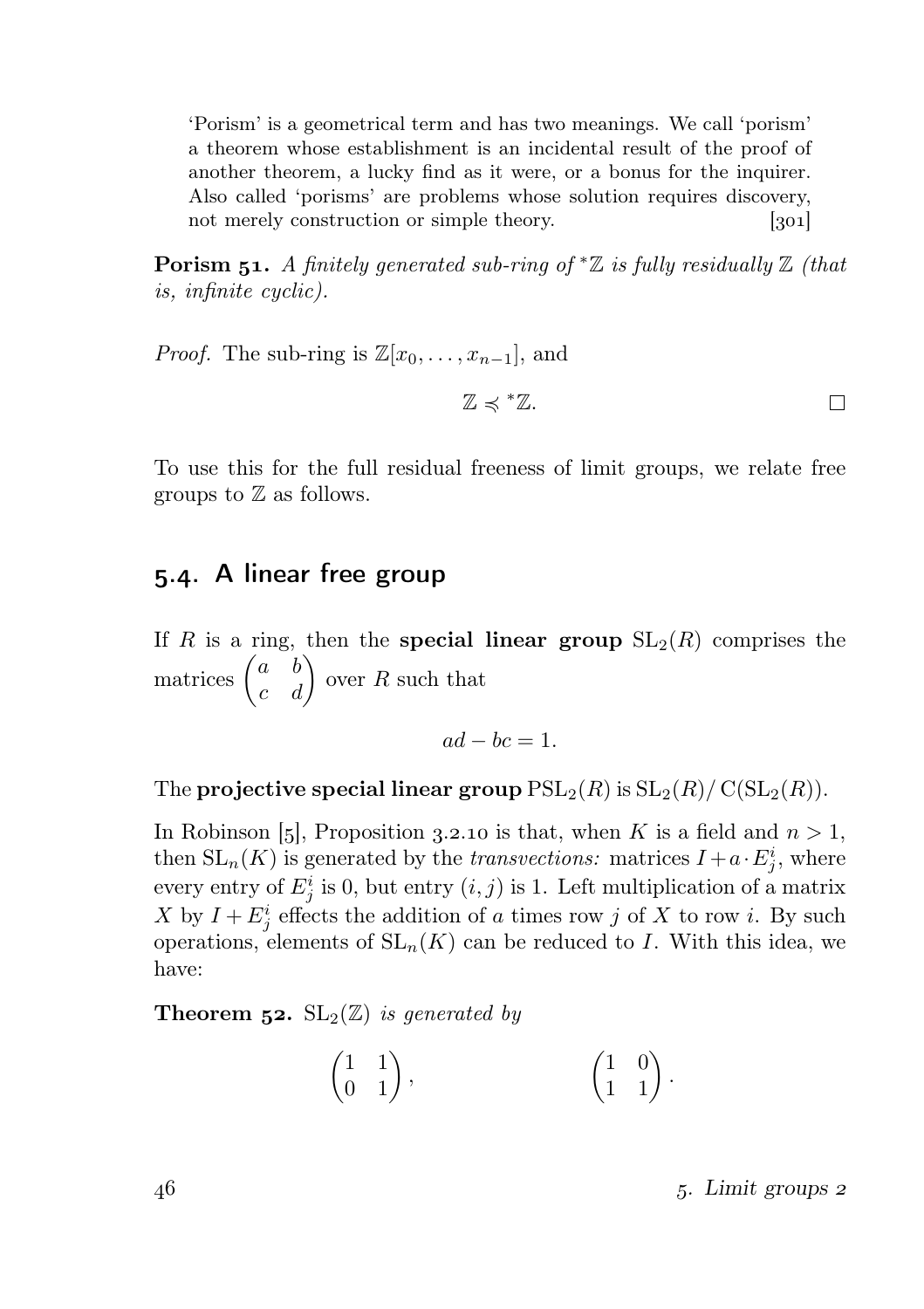'Porism' is a geometrical term and has two meanings. We call 'porism' a theorem whose establishment is an incidental result of the proof of another theorem, a lucky find as it were, or a bonus for the inquirer. Also called 'porisms' are problems whose solution requires discovery, not merely construction or simple theory. [301]

**Porism 51.** A finitely generated sub-ring of  $*{\mathbb Z}$  is fully residually  ${\mathbb Z}$  (that is, infinite cyclic).

*Proof.* The sub-ring is  $\mathbb{Z}[x_0, \ldots, x_{n-1}]$ , and

 $\mathbb{Z} \preccurlyeq$  \*  $\mathbb{Z}$ .  $\Box$ 

To use this for the full residual freeness of limit groups, we relate free groups to  $\mathbb Z$  as follows.

### 5.4. A linear free group

If R is a ring, then the **special linear group**  $SL_2(R)$  comprises the matrices  $\begin{pmatrix} a & b \\ c & d \end{pmatrix}$  over R such that

 $ad - bc = 1$ 

The projective special linear group  $PSL_2(R)$  is  $SL_2(R)/ C(SL_2(R))$ .

In Robinson [5], Proposition 3.2.10 is that, when K is a field and  $n > 1$ , then  $SL_n(K)$  is generated by the *transvections:* matrices  $I + a \cdot E_j^i$ , where every entry of  $E_j^i$  is 0, but entry  $(i, j)$  is 1. Left multiplication of a matrix X by  $I + E_j^i$  effects the addition of a times row j of X to row i. By such operations, elements of  $SL_n(K)$  can be reduced to I. With this idea, we have:

**Theorem 52.**  $SL_2(\mathbb{Z})$  is generated by

$$
\begin{pmatrix} 1 & 1 \\ 0 & 1 \end{pmatrix}, \qquad \qquad \begin{pmatrix} 1 & 0 \\ 1 & 1 \end{pmatrix}.
$$

 $46$  . Limit groups 2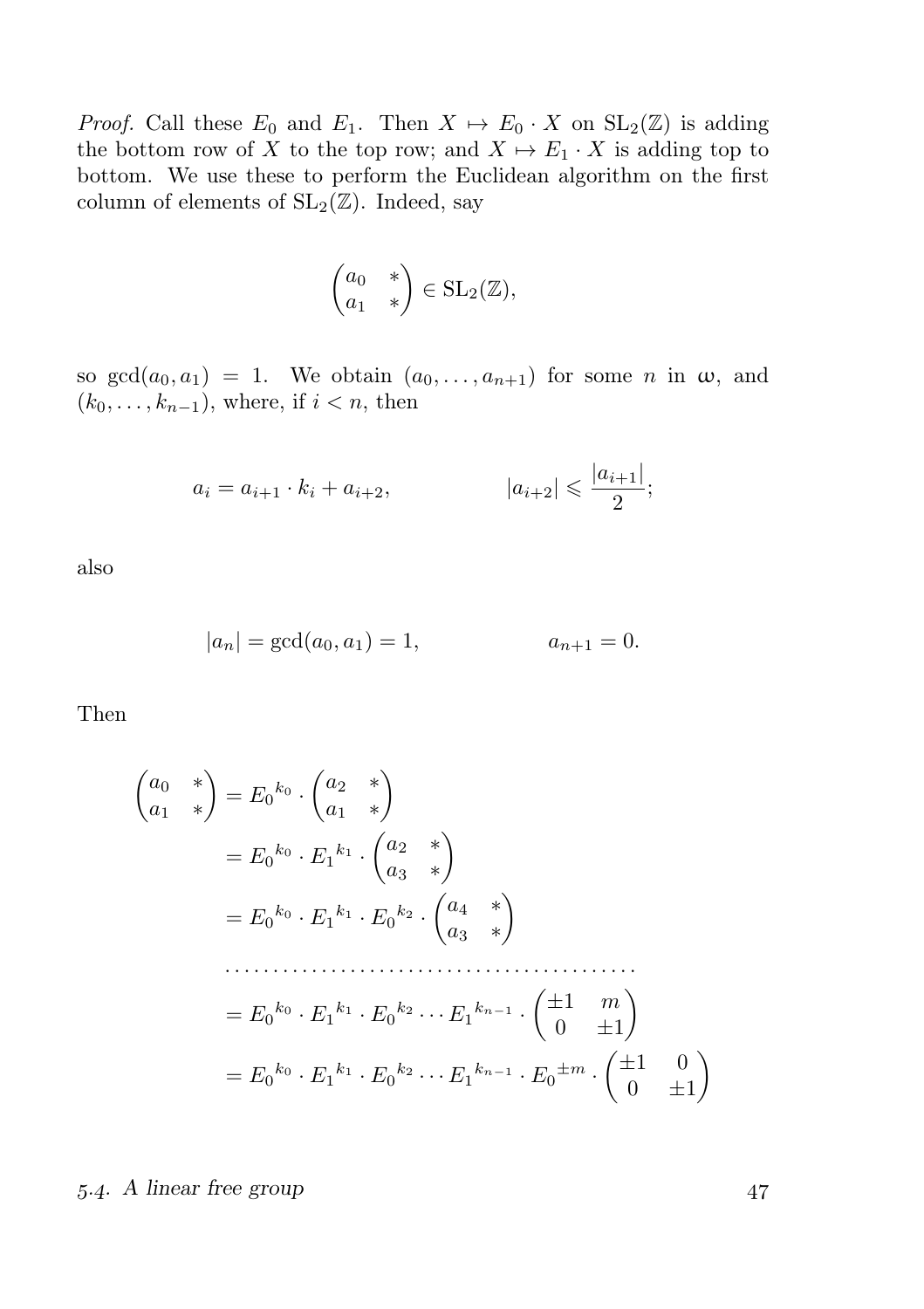*Proof.* Call these  $E_0$  and  $E_1$ . Then  $X \mapsto E_0 \cdot X$  on  $SL_2(\mathbb{Z})$  is adding the bottom row of X to the top row; and  $X \mapsto E_1 \cdot X$  is adding top to bottom. We use these to perform the Euclidean algorithm on the first column of elements of  $SL_2(\mathbb{Z})$ . Indeed, say

$$
\begin{pmatrix} a_0 & * \\ a_1 & * \end{pmatrix} \in \text{SL}_2(\mathbb{Z}),
$$

so  $gcd(a_0, a_1) = 1$ . We obtain  $(a_0, \ldots, a_{n+1})$  for some n in  $\omega$ , and  $(k_0, \ldots, k_{n-1})$ , where, if  $i < n$ , then

$$
a_i = a_{i+1} \cdot k_i + a_{i+2}, \qquad |a_{i+2}| \leqslant \frac{|a_{i+1}|}{2};
$$

also

$$
|a_n| = \gcd(a_0, a_1) = 1, \qquad a_{n+1} = 0.
$$

Then

$$
\begin{aligned}\n\begin{pmatrix} a_0 & * \\ a_1 & * \end{pmatrix} &= E_0^{k_0} \cdot \begin{pmatrix} a_2 & * \\ a_1 & * \end{pmatrix} \\
&= E_0^{k_0} \cdot E_1^{k_1} \cdot \begin{pmatrix} a_2 & * \\ a_3 & * \end{pmatrix} \\
&= E_0^{k_0} \cdot E_1^{k_1} \cdot E_0^{k_2} \cdot \begin{pmatrix} a_4 & * \\ a_3 & * \end{pmatrix} \\
&\dots \\
&= E_0^{k_0} \cdot E_1^{k_1} \cdot E_0^{k_2} \cdot \dots E_1^{k_{n-1}} \cdot \begin{pmatrix} \pm 1 & m \\ 0 & \pm 1 \end{pmatrix} \\
&= E_0^{k_0} \cdot E_1^{k_1} \cdot E_0^{k_2} \dots E_1^{k_{n-1}} \cdot E_0^{\pm m} \cdot \begin{pmatrix} \pm 1 & 0 \\ 0 & \pm 1 \end{pmatrix}\n\end{aligned}
$$

#### 5.4. A linear free group 47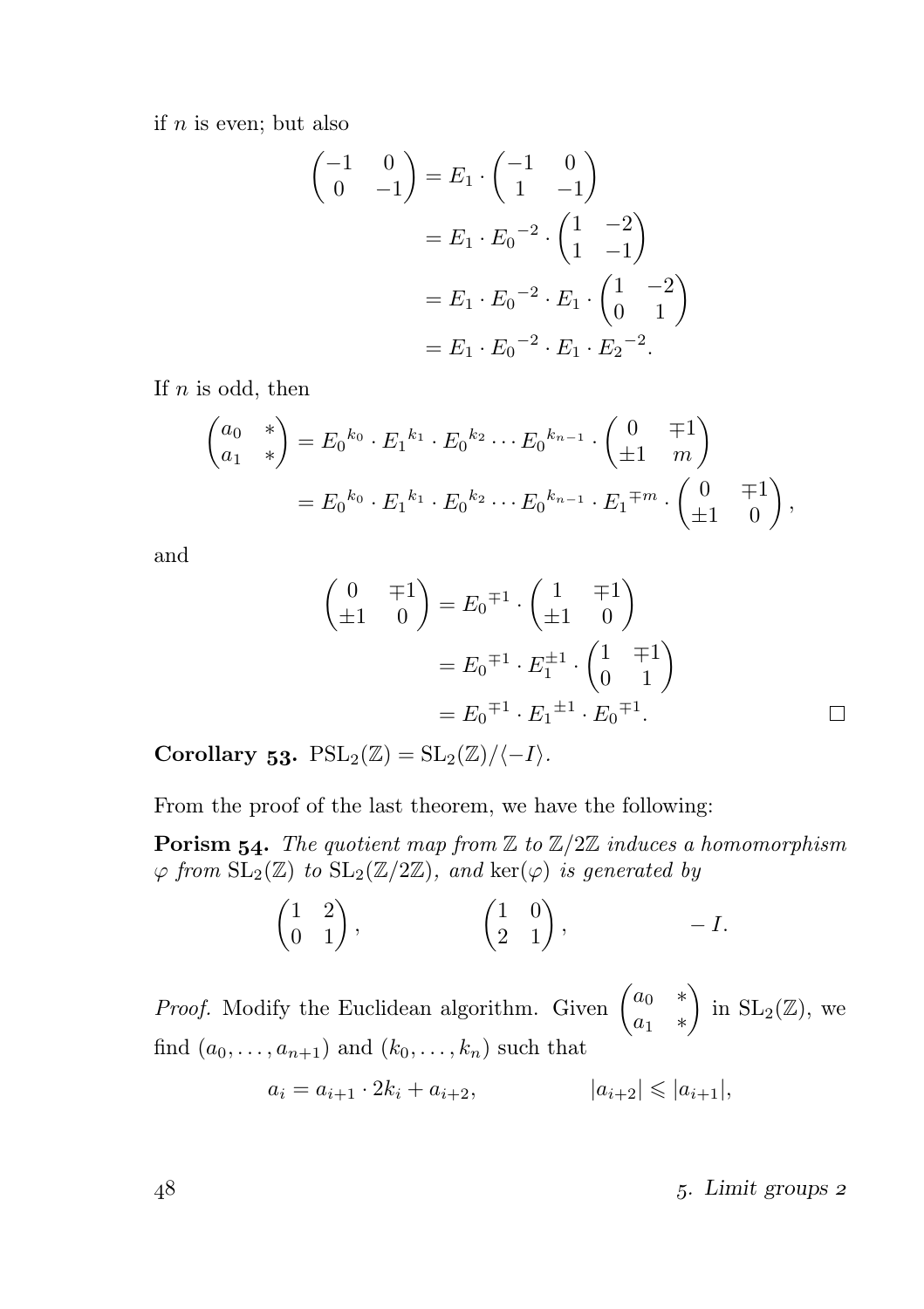if  $n$  is even; but also

$$
\begin{pmatrix} -1 & 0 \ 0 & -1 \end{pmatrix} = E_1 \cdot \begin{pmatrix} -1 & 0 \ 1 & -1 \end{pmatrix}
$$
  
=  $E_1 \cdot E_0^{-2} \cdot \begin{pmatrix} 1 & -2 \ 1 & -1 \end{pmatrix}$   
=  $E_1 \cdot E_0^{-2} \cdot E_1 \cdot \begin{pmatrix} 1 & -2 \ 0 & 1 \end{pmatrix}$   
=  $E_1 \cdot E_0^{-2} \cdot E_1 \cdot E_2^{-2}$ .

If  $n$  is odd, then

$$
\begin{pmatrix} a_0 & * \\ a_1 & * \end{pmatrix} = E_0^{k_0} \cdot E_1^{k_1} \cdot E_0^{k_2} \cdots E_0^{k_{n-1}} \cdot \begin{pmatrix} 0 & \mp 1 \\ \pm 1 & m \end{pmatrix}
$$
  
=  $E_0^{k_0} \cdot E_1^{k_1} \cdot E_0^{k_2} \cdots E_0^{k_{n-1}} \cdot E_1^{\mp m} \cdot \begin{pmatrix} 0 & \mp 1 \\ \pm 1 & 0 \end{pmatrix},$ 

and

$$
\begin{pmatrix} 0 & \mp 1 \\ \pm 1 & 0 \end{pmatrix} = E_0^{\mp 1} \cdot \begin{pmatrix} 1 & \mp 1 \\ \pm 1 & 0 \end{pmatrix}
$$

$$
= E_0^{\mp 1} \cdot E_1^{\pm 1} \cdot \begin{pmatrix} 1 & \mp 1 \\ 0 & 1 \end{pmatrix}
$$

$$
= E_0^{\mp 1} \cdot E_1^{\pm 1} \cdot E_0^{\mp 1}.
$$

Corollary 53.  $PSL_2(\mathbb{Z}) = SL_2(\mathbb{Z}) / \langle -I \rangle$ .

From the proof of the last theorem, we have the following:

**Porism 54.** The quotient map from  $\mathbb{Z}$  to  $\mathbb{Z}/2\mathbb{Z}$  induces a homomorphism  $\varphi$  from  $SL_2(\mathbb{Z})$  to  $SL_2(\mathbb{Z}/2\mathbb{Z})$ , and  $\ker(\varphi)$  is generated by

$$
\begin{pmatrix} 1 & 2 \\ 0 & 1 \end{pmatrix}, \qquad \qquad \begin{pmatrix} 1 & 0 \\ 2 & 1 \end{pmatrix}, \qquad -I.
$$

*Proof.* Modify the Euclidean algorithm. Given  $\begin{pmatrix} a_0 & * \\ * & * \end{pmatrix}$  $a_1$  \* ) in  $SL_2(\mathbb{Z})$ , we find  $(a_0, \ldots, a_{n+1})$  and  $(k_0, \ldots, k_n)$  such that

$$
a_i = a_{i+1} \cdot 2k_i + a_{i+2}, \qquad |a_{i+2}| \leq |a_{i+1}|,
$$

 $148$   $5.$  Limit groups  $2$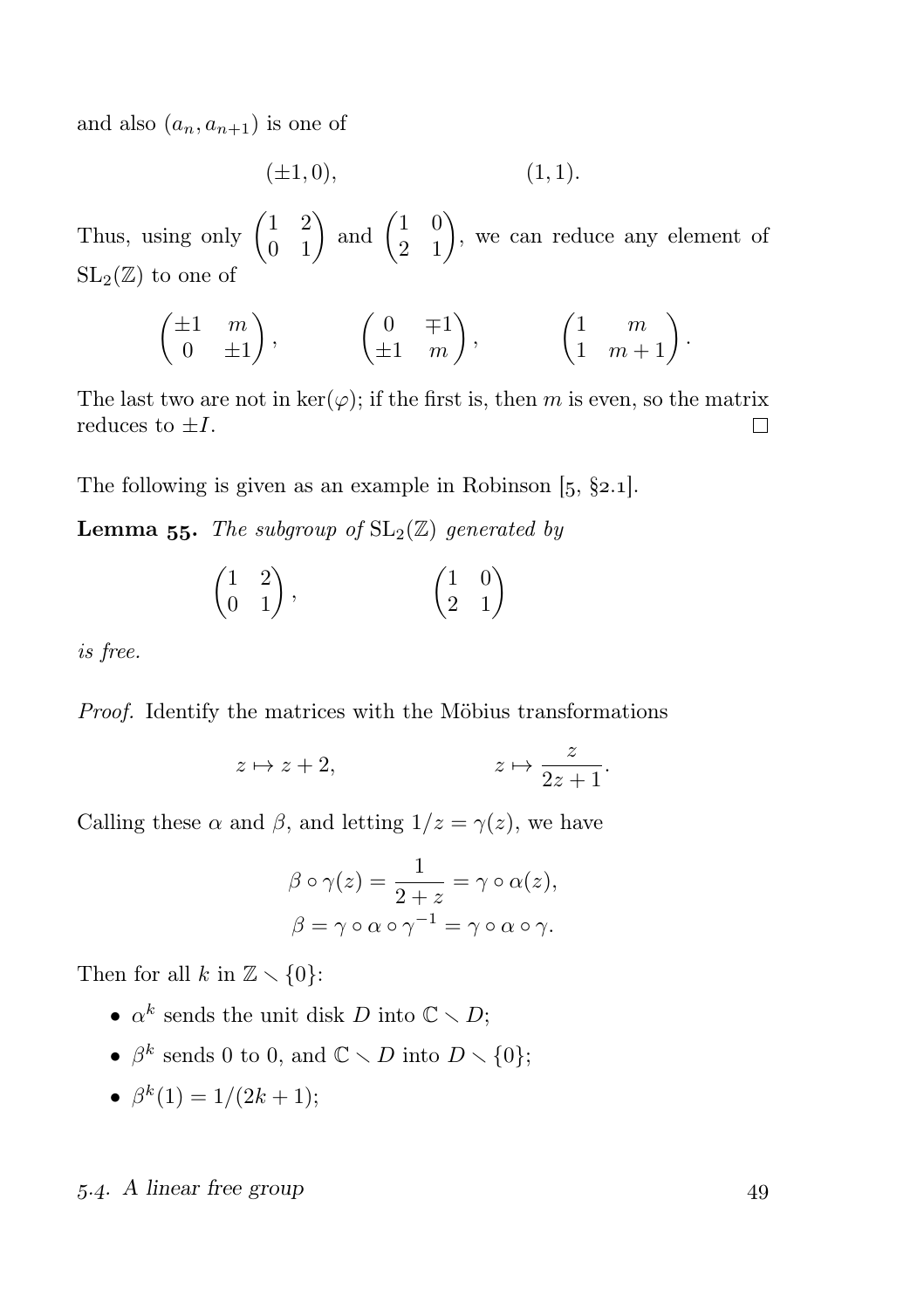and also  $(a_n, a_{n+1})$  is one of

$$
(\pm 1, 0), \tag{1, 1}.
$$

Thus, using only  $\begin{pmatrix} 1 & 2 \\ 0 & 1 \end{pmatrix}$  and  $\begin{pmatrix} 1 & 0 \\ 2 & 1 \end{pmatrix}$ , we can reduce any element of  $SL_2(\mathbb{Z})$  to one of

$$
\begin{pmatrix} \pm 1 & m \\ 0 & \pm 1 \end{pmatrix}, \qquad \begin{pmatrix} 0 & \mp 1 \\ \pm 1 & m \end{pmatrix}, \qquad \begin{pmatrix} 1 & m \\ 1 & m+1 \end{pmatrix}.
$$

The last two are not in  $\ker(\varphi)$ ; if the first is, then m is even, so the matrix reduces to  $\pm I$ .  $\Box$ 

The following is given as an example in Robinson  $[5, §2.1]$ .

**Lemma 55.** The subgroup of  $SL_2(\mathbb{Z})$  generated by

$$
\begin{pmatrix} 1 & 2 \\ 0 & 1 \end{pmatrix}, \qquad \qquad \begin{pmatrix} 1 & 0 \\ 2 & 1 \end{pmatrix}
$$

is free.

Proof. Identify the matrices with the Möbius transformations

$$
z \mapsto z + 2
$$
,  $z \mapsto \frac{z}{2z+1}$ .

Calling these  $\alpha$  and  $\beta$ , and letting  $1/z = \gamma(z)$ , we have

$$
\beta \circ \gamma(z) = \frac{1}{2+z} = \gamma \circ \alpha(z),
$$
  

$$
\beta = \gamma \circ \alpha \circ \gamma^{-1} = \gamma \circ \alpha \circ \gamma.
$$

Then for all k in  $\mathbb{Z} \setminus \{0\}$ :

- $\alpha^k$  sends the unit disk D into  $\mathbb{C} \setminus D$ ;
- $\beta^k$  sends 0 to 0, and  $\mathbb{C} \setminus D$  into  $D \setminus \{0\};$
- $\beta^k(1) = 1/(2k+1);$

#### 5.4. A linear free group 49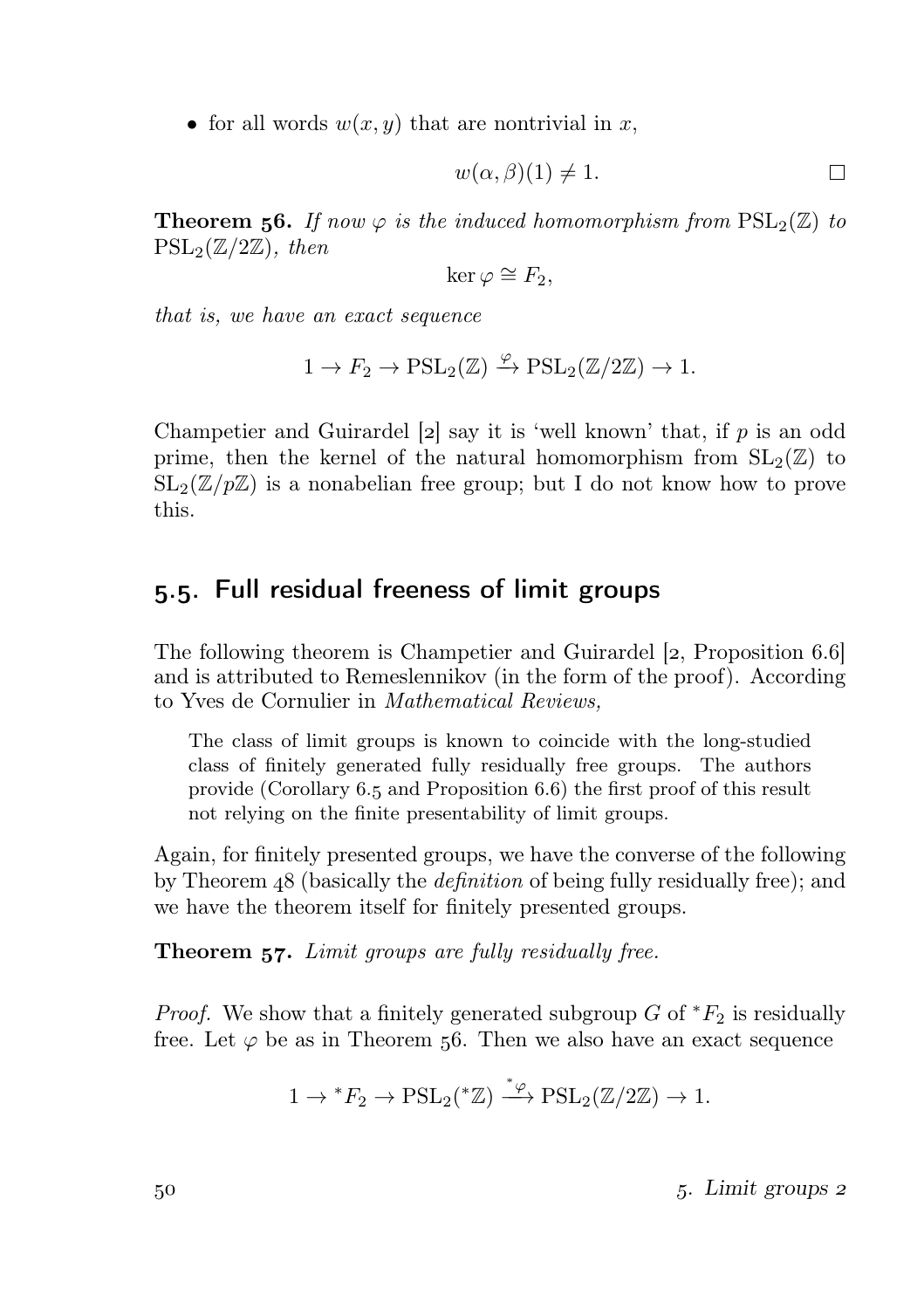• for all words  $w(x, y)$  that are nontrivial in x,

$$
w(\alpha, \beta)(1) \neq 1. \Box
$$

**Theorem 56.** If now  $\varphi$  is the induced homomorphism from  $PSL_2(\mathbb{Z})$  to  $PSL_2(\mathbb{Z}/2\mathbb{Z})$ , then

$$
\ker \varphi \cong F_2,
$$

that is, we have an exact sequence

$$
1 \to F_2 \to \mathrm{PSL}_2(\mathbb{Z}) \xrightarrow{\varphi} \mathrm{PSL}_2(\mathbb{Z}/2\mathbb{Z}) \to 1.
$$

Champetier and Guirardel  $[2]$  say it is 'well known' that, if p is an odd prime, then the kernel of the natural homomorphism from  $SL_2(\mathbb{Z})$  to  $SL_2(\mathbb{Z}/p\mathbb{Z})$  is a nonabelian free group; but I do not know how to prove this.

## 5.5. Full residual freeness of limit groups

The following theorem is Champetier and Guirardel [2, Proposition 6.6] and is attributed to Remeslennikov (in the form of the proof). According to Yves de Cornulier in Mathematical Reviews,

The class of limit groups is known to coincide with the long-studied class of finitely generated fully residually free groups. The authors provide (Corollary  $6.5$  and Proposition  $6.6$ ) the first proof of this result not relying on the finite presentability of limit groups.

Again, for finitely presented groups, we have the converse of the following by Theorem 48 (basically the *definition* of being fully residually free); and we have the theorem itself for finitely presented groups.

**Theorem 57.** Limit groups are fully residually free.

*Proof.* We show that a finitely generated subgroup G of  $*F_2$  is residually free. Let  $\varphi$  be as in Theorem 56. Then we also have an exact sequence

$$
1 \to {}^*F_2 \to \mathrm{PSL}_2({}^*\mathbb{Z}) \xrightarrow{ {}^*\varphi} \mathrm{PSL}_2(\mathbb{Z}/2\mathbb{Z}) \to 1.
$$

 $5^{\circ}$ . Limit groups 2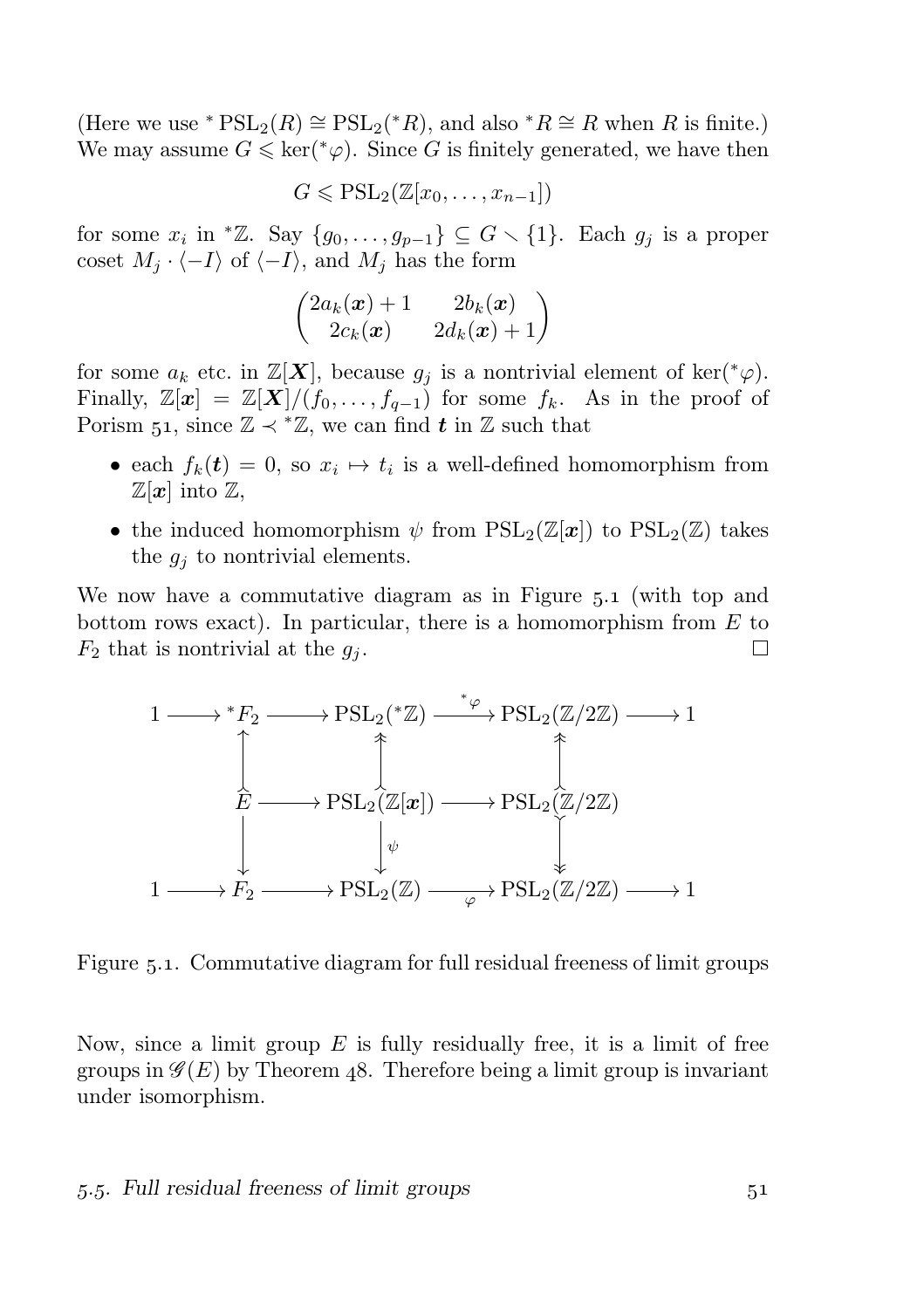(Here we use \*  $PSL_2(R) \cong PSL_2(*R)$ , and also \* $R \cong R$  when R is finite.) We may assume  $G \leq \ker(\gamma \varphi)$ . Since G is finitely generated, we have then

$$
G \leqslant \mathrm{PSL}_2(\mathbb{Z}[x_0,\ldots,x_{n-1}])
$$

for some  $x_i$  in <sup>\*</sup>Z. Say  $\{g_0, \ldots, g_{p-1}\} \subseteq G \setminus \{1\}$ . Each  $g_j$  is a proper coset  $M_i \cdot \langle -I \rangle$  of  $\langle -I \rangle$ , and  $M_j$  has the form

$$
\begin{pmatrix} 2a_k(\boldsymbol{x})+1 & 2b_k(\boldsymbol{x}) \\ 2c_k(\boldsymbol{x}) & 2d_k(\boldsymbol{x})+1 \end{pmatrix}
$$

for some  $a_k$  etc. in  $\mathbb{Z}[\mathbf{X}]$ , because  $g_i$  is a nontrivial element of ker( $^*\varphi$ ). Finally,  $\mathbb{Z}[\mathbf{x}] = \mathbb{Z}[\mathbf{X}]/(f_0, \ldots, f_{q-1})$  for some  $f_k$ . As in the proof of Porism 51, since  $\mathbb{Z} \prec^* \mathbb{Z}$ , we can find t in  $\mathbb{Z}$  such that

- each  $f_k(t) = 0$ , so  $x_i \mapsto t_i$  is a well-defined homomorphism from  $\mathbb{Z}[\boldsymbol{x}]$  into  $\mathbb{Z}$ ,
- the induced homomorphism  $\psi$  from  $PSL_2(\mathbb{Z}[\mathbf{x}])$  to  $PSL_2(\mathbb{Z})$  takes the  $g_j$  to nontrivial elements.

We now have a commutative diagram as in Figure 5.1 (with top and bottom rows exact). In particular, there is a homomorphism from  $E$  to  $F_2$  that is nontrivial at the  $g_i$ .  $\Box$ 



Figure 5.1. Commutative diagram for full residual freeness of limit groups

Now, since a limit group  $E$  is fully residually free, it is a limit of free groups in  $\mathscr{G}(E)$  by Theorem 48. Therefore being a limit group is invariant under isomorphism.

#### 5.5. Full residual freeness of limit groups 51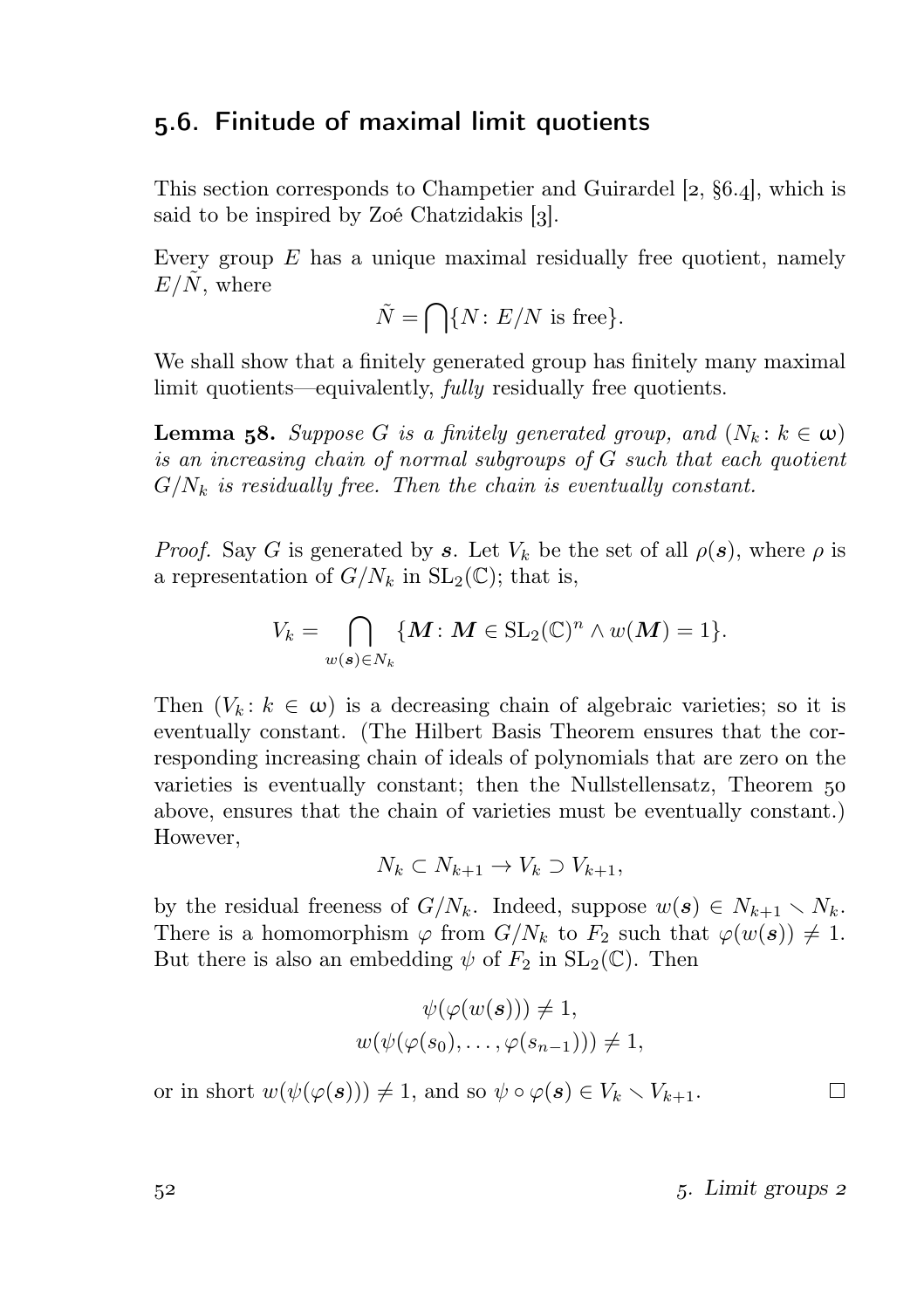## 5.6. Finitude of maximal limit quotients

This section corresponds to Champetier and Guirardel  $[2, §6.4]$ , which is said to be inspired by Zoé Chatzidakis  $\left[3\right]$ .

Every group  $E$  has a unique maximal residually free quotient, namely  $E/N$ , where

$$
\tilde{N} = \bigcap \{ N \colon E/N \text{ is free} \}.
$$

We shall show that a finitely generated group has finitely many maximal limit quotients—equivalently, *fully* residually free quotients.

**Lemma 58.** Suppose G is a finitely generated group, and  $(N_k : k \in \omega)$ is an increasing chain of normal subgroups of G such that each quotient  $G/N_k$  is residually free. Then the chain is eventually constant.

*Proof.* Say G is generated by s. Let  $V_k$  be the set of all  $\rho(s)$ , where  $\rho$  is a representation of  $G/N_k$  in  $SL_2(\mathbb{C})$ ; that is,

$$
V_k = \bigcap_{w(\mathbf{s}) \in N_k} \{ \mathbf{M} : \mathbf{M} \in \operatorname{SL}_2(\mathbb{C})^n \wedge w(\mathbf{M}) = 1 \}.
$$

Then  $(V_k: k \in \omega)$  is a decreasing chain of algebraic varieties; so it is eventually constant. (The Hilbert Basis Theorem ensures that the corresponding increasing chain of ideals of polynomials that are zero on the varieties is eventually constant; then the Nullstellensatz, Theorem above, ensures that the chain of varieties must be eventually constant.) However,

$$
N_k \subset N_{k+1} \to V_k \supset V_{k+1},
$$

by the residual freeness of  $G/N_k$ . Indeed, suppose  $w(s) \in N_{k+1} \setminus N_k$ . There is a homomorphism  $\varphi$  from  $G/N_k$  to  $F_2$  such that  $\varphi(w(s)) \neq 1$ . But there is also an embedding  $\psi$  of  $F_2$  in  $SL_2(\mathbb{C})$ . Then

$$
\psi(\varphi(w(s))) \neq 1,
$$
  

$$
w(\psi(\varphi(s_0), \dots, \varphi(s_{n-1}))) \neq 1,
$$

or in short  $w(\psi(\varphi(s))) \neq 1$ , and so  $\psi \circ \varphi(s) \in V_k \setminus V_{k+1}$ .

 $5<sup>2</sup>$  . Limit groups 2

 $\Box$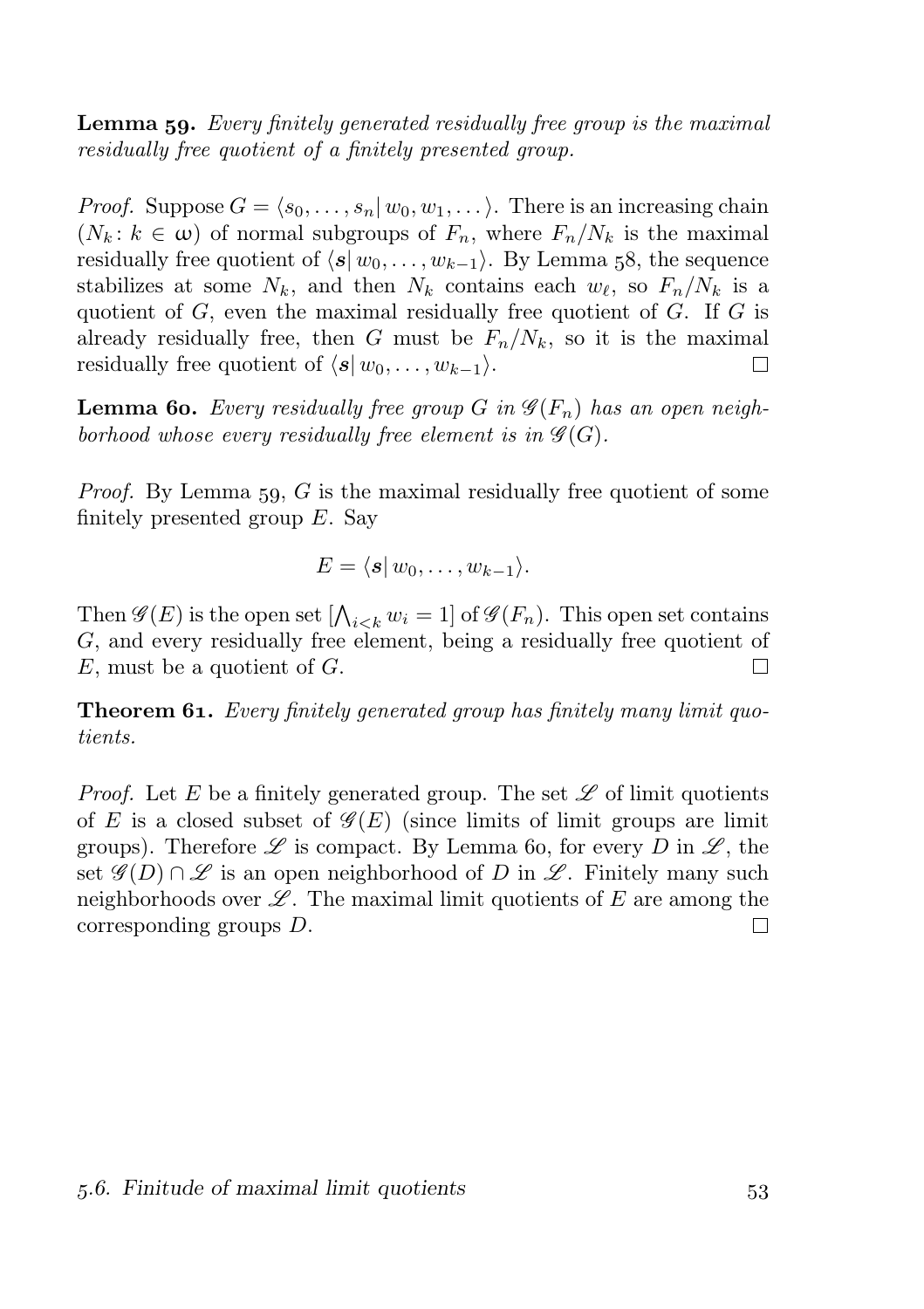**Lemma 59.** Every finitely generated residually free group is the maximal residually free quotient of a finitely presented group.

*Proof.* Suppose  $G = \langle s_0, \ldots, s_n | w_0, w_1, \ldots \rangle$ . There is an increasing chain  $(N_k: k \in \omega)$  of normal subgroups of  $F_n$ , where  $F_n/N_k$  is the maximal residually free quotient of  $\langle s | w_0, \ldots, w_{k-1} \rangle$ . By Lemma 58, the sequence stabilizes at some  $N_k$ , and then  $N_k$  contains each  $w_\ell$ , so  $F_n/N_k$  is a quotient of  $G$ , even the maximal residually free quotient of  $G$ . If  $G$  is already residually free, then G must be  $F_n/N_k$ , so it is the maximal residually free quotient of  $\langle s | w_0, \ldots, w_{k-1} \rangle$ . П

**Lemma 60.** Every residually free group G in  $\mathscr{G}(F_n)$  has an open neighborhood whose every residually free element is in  $\mathscr{G}(G)$ .

*Proof.* By Lemma 59,  $G$  is the maximal residually free quotient of some finitely presented group  $E$ . Say

$$
E = \langle s | w_0, \ldots, w_{k-1} \rangle.
$$

Then  $\mathscr{G}(E)$  is the open set  $[\bigwedge_{i < k} w_i = 1]$  of  $\mathscr{G}(F_n)$ . This open set contains G, and every residually free element, being a residually free quotient of  $E$ , must be a quotient of  $G$ .  $\Box$ 

**Theorem 61.** Every finitely generated group has finitely many limit quotients.

*Proof.* Let E be a finitely generated group. The set  $\mathscr L$  of limit quotients of E is a closed subset of  $\mathscr{G}(E)$  (since limits of limit groups are limit groups). Therefore  $\mathscr L$  is compact. By Lemma 60, for every D in  $\mathscr L$ , the set  $\mathscr{G}(D) \cap \mathscr{L}$  is an open neighborhood of D in  $\mathscr{L}$ . Finitely many such neighborhoods over  $\mathscr{L}$ . The maximal limit quotients of E are among the corresponding groups D. П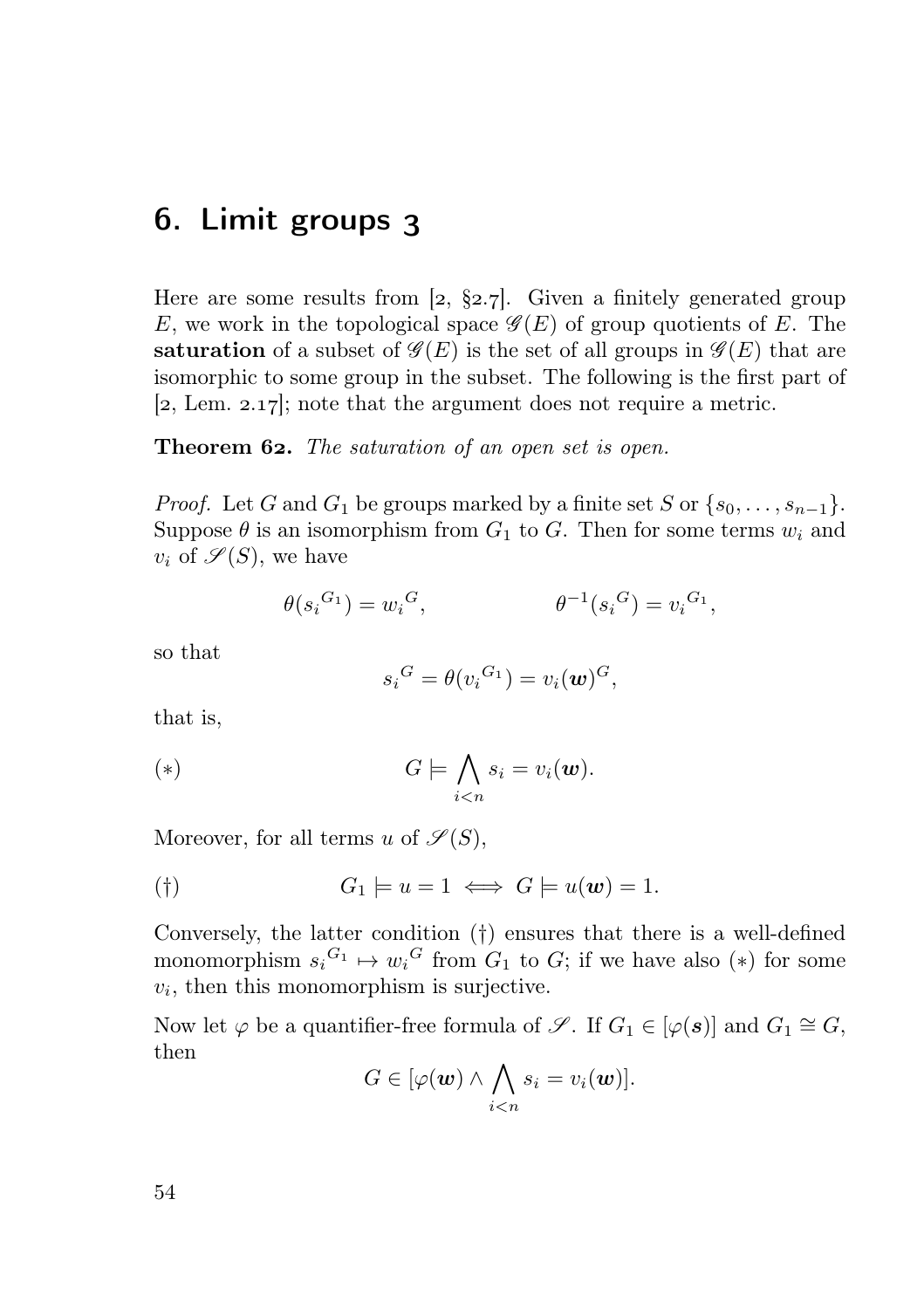## 6. Limit groups 3

Here are some results from [2,  $\S 2.7$ ]. Given a finitely generated group E, we work in the topological space  $\mathscr{G}(E)$  of group quotients of E. The saturation of a subset of  $\mathscr{G}(E)$  is the set of all groups in  $\mathscr{G}(E)$  that are isomorphic to some group in the subset. The following is the first part of  $[2, Lem. 2.17]$ ; note that the argument does not require a metric.

**Theorem 62.** The saturation of an open set is open.

*Proof.* Let G and  $G_1$  be groups marked by a finite set S or  $\{s_0, \ldots, s_{n-1}\}.$ Suppose  $\theta$  is an isomorphism from  $G_1$  to G. Then for some terms  $w_i$  and  $v_i$  of  $\mathscr{S}(S)$ , we have

$$
\theta(s_i{}^{G_1}) = w_i{}^G, \qquad \qquad \theta^{-1}(s_i{}^G) = v_i{}^{G_1},
$$

so that

$$
s_i^G = \theta(v_i^{G_1}) = v_i(\boldsymbol{w})^G,
$$

that is,

$$
(*)\qquad G \models \bigwedge_{i
$$

Moreover, for all terms u of  $\mathscr{S}(S)$ ,

$$
G_1 \models u = 1 \iff G \models u(\mathbf{w}) = 1.
$$

Conversely, the latter condition (†) ensures that there is a well-defined monomorphism  $s_i^{G_1} \mapsto w_i^G$  from  $G_1$  to  $G$ ; if we have also (\*) for some  $v_i$ , then this monomorphism is surjective.

Now let  $\varphi$  be a quantifier-free formula of  $\mathscr{S}$ . If  $G_1 \in [\varphi(\mathbf{s})]$  and  $G_1 \cong G$ , then

$$
G\in[\varphi(\boldsymbol{w})\wedge\bigwedge_{i
$$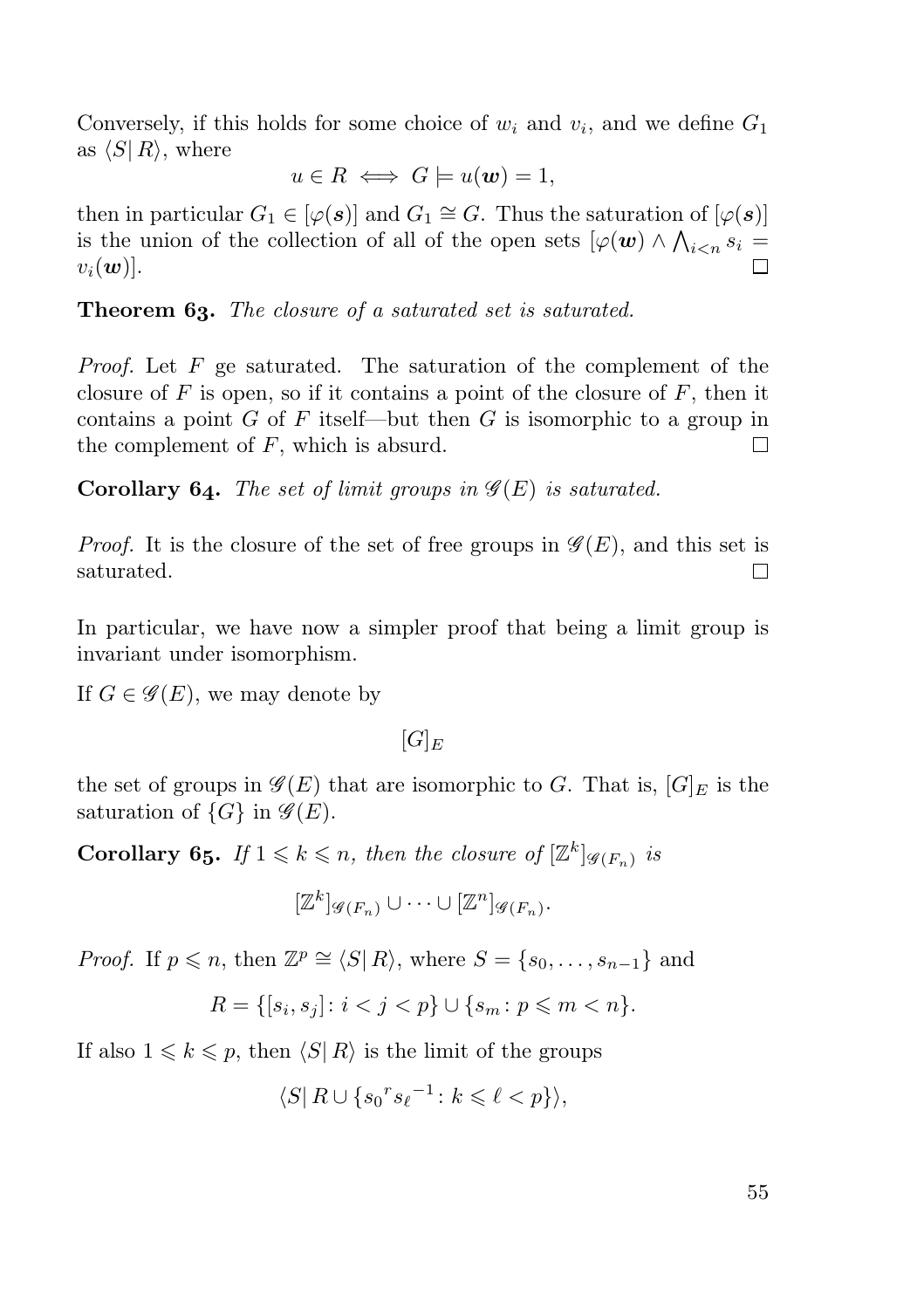Conversely, if this holds for some choice of  $w_i$  and  $v_i$ , and we define  $G_1$ as  $\langle S | R \rangle$ , where

$$
u \in R \iff G \models u(\mathbf{w}) = 1,
$$

then in particular  $G_1 \in [\varphi(\mathbf{s})]$  and  $G_1 \cong G$ . Thus the saturation of  $[\varphi(\mathbf{s})]$ is the union of the collection of all of the open sets  $\lbrack \varphi(\boldsymbol{w})\wedge\bigwedge_{i$  $v_i(\boldsymbol{w})$ .

Theorem 63. The closure of a saturated set is saturated.

*Proof.* Let  $F$  ge saturated. The saturation of the complement of the closure of  $F$  is open, so if it contains a point of the closure of  $F$ , then it contains a point  $G$  of  $F$  itself—but then  $G$  is isomorphic to a group in the complement of  $F$ , which is absurd.  $\Box$ 

**Corollary 64.** The set of limit groups in  $\mathscr{G}(E)$  is saturated.

*Proof.* It is the closure of the set of free groups in  $\mathscr{G}(E)$ , and this set is saturated.  $\Box$ 

In particular, we have now a simpler proof that being a limit group is invariant under isomorphism.

If  $G \in \mathscr{G}(E)$ , we may denote by

 $[G]_E$ 

the set of groups in  $\mathscr{G}(E)$  that are isomorphic to G. That is,  $[G]_E$  is the saturation of  $\{G\}$  in  $\mathscr{G}(E)$ .

**Corollary 65.** If  $1 \leq k \leq n$ , then the closure of  $[\mathbb{Z}^k]_{\mathscr{G}(F_n)}$  is

$$
[\mathbb{Z}^k]_{\mathscr{G}(F_n)}\cup\cdots\cup[\mathbb{Z}^n]_{\mathscr{G}(F_n)}.
$$

*Proof.* If  $p \le n$ , then  $\mathbb{Z}^p \cong \langle S | R \rangle$ , where  $S = \{s_0, \ldots, s_{n-1}\}\$  and

 $R = \{ [s_i, s_j] : i < j < p \} \cup \{ s_m : p \leq m < n \}.$ 

If also  $1 \leq k \leq p$ , then  $\langle S | R \rangle$  is the limit of the groups

$$
\langle S | R \cup \{ s_0^r s_\ell^{-1} \colon k \leqslant \ell < p \} \rangle,
$$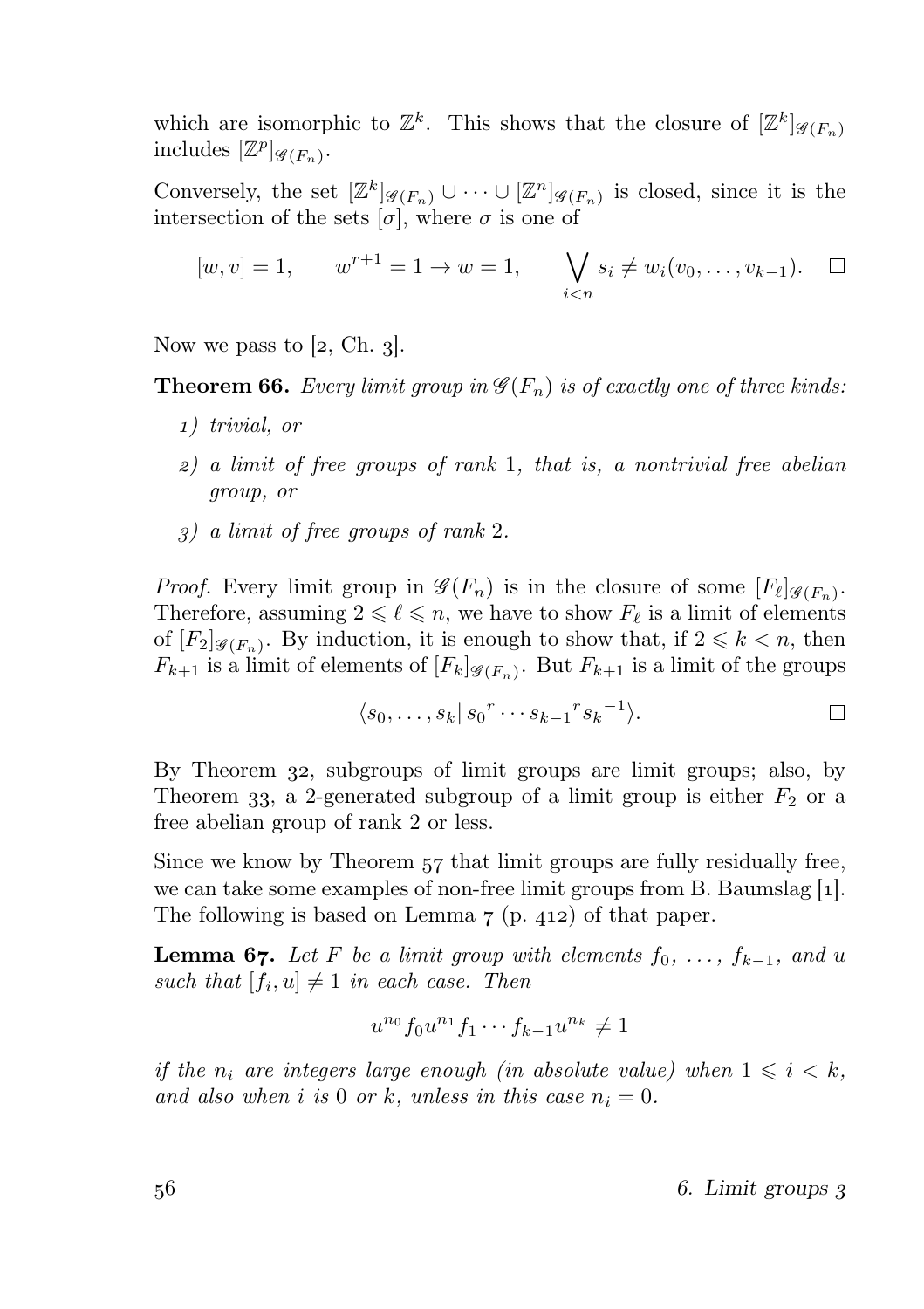which are isomorphic to  $\mathbb{Z}^k$ . This shows that the closure of  $[\mathbb{Z}^k]_{\mathscr{G}(F_n)}$ includes  $[\mathbb{Z}^p]_{\mathscr{G}(F_n)}$ .

Conversely, the set  $[\mathbb{Z}^k]_{\mathscr{G}(F_n)} \cup \cdots \cup [\mathbb{Z}^n]_{\mathscr{G}(F_n)}$  is closed, since it is the intersection of the sets  $[\sigma]$ , where  $\sigma$  is one of

$$
[w, v] = 1,
$$
  $w^{r+1} = 1 \to w = 1,$   $\bigvee_{i < n} s_i \neq w_i(v_0, \dots, v_{k-1}).$   $\square$ 

Now we pass to [2, Ch. 3].

**Theorem 66.** Every limit group in  $\mathcal{G}(F_n)$  is of exactly one of three kinds:

- ) trivial, or
- $\mathfrak{p}$ ) a limit of free groups of rank 1, that is, a nontrivial free abelian group, or
- ) a limit of free groups of rank 2.

*Proof.* Every limit group in  $\mathscr{G}(F_n)$  is in the closure of some  $[F_{\ell}]_{\mathscr{G}(F_n)}$ . Therefore, assuming  $2 \leq \ell \leq n$ , we have to show  $F_{\ell}$  is a limit of elements of  $[F_2]_{\mathscr{G}(F_n)}$ . By induction, it is enough to show that, if  $2 \leq k \leq n$ , then  $F_{k+1}$  is a limit of elements of  $[F_k]_{\mathscr{G}(F_n)}$ . But  $F_{k+1}$  is a limit of the groups

$$
\langle s_0,\ldots,s_k| s_0{r \cdots s_{k-1}}{r s_k}^{-1}\rangle.
$$

By Theorem 32, subgroups of limit groups are limit groups; also, by Theorem 33, a 2-generated subgroup of a limit group is either  $F_2$  or a free abelian group of rank 2 or less.

Since we know by Theorem 57 that limit groups are fully residually free, we can take some examples of non-free limit groups from B. Baumslag  $[1]$ . The following is based on Lemma  $7$  (p. 412) of that paper.

**Lemma 67.** Let F be a limit group with elements  $f_0, \ldots, f_{k-1}$ , and u such that  $[f_i, u] \neq 1$  in each case. Then

$$
u^{n_0} f_0 u^{n_1} f_1 \cdots f_{k-1} u^{n_k} \neq 1
$$

if the  $n_i$  are integers large enough (in absolute value) when  $1 \leq i \leq k$ , and also when i is 0 or k, unless in this case  $n_i = 0$ .

 $56$   $6.$  Limit groups 3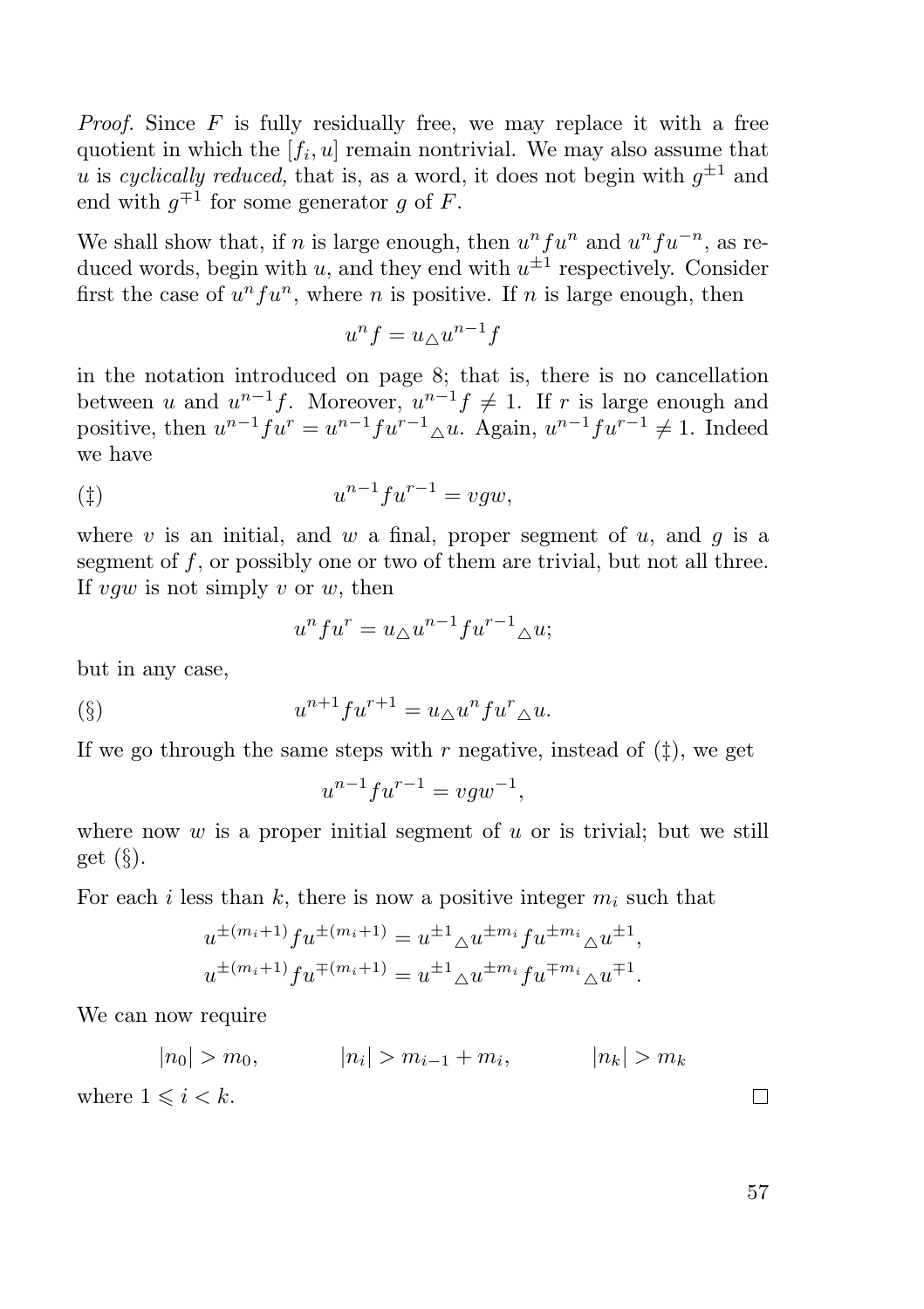*Proof.* Since  $F$  is fully residually free, we may replace it with a free quotient in which the  $[f_i, u]$  remain nontrivial. We may also assume that u is cyclically reduced, that is, as a word, it does not begin with  $g^{\pm 1}$  and end with  $g^{\mp 1}$  for some generator g of F.

We shall show that, if n is large enough, then  $u^n f u^n$  and  $u^n f u^{-n}$ , as reduced words, begin with  $u$ , and they end with  $u^{\pm 1}$  respectively. Consider first the case of  $u^n f u^n$ , where *n* is positive. If *n* is large enough, then

$$
u^n f = u_\triangle u^{n-1} f
$$

in the notation introduced on page 8; that is, there is no cancellation between u and  $u^{n-1}f$ . Moreover,  $u^{n-1}f \neq 1$ . If r is large enough and positive, then  $u^{n-1} f u^r = u^{n-1} f u^{r-1} \Delta u$ . Again,  $u^{n-1} f u^{r-1} \neq 1$ . Indeed we have

$$
u^{n-1} f u^{r-1} = v g w,
$$

where v is an initial, and w a final, proper segment of u, and q is a segment of f, or possibly one or two of them are trivial, but not all three. If  $vqw$  is not simply v or w, then

$$
u^n f u^r = u_\triangle u^{n-1} f u^{r-1}{}_\triangle u;
$$

but in any case,

$$
\text{(§)} \qquad \qquad u^{n+1} f u^{r+1} = u_\Delta u^n f u^r_\Delta u.
$$

If we go through the same steps with r negative, instead of  $(\ddagger)$ , we get

$$
u^{n-1}fu^{r-1} = vgw^{-1},
$$

where now  $w$  is a proper initial segment of  $u$  or is trivial; but we still get  $(\S)$ .

For each i less than k, there is now a positive integer  $m_i$  such that

$$
u^{\pm (m_i+1)} f u^{\pm (m_i+1)} = u^{\pm 1} \Delta u^{\pm m_i} f u^{\pm m_i} \Delta u^{\pm 1},
$$
  

$$
u^{\pm (m_i+1)} f u^{\mp (m_i+1)} = u^{\pm 1} \Delta u^{\pm m_i} f u^{\mp m_i} \Delta u^{\mp 1}.
$$

We can now require

$$
|n_0| > m_0, \t |n_i| > m_{i-1} + m_i, \t |n_k| > m_k
$$

where  $1 \leq i \leq k$ .

57

 $\Box$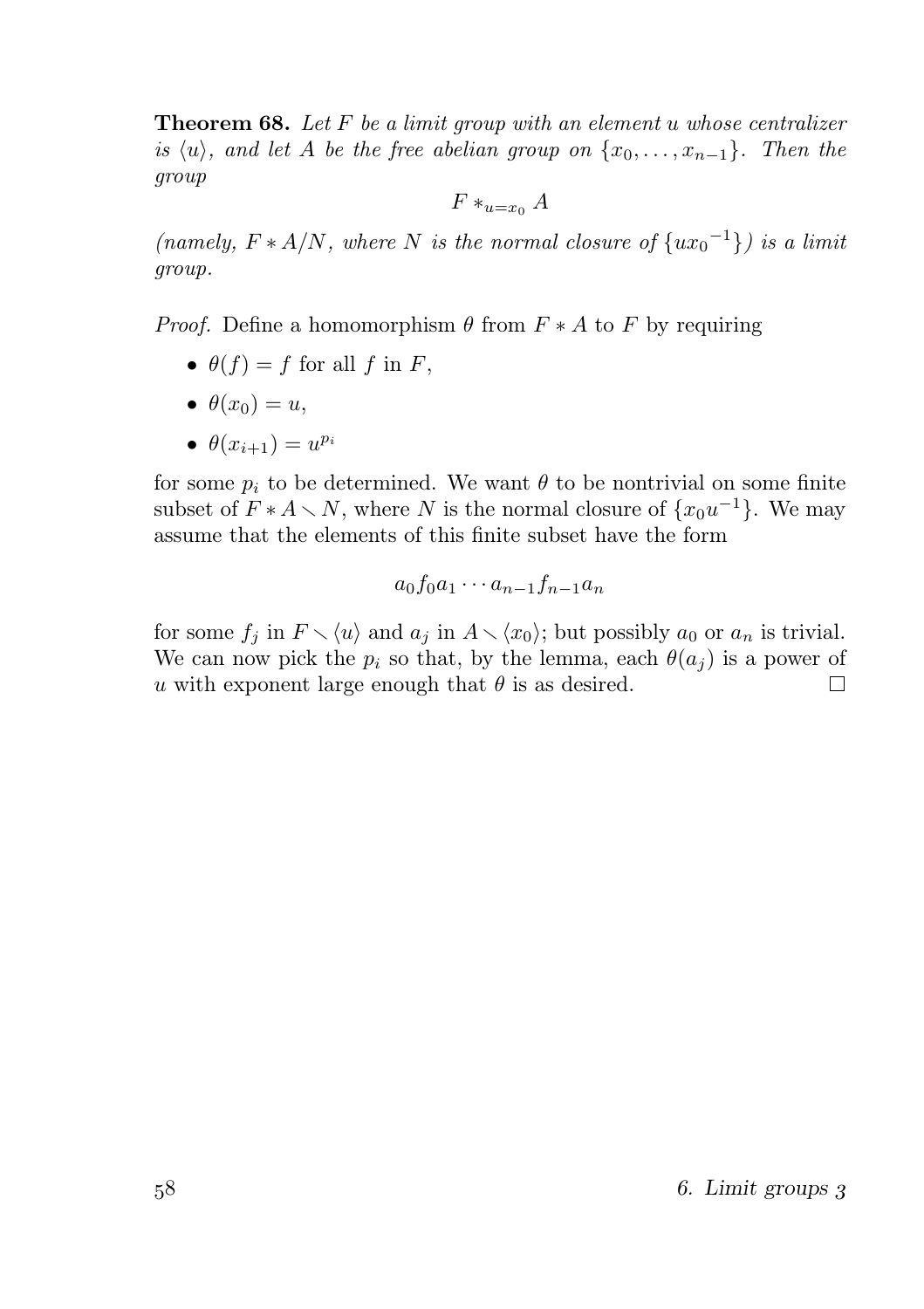**Theorem 68.** Let F be a limit group with an element u whose centralizer is  $\langle u \rangle$ , and let A be the free abelian group on  $\{x_0, \ldots, x_{n-1}\}$ . Then the group

 $F \ast_{u=x_0} A$ 

(namely,  $F * A/N$ , where N is the normal closure of  $\{ux_0^{-1}\}\$ ) is a limit group.

*Proof.* Define a homomorphism  $\theta$  from  $F * A$  to F by requiring

- $\theta(f) = f$  for all f in F,
- $\theta(x_0) = u$ ,
- $\bullet$   $\theta(x_{i+1}) = u^{p_i}$

for some  $p_i$  to be determined. We want  $\theta$  to be nontrivial on some finite subset of  $F * A \setminus N$ , where N is the normal closure of  $\{x_0u^{-1}\}\$ . We may assume that the elements of this finite subset have the form

$$
a_0f_0a_1\cdots a_{n-1}f_{n-1}a_n
$$

for some  $f_j$  in  $F \setminus \langle u \rangle$  and  $a_j$  in  $A \setminus \langle x_0 \rangle$ ; but possibly  $a_0$  or  $a_n$  is trivial. We can now pick the  $p_i$  so that, by the lemma, each  $\theta(a_i)$  is a power of u with exponent large enough that  $\theta$  is as desired. П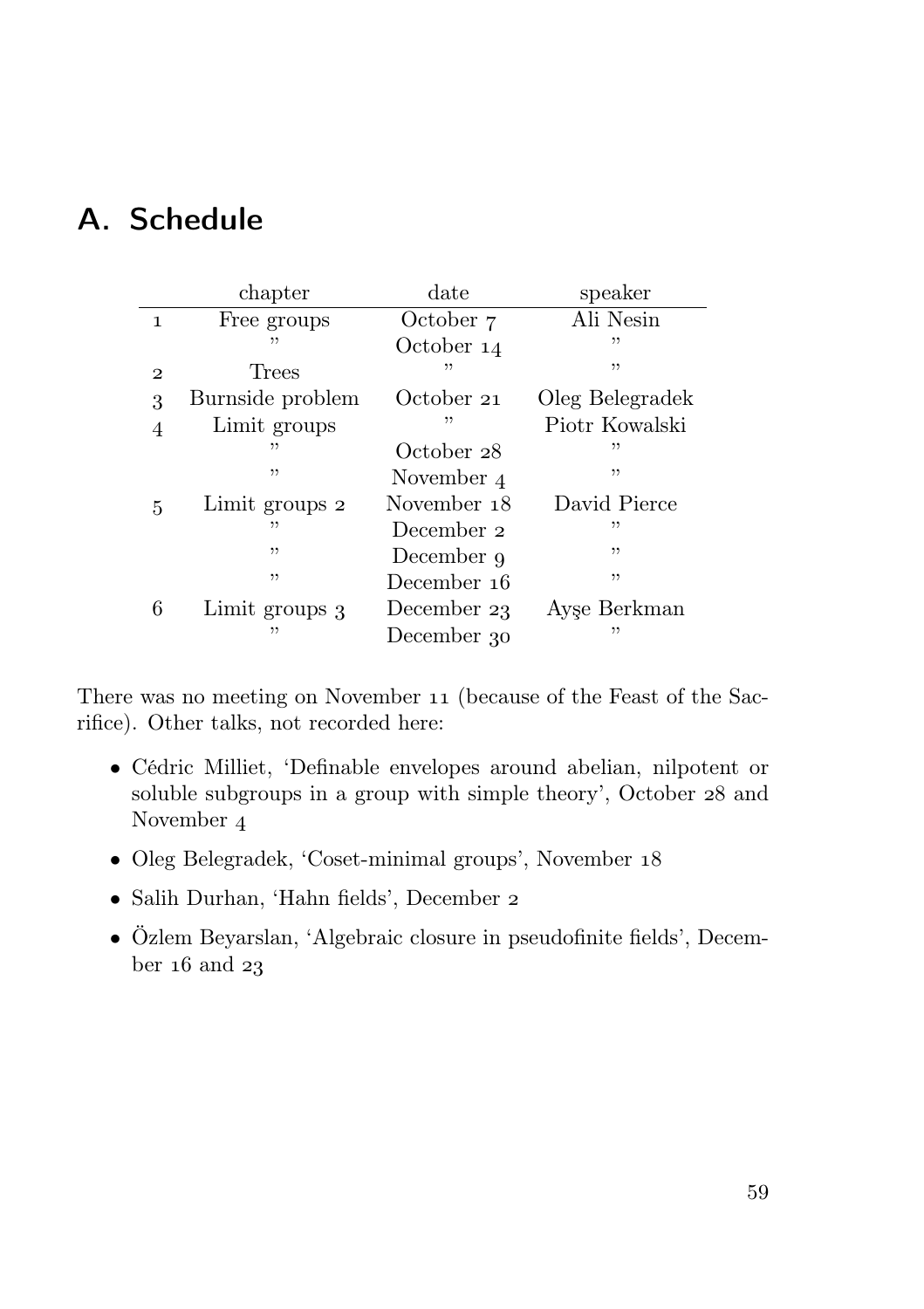# A. Schedule

|              | chapter          | date        | speaker         |  |  |
|--------------|------------------|-------------|-----------------|--|--|
| $\mathbf{1}$ | Free groups      | October 7   | Ali Nesin       |  |  |
|              | "                | October 14  | ,,              |  |  |
| $\mathbf{2}$ | Trees            | "           | ,,              |  |  |
| 3            | Burnside problem | October 21  | Oleg Belegradek |  |  |
| 4            | Limit groups     | "           | Piotr Kowalski  |  |  |
|              | ,,               | October 28  | "               |  |  |
|              | ,,               | November 4  | ,,              |  |  |
| 5            | Limit groups 2   | November 18 | David Pierce    |  |  |
|              | ,,               | December 2  | ,,              |  |  |
|              | , ,              | December 9  | "               |  |  |
|              | , ,              | December 16 | "               |  |  |
| 6            | Limit groups 3   | December 23 | Ayse Berkman    |  |  |
|              | "                | December 30 | "               |  |  |

There was no meeting on November 11 (because of the Feast of the Sacrifice). Other talks, not recorded here:

- Cédric Milliet, 'Definable envelopes around abelian, nilpotent or soluble subgroups in a group with simple theory', October 28 and November
- Oleg Belegradek, 'Coset-minimal groups', November
- Salih Durhan, 'Hahn fields', December
- Özlem Beyarslan, 'Algebraic closure in pseudofinite fields', December  $16$  and  $23$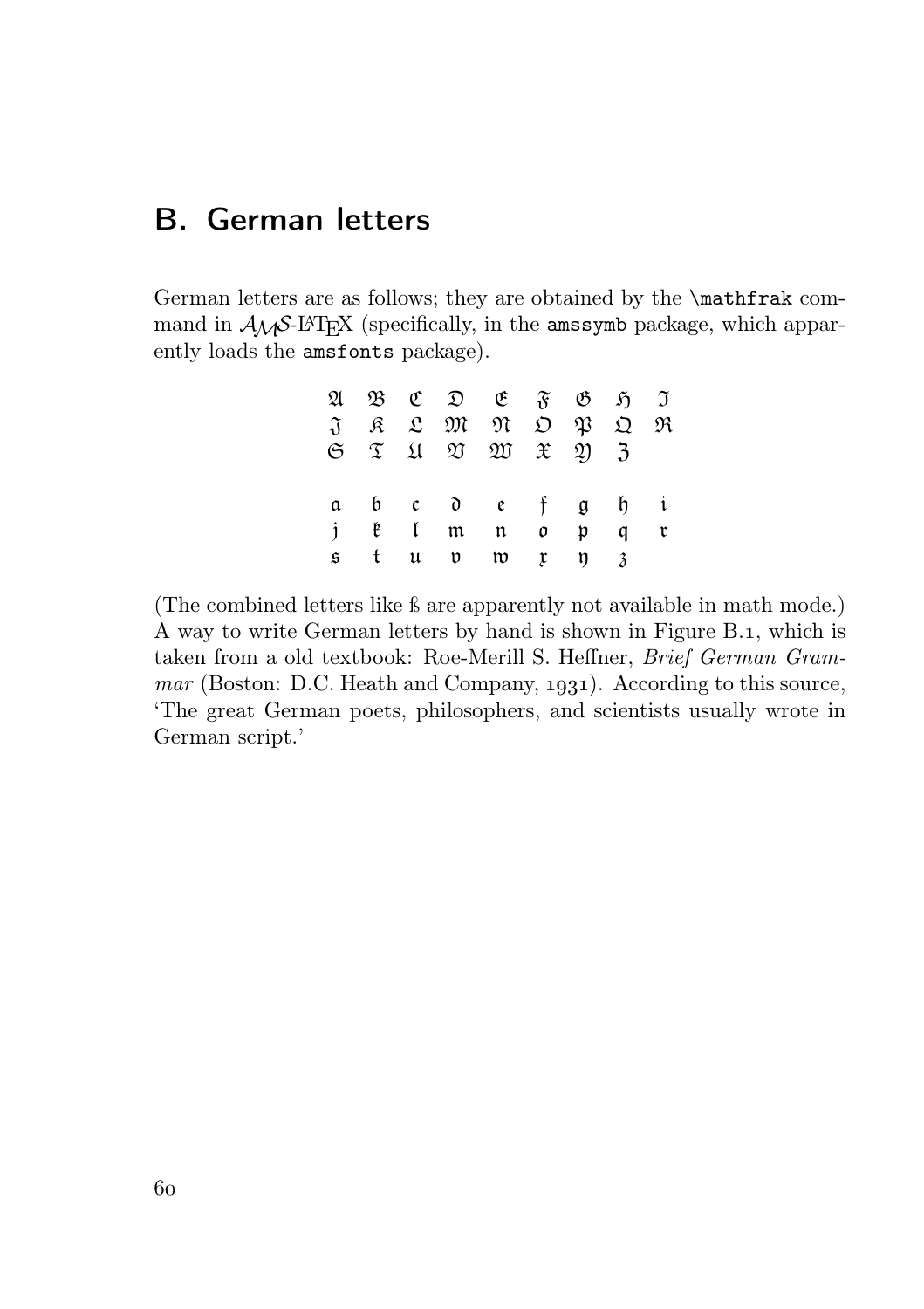# B. German letters

German letters are as follows; they are obtained by the \mathfrak command in  $A_{\mathcal{M}}S$ -LAT<sub>E</sub>X (specifically, in the amssymb package, which apparently loads the amsfonts package).

|  |  | $\mathfrak{A} \mathfrak{B} \mathfrak{C} \mathfrak{D} \mathfrak{E} \mathfrak{F} \mathfrak{B} \mathfrak{H} \mathfrak{I}$                                     |  |                |
|--|--|------------------------------------------------------------------------------------------------------------------------------------------------------------|--|----------------|
|  |  | $J$ $R$ $L$ $m$ $m$ $D$ $p$ $D$ $m$                                                                                                                        |  |                |
|  |  | $\begin{array}{ccccc}\n\mathfrak{S} & \mathfrak{T} & \mathfrak{U} & \mathfrak{V} & \mathfrak{W} & \mathfrak{X} & \mathfrak{Y} & \mathfrak{Z}\n\end{array}$ |  |                |
|  |  |                                                                                                                                                            |  |                |
|  |  | a b c d e f g h i                                                                                                                                          |  |                |
|  |  | j ë Immo pq                                                                                                                                                |  | $\mathfrak{r}$ |
|  |  | $\mathfrak s$ tup typ $\mathfrak z$                                                                                                                        |  |                |

(The combined letters like ß are apparently not available in math mode.) A way to write German letters by hand is shown in Figure B.1, which is taken from a old textbook: Roe-Merill S. Heffner, Brief German Gram $mar$  (Boston: D.C. Heath and Company, 1931). According to this source, 'The great German poets, philosophers, and scientists usually wrote in German script.'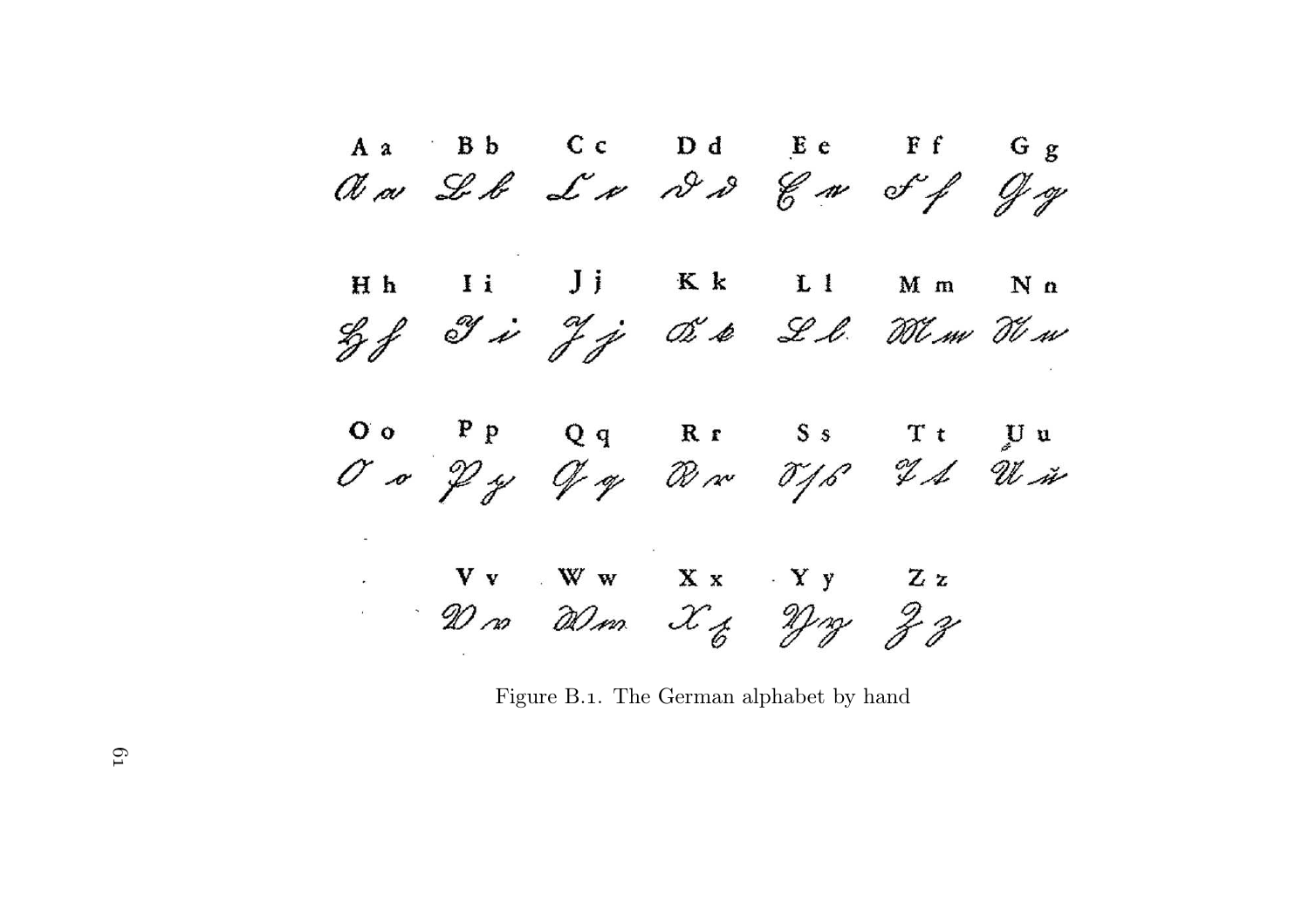A a Bb Cc Dd Ee Ff Gg<br> $M \sim L \sim L \sim N \sim 8 \sim 10 \sim 10^{-10}$ Hh Ii Jj Kk Ll Mm  $N n$ Lef Ji Jj OSA Ll. Wim Tim OO PP Qq Rr Ss Tt UU<br>OO Py Of op War TJS IA With  $Vv = Ww = Xx - Yy = Zz$ <br> $Ww = Xz + Yy = Zz$ 

Figure B.1. The German alphabet by hand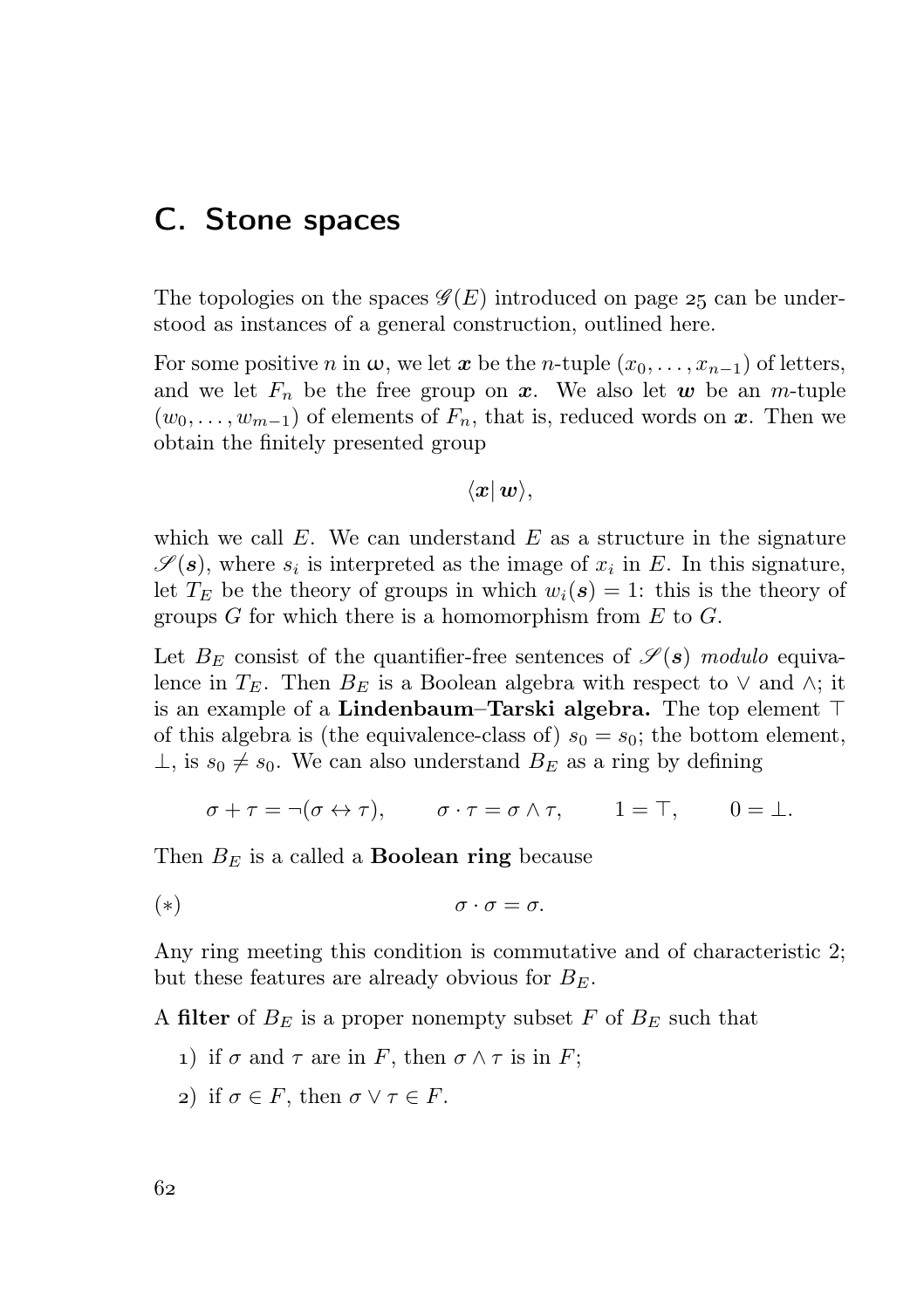## C. Stone spaces

The topologies on the spaces  $\mathscr{G}(E)$  introduced on page 25 can be understood as instances of a general construction, outlined here.

For some positive n in  $\omega$ , we let x be the n-tuple  $(x_0, \ldots, x_{n-1})$  of letters, and we let  $F_n$  be the free group on x. We also let w be an m-tuple  $(w_0, \ldots, w_{m-1})$  of elements of  $F_n$ , that is, reduced words on x. Then we obtain the finitely presented group

$$
\langle \bm{x}|\,\bm{w}\rangle,
$$

which we call  $E$ . We can understand  $E$  as a structure in the signature  $\mathscr{S}(\mathbf{s})$ , where  $s_i$  is interpreted as the image of  $x_i$  in E. In this signature, let  $T_E$  be the theory of groups in which  $w_i(s) = 1$ : this is the theory of groups G for which there is a homomorphism from  $E$  to  $G$ .

Let  $B_E$  consist of the quantifier-free sentences of  $\mathscr{S}(\mathbf{s})$  modulo equivalence in  $T_E$ . Then  $B_E$  is a Boolean algebra with respect to  $\vee$  and  $\wedge$ ; it is an example of a Lindenbaum–Tarski algebra. The top element ⊤ of this algebra is (the equivalence-class of)  $s_0 = s_0$ ; the bottom element,  $\perp$ , is  $s_0 \neq s_0$ . We can also understand  $B_E$  as a ring by defining

$$
\sigma + \tau = \neg(\sigma \leftrightarrow \tau), \qquad \sigma \cdot \tau = \sigma \wedge \tau, \qquad 1 = \top, \qquad 0 = \bot.
$$

Then  $B_E$  is a called a **Boolean ring** because

$$
(*)\qquad \sigma\cdot\sigma=\sigma.
$$

Any ring meeting this condition is commutative and of characteristic 2; but these features are already obvious for  $B_E$ .

A filter of  $B_E$  is a proper nonempty subset F of  $B_E$  such that

- 1) if  $\sigma$  and  $\tau$  are in F, then  $\sigma \wedge \tau$  is in F;
- 2) if  $\sigma \in F$ , then  $\sigma \vee \tau \in F$ .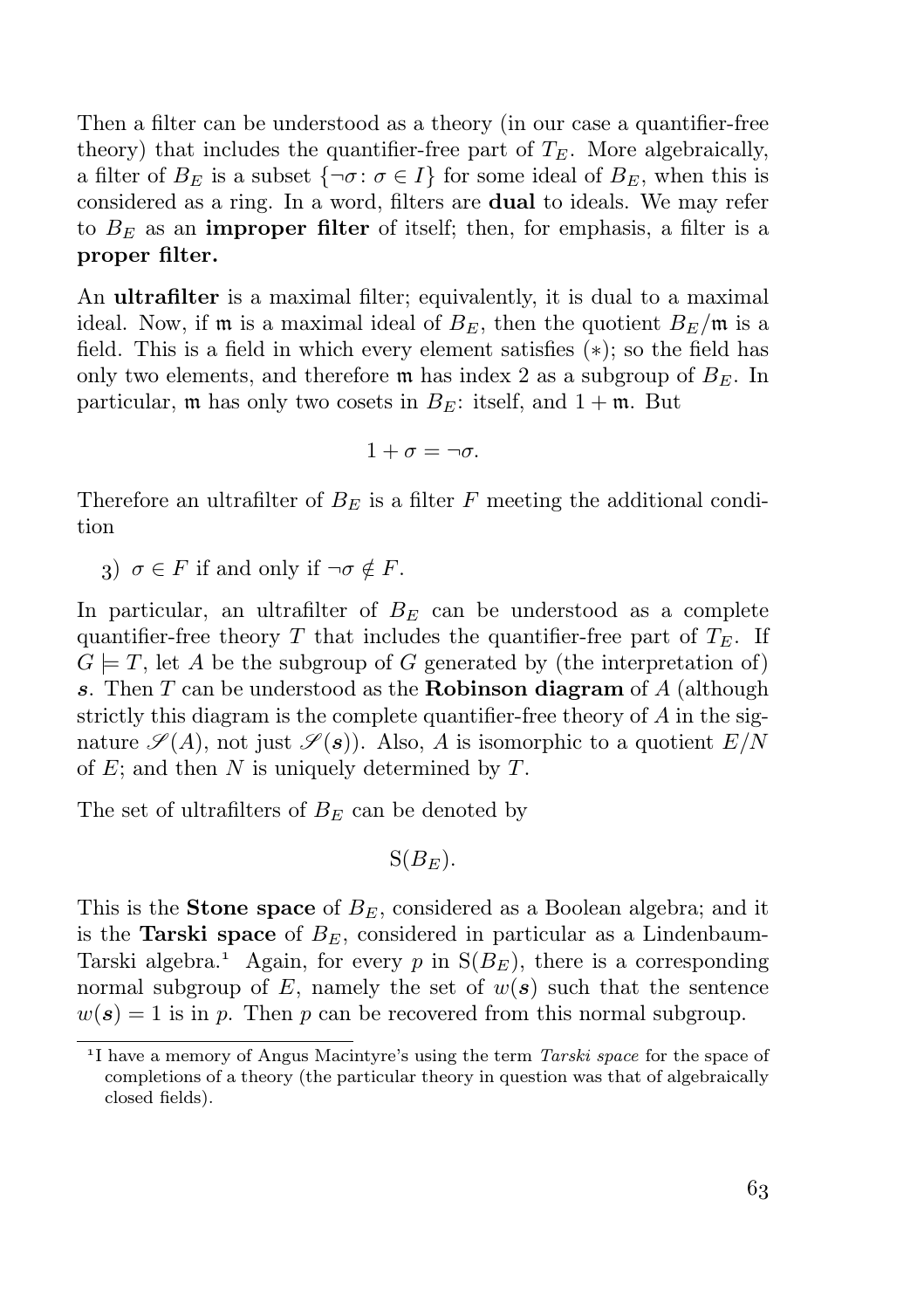Then a filter can be understood as a theory (in our case a quantifier-free theory) that includes the quantifier-free part of  $T_E$ . More algebraically, a filter of  $B_E$  is a subset  $\{\neg \sigma : \sigma \in I\}$  for some ideal of  $B_E$ , when this is considered as a ring. In a word, filters are dual to ideals. We may refer to  $B<sub>E</sub>$  as an **improper filter** of itself; then, for emphasis, a filter is a proper filter.

An ultrafilter is a maximal filter; equivalently, it is dual to a maximal ideal. Now, if **m** is a maximal ideal of  $B_E$ , then the quotient  $B_E/\mathfrak{m}$  is a field. This is a field in which every element satisfies (∗); so the field has only two elements, and therefore  $\mathfrak{m}$  has index 2 as a subgroup of  $B_E$ . In particular, m has only two cosets in  $B_E$ : itself, and  $1 + \mathfrak{m}$ . But

$$
1+\sigma=\neg \sigma.
$$

Therefore an ultrafilter of  $B_E$  is a filter F meeting the additional condition

3)  $\sigma \in F$  if and only if  $\neg \sigma \notin F$ .

In particular, an ultrafilter of  $B<sub>E</sub>$  can be understood as a complete quantifier-free theory T that includes the quantifier-free part of  $T_E$ . If  $G \models T$ , let A be the subgroup of G generated by (the interpretation of) s. Then  $T$  can be understood as the **Robinson diagram** of  $A$  (although strictly this diagram is the complete quantifier-free theory of  $A$  in the signature  $\mathscr{S}(A)$ , not just  $\mathscr{S}(s)$ ). Also, A is isomorphic to a quotient  $E/N$ of  $E$ ; and then  $N$  is uniquely determined by  $T$ .

The set of ultrafilters of  $B<sub>E</sub>$  can be denoted by

$$
S(B_E).
$$

This is the **Stone space** of  $B<sub>E</sub>$ , considered as a Boolean algebra; and it is the Tarski space of  $B<sub>E</sub>$ , considered in particular as a Lindenbaum-Tarski algebra.<sup>1</sup> Again, for every p in  $S(B_F)$ , there is a corresponding normal subgroup of E, namely the set of  $w(s)$  such that the sentence  $w(s) = 1$  is in p. Then p can be recovered from this normal subgroup.

<sup>&</sup>lt;sup>1</sup>I have a memory of Angus Macintyre's using the term *Tarski space* for the space of completions of a theory (the particular theory in question was that of algebraically closed fields).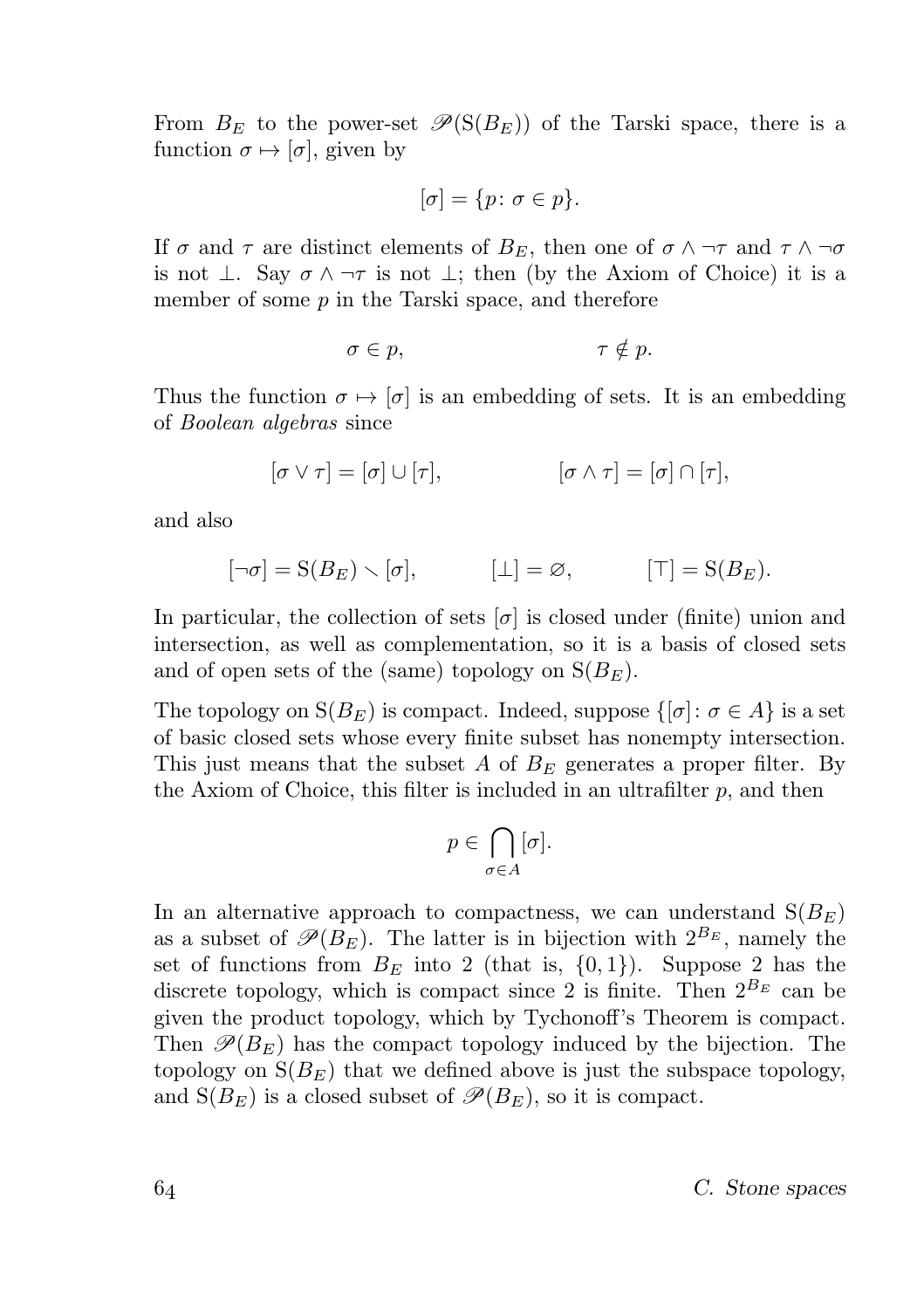From  $B_E$  to the power-set  $\mathscr{P}(\mathcal{S}(B_E))$  of the Tarski space, there is a function  $\sigma \mapsto [\sigma]$ , given by

$$
[\sigma] = \{p \colon \sigma \in p\}.
$$

If  $\sigma$  and  $\tau$  are distinct elements of  $B_E$ , then one of  $\sigma \wedge \neg \tau$  and  $\tau \wedge \neg \sigma$ is not  $\perp$ . Say  $\sigma \wedge \neg \tau$  is not  $\perp$ ; then (by the Axiom of Choice) it is a member of some  $p$  in the Tarski space, and therefore

$$
\sigma \in p, \qquad \qquad \tau \notin p.
$$

Thus the function  $\sigma \mapsto [\sigma]$  is an embedding of sets. It is an embedding of Boolean algebras since

$$
[\sigma \vee \tau] = [\sigma] \cup [\tau], \qquad [\sigma \wedge \tau] = [\sigma] \cap [\tau],
$$

and also

$$
[\neg \sigma] = S(B_E) \setminus [\sigma], \qquad [\bot] = \varnothing, \qquad [\top] = S(B_E).
$$

In particular, the collection of sets  $[\sigma]$  is closed under (finite) union and intersection, as well as complementation, so it is a basis of closed sets and of open sets of the (same) topology on  $S(B_F)$ .

The topology on  $S(B_E)$  is compact. Indeed, suppose  $\{\sigma : \sigma \in A\}$  is a set of basic closed sets whose every finite subset has nonempty intersection. This just means that the subset A of  $B<sub>E</sub>$  generates a proper filter. By the Axiom of Choice, this filter is included in an ultrafilter  $p$ , and then

$$
p \in \bigcap_{\sigma \in A} [\sigma].
$$

In an alternative approach to compactness, we can understand  $S(B<sub>E</sub>)$ as a subset of  $\mathscr{P}(B_E)$ . The latter is in bijection with  $2^{B_E}$ , namely the set of functions from  $B_E$  into 2 (that is,  $\{0,1\}$ ). Suppose 2 has the discrete topology, which is compact since 2 is finite. Then  $2^{B_E}$  can be given the product topology, which by Tychonoff's Theorem is compact. Then  $\mathscr{P}(B_F)$  has the compact topology induced by the bijection. The topology on  $S(B_F)$  that we defined above is just the subspace topology, and  $S(B_E)$  is a closed subset of  $\mathscr{P}(B_E)$ , so it is compact.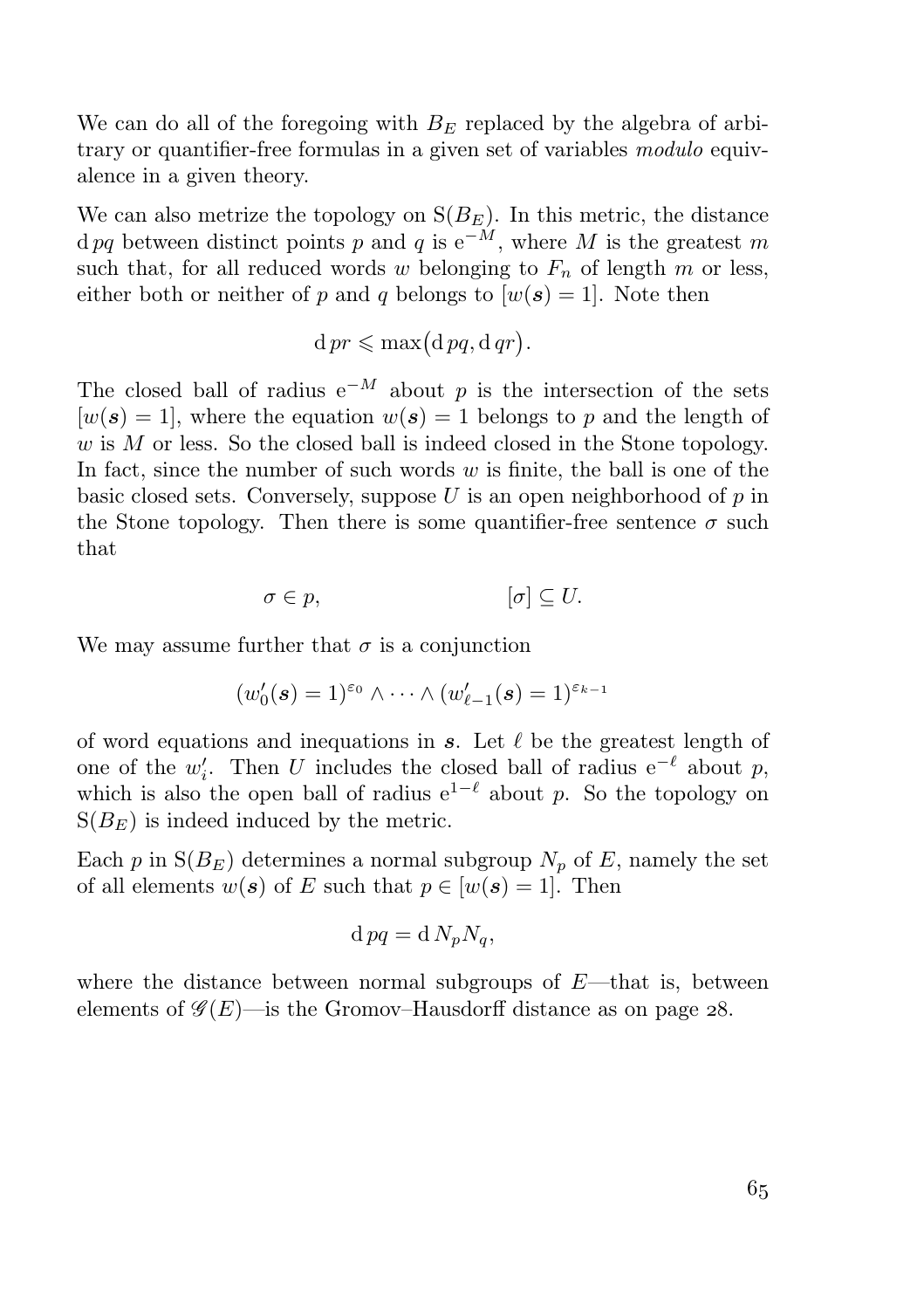We can do all of the foregoing with  $B<sub>E</sub>$  replaced by the algebra of arbitrary or quantifier-free formulas in a given set of variables *modulo* equivalence in a given theory.

We can also metrize the topology on  $S(B<sub>E</sub>)$ . In this metric, the distance d pq between distinct points p and q is  $e^{-M}$ , where M is the greatest m such that, for all reduced words w belonging to  $F_n$  of length m or less, either both or neither of p and q belongs to  $[w(s) = 1]$ . Note then

$$
d\,pr \leqslant \max\bigl(d\,pq, d\,qr\bigr).
$$

The closed ball of radius  $e^{-M}$  about p is the intersection of the sets  $[w(\mathbf{s}) = 1]$ , where the equation  $w(\mathbf{s}) = 1$  belongs to p and the length of w is M or less. So the closed ball is indeed closed in the Stone topology. In fact, since the number of such words  $w$  is finite, the ball is one of the basic closed sets. Conversely, suppose  $U$  is an open neighborhood of  $p$  in the Stone topology. Then there is some quantifier-free sentence  $\sigma$  such that

$$
\sigma \in p, \qquad [\sigma] \subseteq U.
$$

We may assume further that  $\sigma$  is a conjunction

$$
(w'_0(\mathbf{s})=1)^{\varepsilon_0}\wedge\cdots\wedge(w'_{\ell-1}(\mathbf{s})=1)^{\varepsilon_{k-1}}
$$

of word equations and inequations in  $s$ . Let  $\ell$  be the greatest length of one of the  $w'_i$ . Then U includes the closed ball of radius  $e^{-\ell}$  about p, which is also the open ball of radius  $e^{1-\ell}$  about p. So the topology on  $S(B<sub>E</sub>)$  is indeed induced by the metric.

Each p in  $S(B_E)$  determines a normal subgroup  $N_p$  of E, namely the set of all elements  $w(s)$  of E such that  $p \in [w(s) = 1]$ . Then

$$
d pq = d N_p N_q,
$$

where the distance between normal subgroups of  $E$ —that is, between elements of  $\mathscr{G}(E)$ —is the Gromov–Hausdorff distance as on page 28.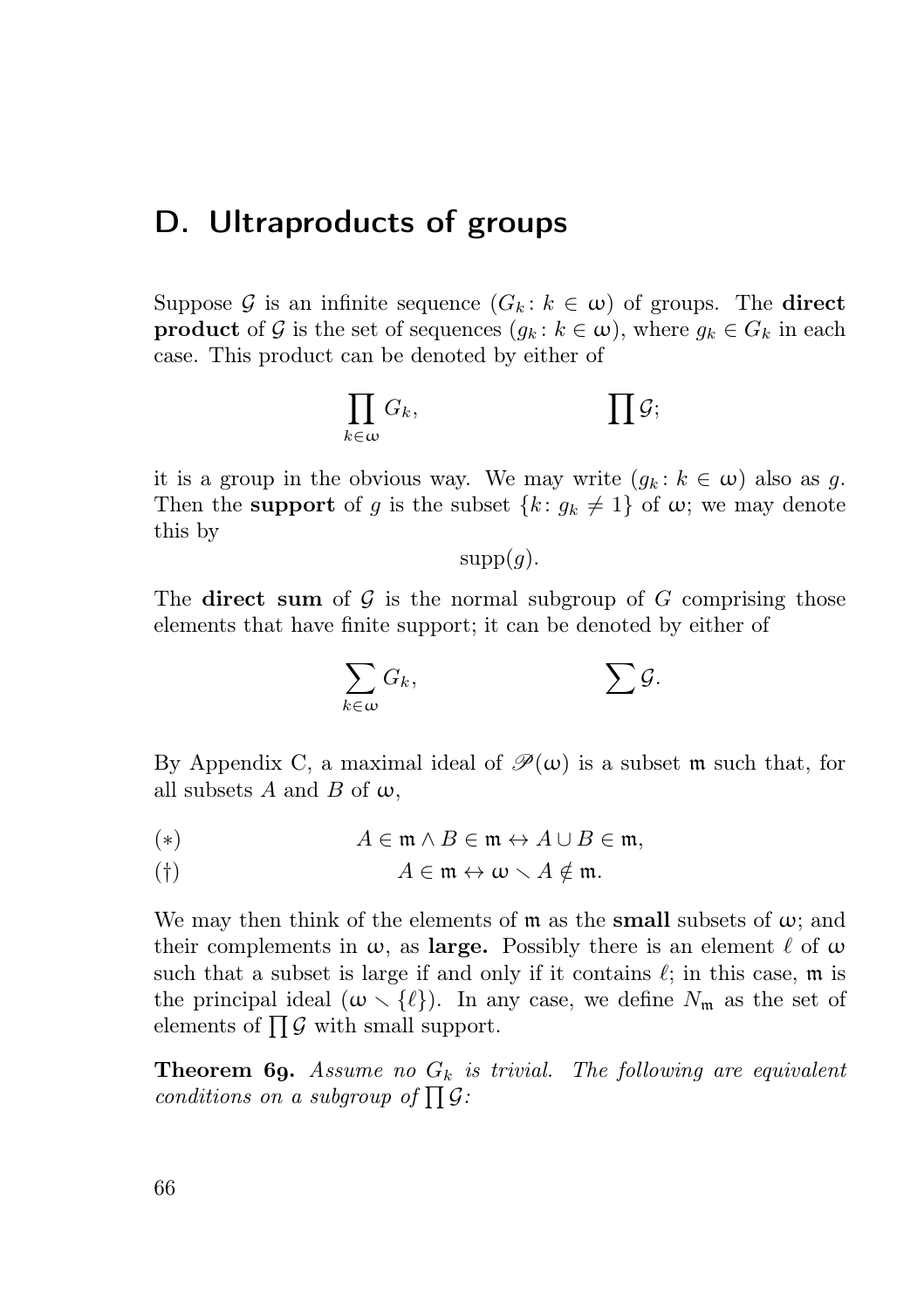## D. Ultraproducts of groups

Suppose G is an infinite sequence  $(G_k : k \in \omega)$  of groups. The **direct product** of G is the set of sequences  $(g_k : k \in \omega)$ , where  $g_k \in G_k$  in each case. This product can be denoted by either of

$$
\prod_{k\in\omega}G_k,\qquad\qquad\prod\mathcal{G};
$$

it is a group in the obvious way. We may write  $(g_k : k \in \omega)$  also as g. Then the **support** of g is the subset  $\{k: g_k \neq 1\}$  of  $\omega$ ; we may denote this by

 $supp(q)$ .

The direct sum of  $G$  is the normal subgroup of  $G$  comprising those elements that have finite support; it can be denoted by either of

$$
\sum_{k\in\omega}G_k,\qquad\qquad\sum\mathcal{G}.
$$

By Appendix C, a maximal ideal of  $\mathcal{P}(\omega)$  is a subset m such that, for all subsets A and B of  $\omega$ ,

(\*)  $A \in \mathfrak{m} \wedge B \in \mathfrak{m} \leftrightarrow A \cup B \in \mathfrak{m},$ 

$$
A \in \mathfrak{m} \leftrightarrow \omega \smallsetminus A \notin \mathfrak{m}.
$$

We may then think of the elements of  $m$  as the **small** subsets of  $\omega$ ; and their complements in  $\omega$ , as large. Possibly there is an element  $\ell$  of  $\omega$ such that a subset is large if and only if it contains  $\ell$ ; in this case, m is the principal ideal  $(\omega \setminus {\ell})$ . In any case, we define  $N_{\rm m}$  as the set of elements of  $\prod G$  with small support.

**Theorem 69.** Assume no  $G_k$  is trivial. The following are equivalent conditions on a subgroup of  $\prod \mathcal{G}$ :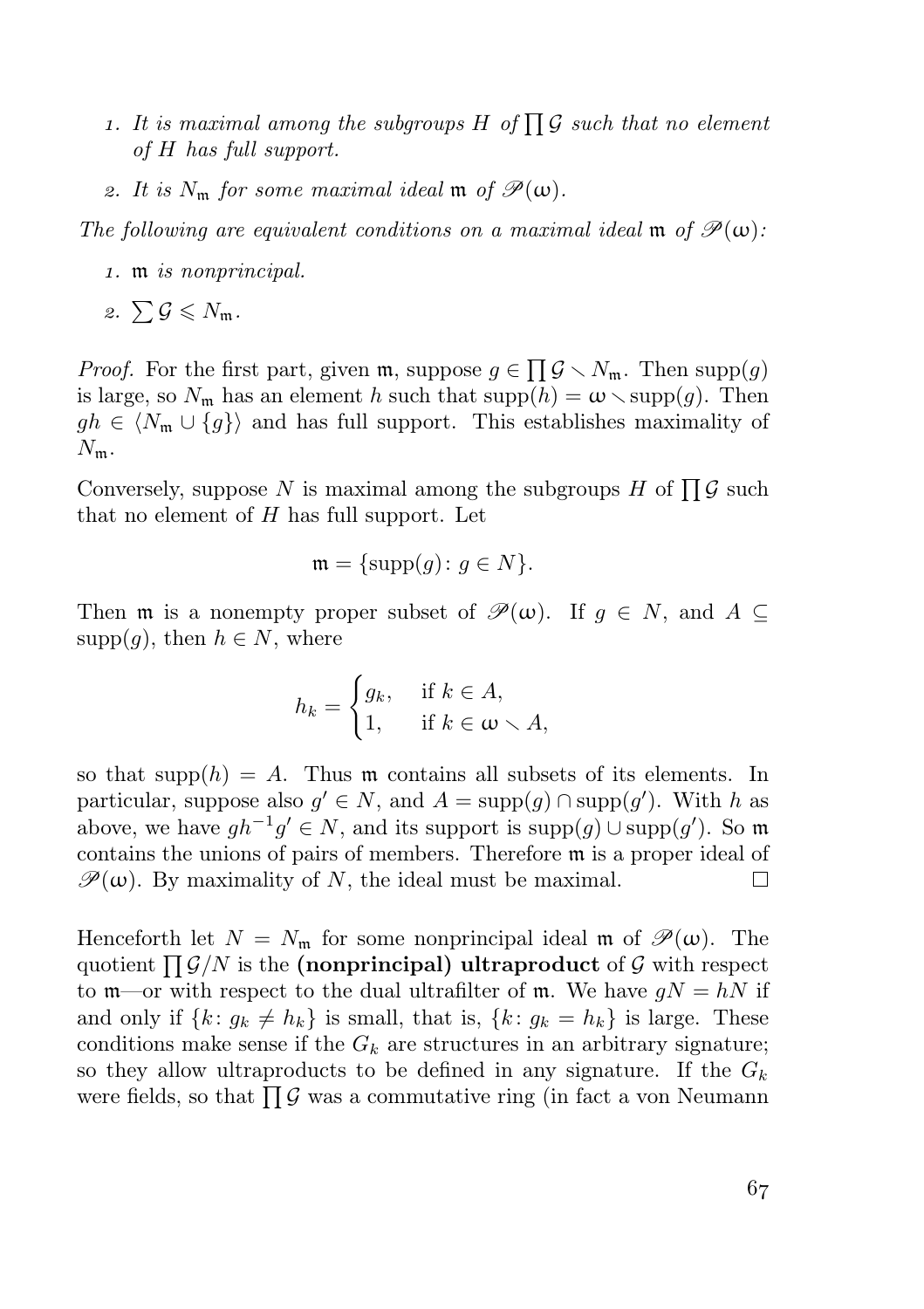- 1. It is maximal among the subgroups H of  $\prod G$  such that no element of H has full support.
- 2. It is  $N_{\rm m}$  for some maximal ideal  $\mathfrak{m}$  of  $\mathcal{P}(\omega)$ .

The following are equivalent conditions on a maximal ideal m of  $\mathcal{P}(\omega)$ :

- . m is nonprincipal.
- 2.  $\sum \mathcal{G} \leqslant N_{\rm m}$ .

*Proof.* For the first part, given  $\mathfrak{m}$ , suppose  $g \in \prod \mathcal{G} \setminus N_{\mathfrak{m}}$ . Then supp $(g)$ is large, so  $N_{\rm m}$  has an element h such that  ${\rm supp}(h) = \omega \setminus {\rm supp}(g)$ . Then  $gh \in \langle N_m \cup \{g\} \rangle$  and has full support. This establishes maximality of  $N_{\rm m}$ .

Conversely, suppose N is maximal among the subgroups H of  $\prod G$  such that no element of  $H$  has full support. Let

$$
\mathfrak{m} = {\text{supp}(g) \colon g \in N}.
$$

Then m is a nonempty proper subset of  $\mathscr{P}(\omega)$ . If  $g \in N$ , and  $A \subseteq$  $supp(q)$ , then  $h \in N$ , where

$$
h_k = \begin{cases} g_k, & \text{if } k \in A, \\ 1, & \text{if } k \in \omega \setminus A, \end{cases}
$$

so that supp $(h) = A$ . Thus m contains all subsets of its elements. In particular, suppose also  $g' \in N$ , and  $A = \text{supp}(g) \cap \text{supp}(g')$ . With h as above, we have  $gh^{-1}g' \in N$ , and its support is supp $(g) \cup \text{supp}(g')$ . So m contains the unions of pairs of members. Therefore m is a proper ideal of  $\mathscr{P}(\omega)$ . By maximality of N, the ideal must be maximal.  $\Box$ 

Henceforth let  $N = N_{\mathfrak{m}}$  for some nonprincipal ideal  $\mathfrak{m}$  of  $\mathscr{P}(\omega)$ . The quotient  $\prod G/N$  is the (nonprincipal) ultraproduct of G with respect to  $m$ —or with respect to the dual ultrafilter of m. We have  $gN = hN$  if and only if  $\{k: g_k \neq h_k\}$  is small, that is,  $\{k: g_k = h_k\}$  is large. These conditions make sense if the  $G_k$  are structures in an arbitrary signature; so they allow ultraproducts to be defined in any signature. If the  $G_k$ were fields, so that  $\prod \mathcal{G}$  was a commutative ring (in fact a von Neumann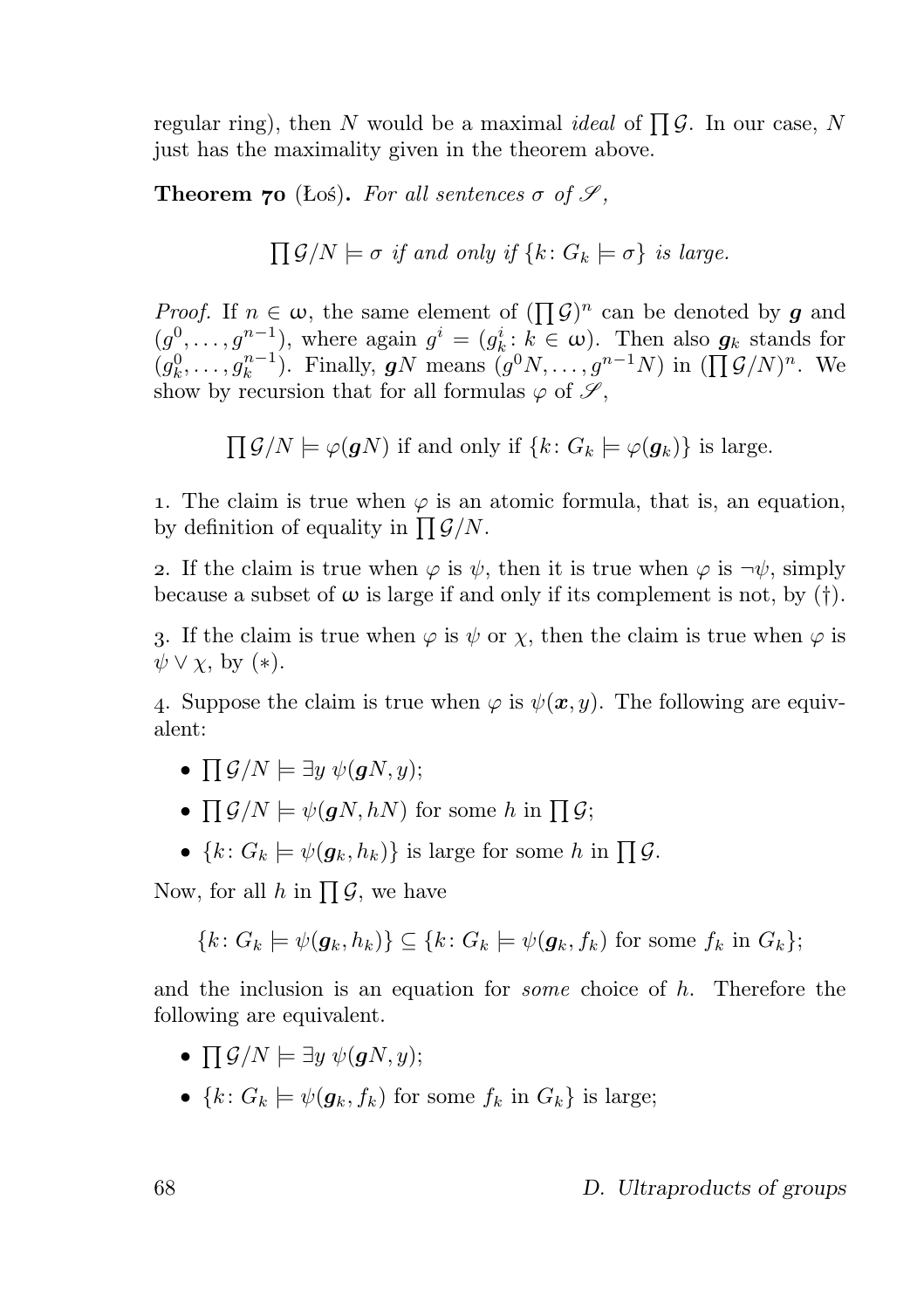regular ring), then N would be a maximal *ideal* of  $\prod G$ . In our case, N just has the maximality given in the theorem above.

**Theorem 70** (Łoś). For all sentences  $\sigma$  of  $\mathscr{S}$ ,

 $\prod \mathcal{G}/N \models \sigma$  if and only if  $\{k: G_k \models \sigma\}$  is large.

*Proof.* If  $n \in \omega$ , the same element of  $(\prod \mathcal{G})^n$  can be denoted by g and  $(g_1^0, \ldots, g^{n-1})$ , where again  $g^i = (g_k^i : k \in \omega)$ . Then also  $g_k$  stands for  $(g_k^0, \ldots, g_k^{n-1})$ . Finally, **g**N means  $(g^0N, \ldots, g^{n-1}N)$  in  $(\prod \mathcal{G}/N)^n$ . We show by recursion that for all formulas  $\varphi$  of  $\mathscr{S},$ 

 $\prod \mathcal{G}/N \models \varphi(gN)$  if and only if  $\{k : G_k \models \varphi(g_k)\}\$ is large.

1. The claim is true when  $\varphi$  is an atomic formula, that is, an equation, by definition of equality in  $\prod \mathcal{G}/N$ .

2. If the claim is true when  $\varphi$  is  $\psi$ , then it is true when  $\varphi$  is  $\neg \psi$ , simply because a subset of  $\omega$  is large if and only if its complement is not, by (†).

3. If the claim is true when  $\varphi$  is  $\psi$  or  $\chi$ , then the claim is true when  $\varphi$  is  $\psi \vee \chi$ , by  $(*).$ 

4. Suppose the claim is true when  $\varphi$  is  $\psi(x, y)$ . The following are equivalent:

- $\prod$   $\mathcal{G}/N \models \exists y \ \psi(gN, y);$
- $\prod \mathcal{G}/N \models \psi(gN, hN)$  for some h in  $\prod \mathcal{G}$ ;
- ${k: G_k \models \psi(g_k, h_k)}$  is large for some h in  $\prod \mathcal{G}$ .

Now, for all h in  $\prod \mathcal{G}$ , we have

$$
\{k\colon G_k\models\psi(\mathbf{g}_k,h_k)\}\subseteq\{k\colon G_k\models\psi(\mathbf{g}_k,f_k)\text{ for some }f_k\text{ in }G_k\};
$$

and the inclusion is an equation for *some* choice of  $h$ . Therefore the following are equivalent.

- $\prod$   $\mathcal{G}/N \models \exists y \ \psi(gN, y);$
- ${k: G_k \models \psi(g_k, f_k) \text{ for some } f_k \text{ in } G_k}$  is large;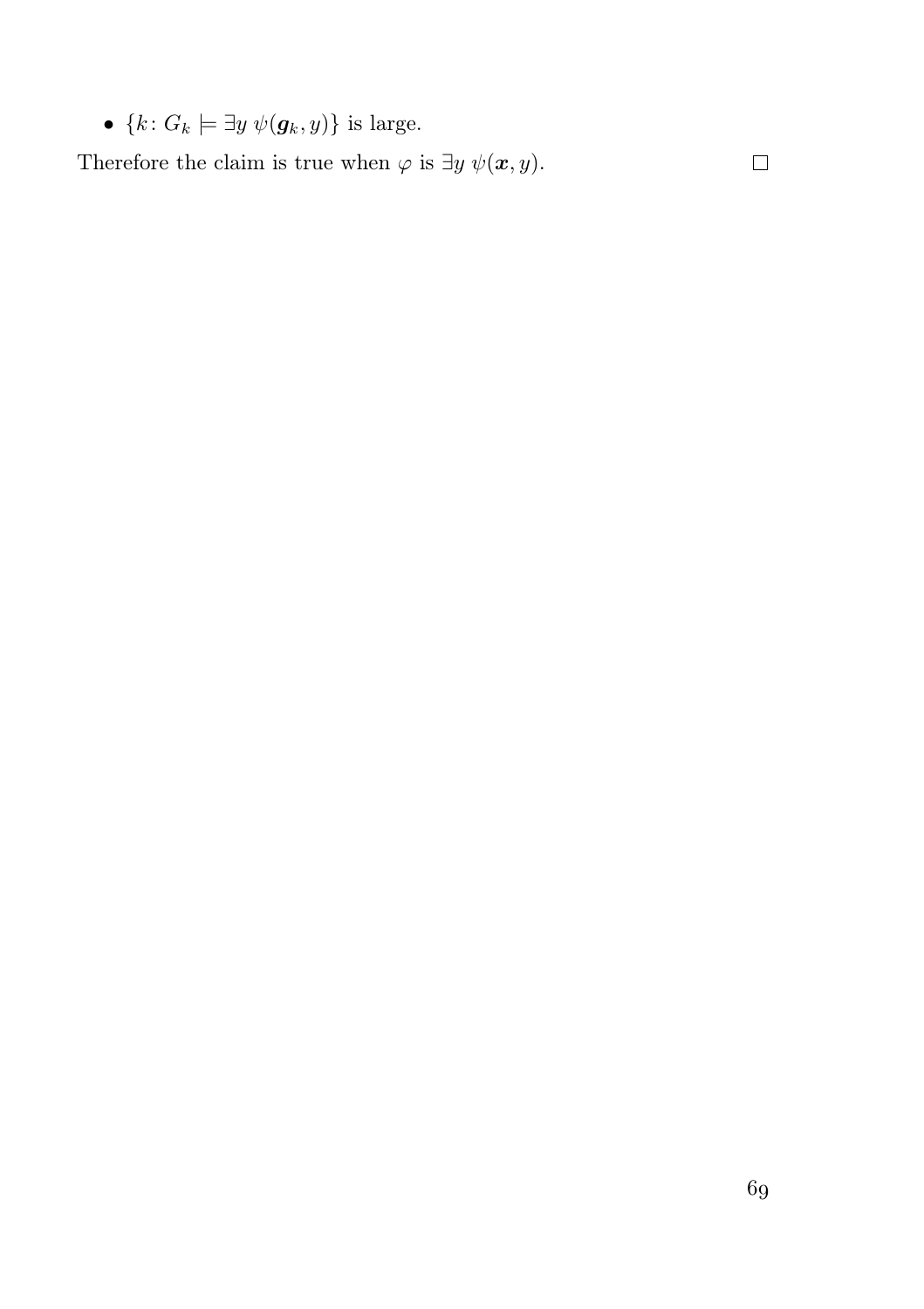•  ${k: G_k \models \exists y \; \psi(g_k, y)}$  is large.

Therefore the claim is true when  $\varphi$  is  $\exists y \psi(\mathbf{x}, y)$ .

 $\Box$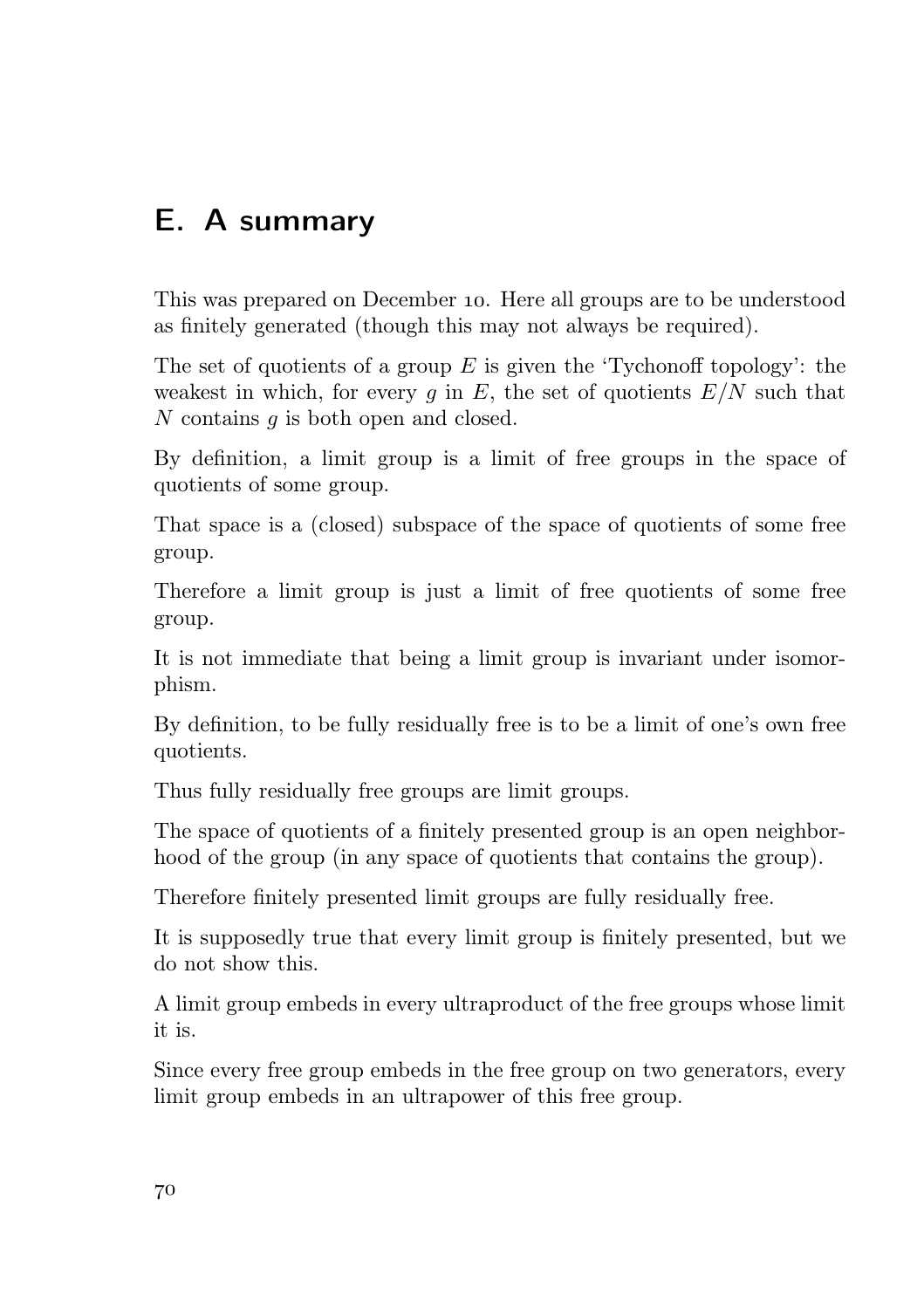# E. A summary

This was prepared on December 10. Here all groups are to be understood as finitely generated (though this may not always be required).

The set of quotients of a group  $E$  is given the 'Tychonoff topology': the weakest in which, for every  $g$  in  $E$ , the set of quotients  $E/N$  such that N contains q is both open and closed.

By definition, a limit group is a limit of free groups in the space of quotients of some group.

That space is a (closed) subspace of the space of quotients of some free group.

Therefore a limit group is just a limit of free quotients of some free group.

It is not immediate that being a limit group is invariant under isomorphism.

By definition, to be fully residually free is to be a limit of one's own free quotients.

Thus fully residually free groups are limit groups.

The space of quotients of a finitely presented group is an open neighborhood of the group (in any space of quotients that contains the group).

Therefore finitely presented limit groups are fully residually free.

It is supposedly true that every limit group is finitely presented, but we do not show this.

A limit group embeds in every ultraproduct of the free groups whose limit it is.

Since every free group embeds in the free group on two generators, every limit group embeds in an ultrapower of this free group.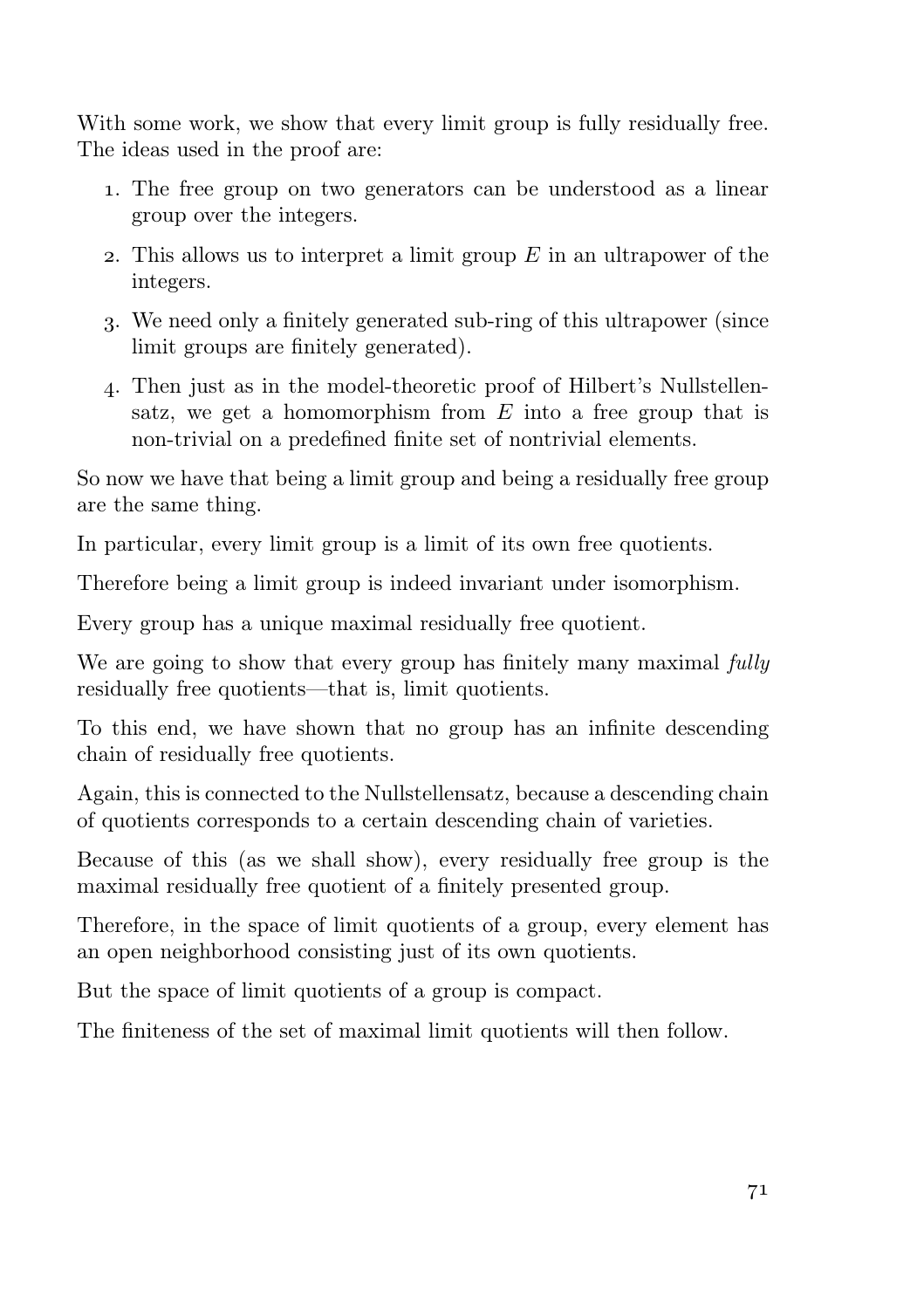With some work, we show that every limit group is fully residually free. The ideas used in the proof are:

- . The free group on two generators can be understood as a linear group over the integers.
- 2. This allows us to interpret a limit group  $E$  in an ultrapower of the integers.
- . We need only a finitely generated sub-ring of this ultrapower (since limit groups are finitely generated).
- . Then just as in the model-theoretic proof of Hilbert's Nullstellensatz, we get a homomorphism from  $E$  into a free group that is non-trivial on a predefined finite set of nontrivial elements.

So now we have that being a limit group and being a residually free group are the same thing.

In particular, every limit group is a limit of its own free quotients.

Therefore being a limit group is indeed invariant under isomorphism.

Every group has a unique maximal residually free quotient.

We are going to show that every group has finitely many maximal fully residually free quotients—that is, limit quotients.

To this end, we have shown that no group has an infinite descending chain of residually free quotients.

Again, this is connected to the Nullstellensatz, because a descending chain of quotients corresponds to a certain descending chain of varieties.

Because of this (as we shall show), every residually free group is the maximal residually free quotient of a finitely presented group.

Therefore, in the space of limit quotients of a group, every element has an open neighborhood consisting just of its own quotients.

But the space of limit quotients of a group is compact.

The finiteness of the set of maximal limit quotients will then follow.